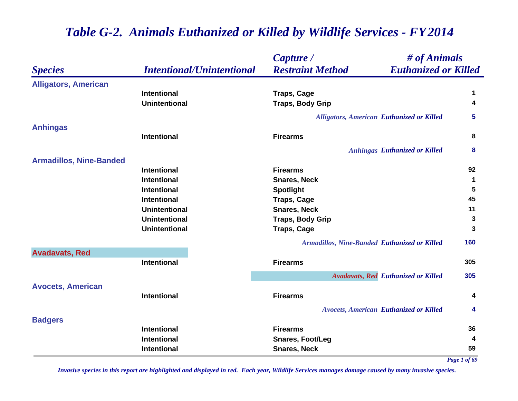|                                |                                  | Capture /                                              | # of Animals |  |
|--------------------------------|----------------------------------|--------------------------------------------------------|--------------|--|
| <b>Species</b>                 | <b>Intentional/Unintentional</b> | <b>Euthanized or Killed</b><br><b>Restraint Method</b> |              |  |
| <b>Alligators, American</b>    |                                  |                                                        |              |  |
|                                | <b>Intentional</b>               | <b>Traps, Cage</b>                                     | 1            |  |
|                                | <b>Unintentional</b>             | <b>Traps, Body Grip</b>                                | 4            |  |
|                                |                                  | <b>Alligators, American Euthanized or Killed</b>       | 5            |  |
| <b>Anhingas</b>                |                                  |                                                        |              |  |
|                                | <b>Intentional</b>               | <b>Firearms</b>                                        | 8            |  |
|                                |                                  | <b>Anhingas Euthanized or Killed</b>                   | 8            |  |
| <b>Armadillos, Nine-Banded</b> |                                  |                                                        |              |  |
|                                | <b>Intentional</b>               | <b>Firearms</b>                                        | 92           |  |
|                                | <b>Intentional</b>               | <b>Snares, Neck</b>                                    | 1            |  |
|                                | <b>Intentional</b>               | <b>Spotlight</b>                                       | 5            |  |
|                                | Intentional                      | <b>Traps, Cage</b>                                     | 45           |  |
|                                | <b>Unintentional</b>             | <b>Snares, Neck</b>                                    | 11           |  |
|                                | <b>Unintentional</b>             | <b>Traps, Body Grip</b>                                | 3            |  |
|                                | <b>Unintentional</b>             | <b>Traps, Cage</b>                                     | 3            |  |
|                                |                                  | <b>Armadillos, Nine-Banded Euthanized or Killed</b>    | 160          |  |
| <b>Avadavats, Red</b>          |                                  |                                                        |              |  |
|                                | Intentional                      | <b>Firearms</b>                                        | 305          |  |
|                                |                                  | <b>Avadavats, Red Euthanized or Killed</b>             | 305          |  |
| <b>Avocets, American</b>       |                                  |                                                        |              |  |
|                                | <b>Intentional</b>               | <b>Firearms</b>                                        | 4            |  |
|                                |                                  | <b>Avocets, American Euthanized or Killed</b>          | 4            |  |
| <b>Badgers</b>                 |                                  |                                                        |              |  |
|                                | <b>Intentional</b>               | <b>Firearms</b>                                        | 36           |  |
|                                | Intentional                      | <b>Snares, Foot/Leg</b>                                | 4            |  |
|                                | Intentional                      | <b>Snares, Neck</b>                                    | 59           |  |

*Page 1 of 69*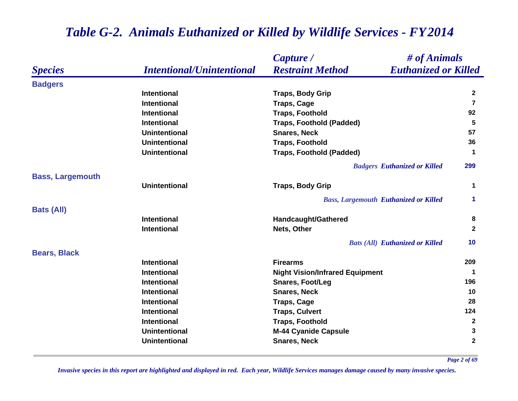|                         |                                  | # of Animals<br>Capture /                              |                         |
|-------------------------|----------------------------------|--------------------------------------------------------|-------------------------|
| <b>Species</b>          | <b>Intentional/Unintentional</b> | <b>Restraint Method</b><br><b>Euthanized or Killed</b> |                         |
| <b>Badgers</b>          |                                  |                                                        |                         |
|                         | <b>Intentional</b>               | <b>Traps, Body Grip</b>                                | $\mathbf{2}$            |
|                         | <b>Intentional</b>               | <b>Traps, Cage</b>                                     | $\overline{7}$          |
|                         | <b>Intentional</b>               | <b>Traps, Foothold</b>                                 | 92                      |
|                         | <b>Intentional</b>               | <b>Traps, Foothold (Padded)</b>                        | 5                       |
|                         | <b>Unintentional</b>             | <b>Snares, Neck</b>                                    | 57                      |
|                         | <b>Unintentional</b>             | <b>Traps, Foothold</b>                                 | 36                      |
|                         | <b>Unintentional</b>             | <b>Traps, Foothold (Padded)</b>                        | $\mathbf 1$             |
|                         |                                  | <b>Badgers Euthanized or Killed</b>                    | 299                     |
| <b>Bass, Largemouth</b> |                                  |                                                        |                         |
|                         | <b>Unintentional</b>             | <b>Traps, Body Grip</b>                                | $\mathbf 1$             |
|                         |                                  | <b>Bass, Largemouth Euthanized or Killed</b>           | 1                       |
| <b>Bats (All)</b>       |                                  |                                                        |                         |
|                         | <b>Intentional</b>               | Handcaught/Gathered                                    | 8                       |
|                         | <b>Intentional</b>               | Nets, Other                                            | $\mathbf{2}$            |
|                         |                                  | <b>Bats (All) Euthanized or Killed</b>                 | 10                      |
| <b>Bears, Black</b>     |                                  |                                                        |                         |
|                         | <b>Intentional</b>               | <b>Firearms</b>                                        | 209                     |
|                         | <b>Intentional</b>               | <b>Night Vision/Infrared Equipment</b>                 | 1                       |
|                         | <b>Intentional</b>               | <b>Snares, Foot/Leg</b>                                | 196                     |
|                         | <b>Intentional</b>               | <b>Snares, Neck</b>                                    | 10                      |
|                         | <b>Intentional</b>               | <b>Traps, Cage</b>                                     | 28                      |
|                         | <b>Intentional</b>               | <b>Traps, Culvert</b>                                  | 124                     |
|                         | <b>Intentional</b>               | <b>Traps, Foothold</b>                                 | $\mathbf{2}$            |
|                         | <b>Unintentional</b>             | <b>M-44 Cyanide Capsule</b>                            | 3                       |
|                         | <b>Unintentional</b>             | <b>Snares, Neck</b>                                    | $\overline{\mathbf{2}}$ |

*Page 2 of 69*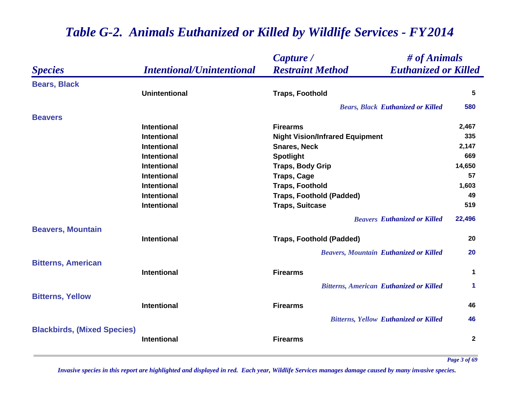|                                    |                                  | Capture /                                              | # of Animals    |  |
|------------------------------------|----------------------------------|--------------------------------------------------------|-----------------|--|
| <b>Species</b>                     | <b>Intentional/Unintentional</b> | <b>Restraint Method</b><br><b>Euthanized or Killed</b> |                 |  |
| <b>Bears, Black</b>                |                                  |                                                        |                 |  |
|                                    | <b>Unintentional</b>             | <b>Traps, Foothold</b>                                 | $5\phantom{.0}$ |  |
|                                    |                                  | <b>Bears, Black Euthanized or Killed</b>               | 580             |  |
| <b>Beavers</b>                     |                                  |                                                        |                 |  |
|                                    | <b>Intentional</b>               | <b>Firearms</b>                                        | 2,467           |  |
|                                    | <b>Intentional</b>               | <b>Night Vision/Infrared Equipment</b>                 | 335             |  |
|                                    | <b>Intentional</b>               | <b>Snares, Neck</b>                                    | 2,147           |  |
|                                    | <b>Intentional</b>               | <b>Spotlight</b>                                       | 669             |  |
|                                    | Intentional                      | <b>Traps, Body Grip</b>                                | 14,650          |  |
|                                    | <b>Intentional</b>               | <b>Traps, Cage</b>                                     | 57              |  |
|                                    | <b>Intentional</b>               | <b>Traps, Foothold</b>                                 | 1,603           |  |
|                                    | <b>Intentional</b>               | <b>Traps, Foothold (Padded)</b>                        | 49              |  |
|                                    | <b>Intentional</b>               | <b>Traps, Suitcase</b>                                 | 519             |  |
|                                    |                                  | <b>Beavers Euthanized or Killed</b>                    | 22,496          |  |
| <b>Beavers, Mountain</b>           | <b>Intentional</b>               | <b>Traps, Foothold (Padded)</b>                        | 20              |  |
|                                    |                                  |                                                        |                 |  |
|                                    |                                  | <b>Beavers, Mountain Euthanized or Killed</b>          | 20              |  |
| <b>Bitterns, American</b>          | <b>Intentional</b>               | <b>Firearms</b>                                        | 1               |  |
|                                    |                                  | <b>Bitterns, American Euthanized or Killed</b>         | 1               |  |
| <b>Bitterns, Yellow</b>            |                                  |                                                        |                 |  |
|                                    | <b>Intentional</b>               | <b>Firearms</b>                                        | 46              |  |
|                                    |                                  | <b>Bitterns, Yellow Euthanized or Killed</b>           | 46              |  |
| <b>Blackbirds, (Mixed Species)</b> |                                  |                                                        |                 |  |
|                                    | <b>Intentional</b>               | <b>Firearms</b>                                        | $\mathbf{2}$    |  |
|                                    |                                  |                                                        |                 |  |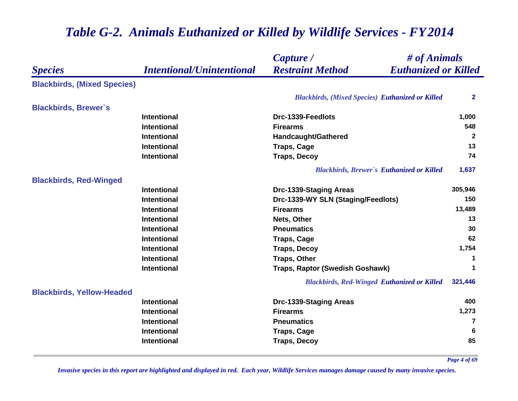#### *Species Capture / Restraint Method # of Animals Intentional/Unintentional Euthanized or Killed* **Blackbirds, (Mixed Species)** *Blackbirds, (Mixed Species) Euthanized or Killed* **2 Blackbirds, Brewer`s Intentional Drc-1339-Feedlots 1,000 Intentional Firearms 548 Intentional Handcaught/Gathered <sup>2</sup> Intentional Traps, Cage <sup>13</sup> Intentional Traps, Decoy <sup>74</sup>** *Blackbirds, Brewer`s Euthanized or Killed* **1,637 Blackbirds, Red-Winged Intentional Drc-1339-Staging Areas 305,946 Intentional Drc-1339-WY SLN (Staging/Feedlots) <sup>150</sup> Intentional Firearms 13,489 Intentional Nets, Other 13 Intentional Pneumatics 30 Intentional Traps, Cage <sup>62</sup> Intentional Traps, Decoy 1,754 Intentional Traps, Other <sup>1</sup> Intentional Traps, Raptor (Swedish Goshawk) <sup>1</sup>** *Blackbirds, Red-Winged Euthanized or Killed* **321,446 Blackbirds, Yellow-Headed Intentional Drc-1339-Staging Areas <sup>400</sup> Intentional Firearms 1,273 Intentional Pneumatics 7 Intentional Traps, Cage <sup>6</sup> Intentional Traps, Decoy 85**

### *Table G-2. Animals Euthanized or Killed by Wildlife Services - FY 2014*

*Page 4 of 69*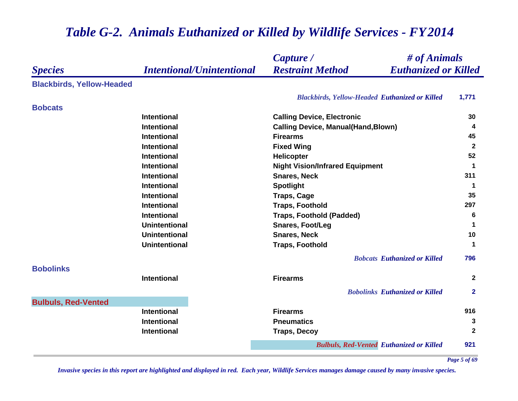|                                                    | Capture /                                              | # of Animals   |  |
|----------------------------------------------------|--------------------------------------------------------|----------------|--|
| <b>Intentional/Unintentional</b><br><b>Species</b> | <b>Restraint Method</b><br><b>Euthanized or Killed</b> |                |  |
| <b>Blackbirds, Yellow-Headed</b>                   |                                                        |                |  |
|                                                    | <b>Blackbirds, Yellow-Headed Euthanized or Killed</b>  | 1,771          |  |
| <b>Bobcats</b>                                     |                                                        |                |  |
| <b>Intentional</b>                                 | <b>Calling Device, Electronic</b>                      | 30             |  |
| <b>Intentional</b>                                 | <b>Calling Device, Manual(Hand, Blown)</b>             | 4              |  |
| <b>Intentional</b>                                 | <b>Firearms</b>                                        | 45             |  |
| Intentional                                        | <b>Fixed Wing</b>                                      | $\mathbf{2}$   |  |
| <b>Intentional</b>                                 | <b>Helicopter</b>                                      | 52             |  |
| <b>Intentional</b>                                 | <b>Night Vision/Infrared Equipment</b>                 | $\mathbf 1$    |  |
| <b>Intentional</b>                                 | <b>Snares, Neck</b>                                    | 311            |  |
| <b>Intentional</b>                                 | <b>Spotlight</b>                                       | -1             |  |
| Intentional                                        | <b>Traps, Cage</b>                                     | 35             |  |
| <b>Intentional</b>                                 | <b>Traps, Foothold</b>                                 | 297            |  |
| <b>Intentional</b>                                 | <b>Traps, Foothold (Padded)</b>                        | 6              |  |
| <b>Unintentional</b>                               | <b>Snares, Foot/Leg</b>                                | $\mathbf 1$    |  |
| <b>Unintentional</b>                               | <b>Snares, Neck</b>                                    | 10             |  |
| <b>Unintentional</b>                               | <b>Traps, Foothold</b>                                 | $\mathbf 1$    |  |
|                                                    | <b>Bobcats Euthanized or Killed</b>                    | 796            |  |
| <b>Bobolinks</b>                                   |                                                        |                |  |
| <b>Intentional</b>                                 | <b>Firearms</b>                                        | $\mathbf{2}$   |  |
|                                                    | <b>Bobolinks Euthanized or Killed</b>                  | $\overline{2}$ |  |
| <b>Bulbuls, Red-Vented</b>                         |                                                        |                |  |
| <b>Intentional</b>                                 | <b>Firearms</b>                                        | 916            |  |
| <b>Intentional</b>                                 | <b>Pneumatics</b>                                      | 3              |  |
| <b>Intentional</b>                                 | <b>Traps, Decoy</b>                                    | $\mathbf{2}$   |  |
|                                                    | <b>Bulbuls, Red-Vented Euthanized or Killed</b>        | 921            |  |

*Page 5 of 69*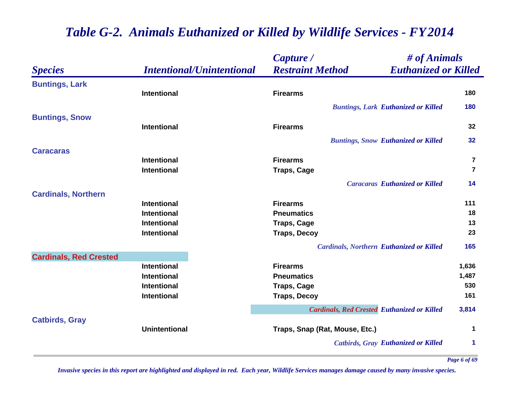|                               |                                          | Capture /                                          | # of Animals                |  |
|-------------------------------|------------------------------------------|----------------------------------------------------|-----------------------------|--|
| <b>Species</b>                | <b>Intentional/Unintentional</b>         | <b>Restraint Method</b>                            | <b>Euthanized or Killed</b> |  |
| <b>Buntings, Lark</b>         |                                          |                                                    |                             |  |
|                               | <b>Intentional</b>                       | <b>Firearms</b>                                    | 180                         |  |
|                               |                                          | <b>Buntings, Lark Euthanized or Killed</b>         | 180                         |  |
| <b>Buntings, Snow</b>         |                                          |                                                    |                             |  |
|                               | <b>Intentional</b>                       | <b>Firearms</b>                                    | 32                          |  |
|                               |                                          | <b>Buntings, Snow Euthanized or Killed</b>         | 32                          |  |
| <b>Caracaras</b>              |                                          |                                                    |                             |  |
|                               | <b>Intentional</b>                       | <b>Firearms</b>                                    | $\overline{\mathbf{7}}$     |  |
|                               | <b>Intentional</b>                       | <b>Traps, Cage</b>                                 | $\overline{7}$              |  |
|                               |                                          | <b>Caracaras Euthanized or Killed</b>              | 14                          |  |
| <b>Cardinals, Northern</b>    |                                          |                                                    |                             |  |
|                               | <b>Intentional</b>                       | <b>Firearms</b>                                    | 111                         |  |
|                               | <b>Intentional</b><br><b>Intentional</b> | <b>Pneumatics</b>                                  | 18<br>13                    |  |
|                               | <b>Intentional</b>                       | <b>Traps, Cage</b><br><b>Traps, Decoy</b>          | 23                          |  |
|                               |                                          |                                                    |                             |  |
| <b>Cardinals, Red Crested</b> |                                          | <b>Cardinals, Northern Euthanized or Killed</b>    | 165                         |  |
|                               | <b>Intentional</b>                       | <b>Firearms</b>                                    | 1,636                       |  |
|                               | Intentional                              | <b>Pneumatics</b>                                  | 1,487                       |  |
|                               | <b>Intentional</b>                       | <b>Traps, Cage</b>                                 | 530                         |  |
|                               | <b>Intentional</b>                       | <b>Traps, Decoy</b>                                | 161                         |  |
|                               |                                          | <b>Cardinals, Red Crested Euthanized or Killed</b> | 3,814                       |  |
| <b>Catbirds, Gray</b>         |                                          |                                                    |                             |  |
|                               | <b>Unintentional</b>                     | Traps, Snap (Rat, Mouse, Etc.)                     | 1                           |  |
|                               |                                          | <b>Catbirds, Gray Euthanized or Killed</b>         | 1                           |  |
|                               |                                          |                                                    |                             |  |

*Invasive species in this report are highlighted and displayed in red. Each year, Wildlife Services manages damage caused by many invasive species.* 

*Page 6 of 69*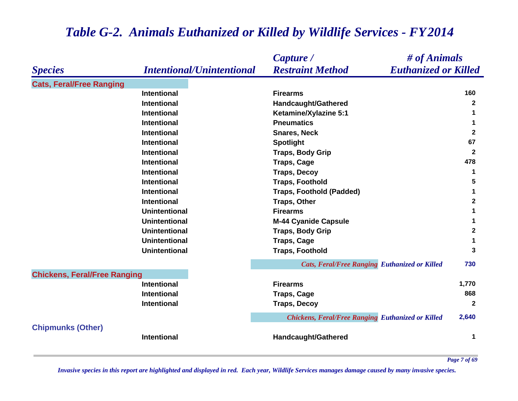|                                     |                                  | # of Animals<br>Capture /                                |              |
|-------------------------------------|----------------------------------|----------------------------------------------------------|--------------|
| <b>Species</b>                      | <b>Intentional/Unintentional</b> | <b>Euthanized or Killed</b><br><b>Restraint Method</b>   |              |
| <b>Cats, Feral/Free Ranging</b>     |                                  |                                                          |              |
|                                     | <b>Intentional</b>               | <b>Firearms</b>                                          | 160          |
|                                     | <b>Intentional</b>               | Handcaught/Gathered                                      | $\mathbf{2}$ |
|                                     | <b>Intentional</b>               | <b>Ketamine/Xylazine 5:1</b>                             | 1            |
|                                     | <b>Intentional</b>               | <b>Pneumatics</b>                                        | 1            |
|                                     | Intentional                      | <b>Snares, Neck</b>                                      | $\mathbf{2}$ |
|                                     | <b>Intentional</b>               | <b>Spotlight</b>                                         | 67           |
|                                     | <b>Intentional</b>               | <b>Traps, Body Grip</b>                                  | $\mathbf{2}$ |
|                                     | Intentional                      | <b>Traps, Cage</b>                                       | 478          |
|                                     | Intentional                      | <b>Traps, Decoy</b>                                      | 1            |
|                                     | Intentional                      | <b>Traps, Foothold</b>                                   | 5            |
|                                     | <b>Intentional</b>               | <b>Traps, Foothold (Padded)</b>                          | 1            |
|                                     | Intentional                      | <b>Traps, Other</b>                                      | $\mathbf{2}$ |
|                                     | <b>Unintentional</b>             | <b>Firearms</b>                                          | 1            |
|                                     | <b>Unintentional</b>             | <b>M-44 Cyanide Capsule</b>                              | 1            |
|                                     | <b>Unintentional</b>             | <b>Traps, Body Grip</b>                                  | $\mathbf{2}$ |
|                                     | <b>Unintentional</b>             | <b>Traps, Cage</b>                                       | 1            |
|                                     | <b>Unintentional</b>             | <b>Traps, Foothold</b>                                   | 3            |
|                                     |                                  | <b>Cats, Feral/Free Ranging Euthanized or Killed</b>     | 730          |
| <b>Chickens, Feral/Free Ranging</b> |                                  |                                                          |              |
|                                     | <b>Intentional</b>               | <b>Firearms</b>                                          | 1,770        |
|                                     | Intentional                      | <b>Traps, Cage</b>                                       | 868          |
|                                     | <b>Intentional</b>               | <b>Traps, Decoy</b>                                      | $\mathbf{2}$ |
|                                     |                                  | <b>Chickens, Feral/Free Ranging Euthanized or Killed</b> | 2,640        |
| <b>Chipmunks (Other)</b>            |                                  |                                                          |              |
|                                     | <b>Intentional</b>               | Handcaught/Gathered                                      | 1            |

*Invasive species in this report are highlighted and displayed in red. Each year, Wildlife Services manages damage caused by many invasive species.* 

*Page 7 of 69*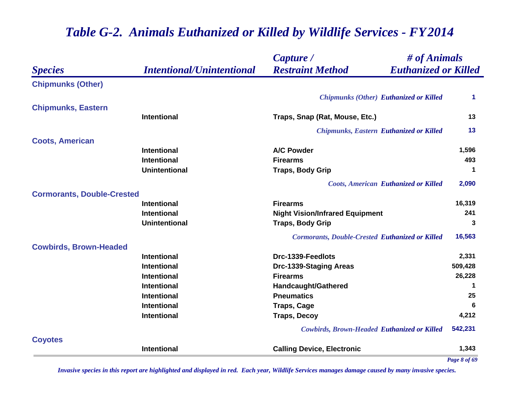|                                   |                                  | Capture /                                              | # of Animals         |  |
|-----------------------------------|----------------------------------|--------------------------------------------------------|----------------------|--|
| <b>Species</b>                    | <b>Intentional/Unintentional</b> | <b>Restraint Method</b><br><b>Euthanized or Killed</b> |                      |  |
| <b>Chipmunks (Other)</b>          |                                  |                                                        |                      |  |
|                                   |                                  | <b>Chipmunks (Other) Euthanized or Killed</b>          | $\blacktriangleleft$ |  |
| <b>Chipmunks, Eastern</b>         |                                  |                                                        |                      |  |
|                                   | <b>Intentional</b>               | Traps, Snap (Rat, Mouse, Etc.)                         | 13                   |  |
|                                   |                                  | <b>Chipmunks, Eastern Euthanized or Killed</b>         | 13                   |  |
| <b>Coots, American</b>            |                                  |                                                        |                      |  |
|                                   | <b>Intentional</b>               | <b>A/C Powder</b>                                      | 1,596                |  |
|                                   | <b>Intentional</b>               | <b>Firearms</b>                                        | 493                  |  |
|                                   | <b>Unintentional</b>             | <b>Traps, Body Grip</b>                                | $\mathbf 1$          |  |
|                                   |                                  | <b>Coots, American Euthanized or Killed</b>            | 2,090                |  |
| <b>Cormorants, Double-Crested</b> |                                  |                                                        |                      |  |
|                                   | <b>Intentional</b>               | <b>Firearms</b>                                        | 16,319               |  |
|                                   | <b>Intentional</b>               | <b>Night Vision/Infrared Equipment</b>                 | 241                  |  |
|                                   | <b>Unintentional</b>             | <b>Traps, Body Grip</b>                                | 3                    |  |
|                                   |                                  | <b>Cormorants, Double-Crested Euthanized or Killed</b> | 16,563               |  |
| <b>Cowbirds, Brown-Headed</b>     |                                  |                                                        |                      |  |
|                                   | <b>Intentional</b>               | Drc-1339-Feedlots                                      | 2,331                |  |
|                                   | <b>Intentional</b>               | Drc-1339-Staging Areas                                 | 509,428              |  |
|                                   | <b>Intentional</b>               | <b>Firearms</b>                                        | 26,228               |  |
|                                   | <b>Intentional</b>               | Handcaught/Gathered                                    | $\mathbf 1$          |  |
|                                   | <b>Intentional</b>               | <b>Pneumatics</b>                                      | 25                   |  |
|                                   | <b>Intentional</b>               | <b>Traps, Cage</b>                                     | 6                    |  |
|                                   | <b>Intentional</b>               | <b>Traps, Decoy</b>                                    | 4,212                |  |
|                                   |                                  | <b>Cowbirds, Brown-Headed Euthanized or Killed</b>     | 542,231              |  |
| <b>Coyotes</b>                    |                                  |                                                        |                      |  |
|                                   | <b>Intentional</b>               | <b>Calling Device, Electronic</b>                      | 1,343                |  |
|                                   |                                  |                                                        | Page 8 of 69         |  |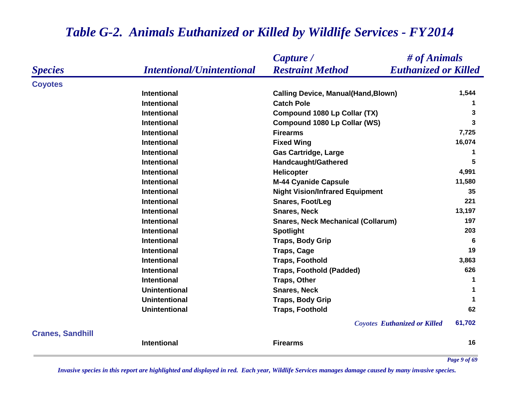|                         |                                  | # of Animals<br>Capture /                              |              |
|-------------------------|----------------------------------|--------------------------------------------------------|--------------|
| <b>Species</b>          | <b>Intentional/Unintentional</b> | <b>Euthanized or Killed</b><br><b>Restraint Method</b> |              |
| <b>Coyotes</b>          |                                  |                                                        |              |
|                         | <b>Intentional</b>               | <b>Calling Device, Manual(Hand, Blown)</b>             | 1,544        |
|                         | <b>Intentional</b>               | <b>Catch Pole</b>                                      | 1            |
|                         | Intentional                      | Compound 1080 Lp Collar (TX)                           | 3            |
|                         | <b>Intentional</b>               | Compound 1080 Lp Collar (WS)                           | 3            |
|                         | <b>Intentional</b>               | <b>Firearms</b>                                        | 7,725        |
|                         | <b>Intentional</b>               | <b>Fixed Wing</b>                                      | 16,074       |
|                         | <b>Intentional</b>               | <b>Gas Cartridge, Large</b>                            | 1            |
|                         | <b>Intentional</b>               | Handcaught/Gathered                                    | 5            |
|                         | <b>Intentional</b>               | Helicopter                                             | 4,991        |
|                         | <b>Intentional</b>               | <b>M-44 Cyanide Capsule</b>                            | 11,580       |
|                         | <b>Intentional</b>               | <b>Night Vision/Infrared Equipment</b>                 | 35           |
|                         | Intentional                      | <b>Snares, Foot/Leg</b>                                | 221          |
|                         | <b>Intentional</b>               | <b>Snares, Neck</b>                                    | 13,197       |
|                         | <b>Intentional</b>               | <b>Snares, Neck Mechanical (Collarum)</b>              | 197          |
|                         | <b>Intentional</b>               | <b>Spotlight</b>                                       | 203          |
|                         | <b>Intentional</b>               | <b>Traps, Body Grip</b>                                | 6            |
|                         | <b>Intentional</b>               | <b>Traps, Cage</b>                                     | 19           |
|                         | <b>Intentional</b>               | <b>Traps, Foothold</b>                                 | 3,863        |
|                         | <b>Intentional</b>               | <b>Traps, Foothold (Padded)</b>                        | 626          |
|                         | <b>Intentional</b>               | <b>Traps, Other</b>                                    | 1            |
|                         | <b>Unintentional</b>             | <b>Snares, Neck</b>                                    |              |
|                         | <b>Unintentional</b>             | <b>Traps, Body Grip</b>                                | 1            |
|                         | <b>Unintentional</b>             | <b>Traps, Foothold</b>                                 | 62           |
|                         |                                  | <b>Coyotes Euthanized or Killed</b>                    | 61,702       |
| <b>Cranes, Sandhill</b> | Intentional                      | <b>Firearms</b>                                        | 16           |
|                         |                                  |                                                        | Page 9 of 69 |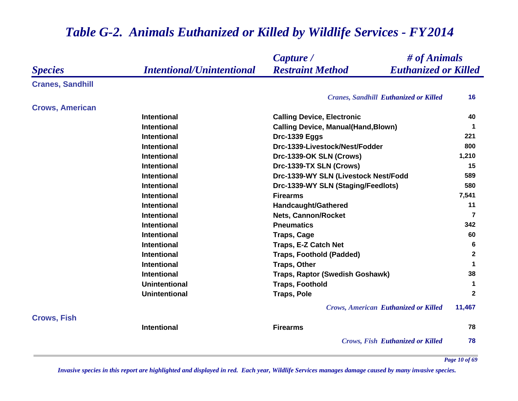#### *Species Capture / Restraint Method # of Animals Intentional/Unintentional Euthanized or Killed* **Cranes, Sandhill** *Cranes, Sandhill Euthanized or Killed* **16 Crows, American Intentional Calling Device, Electronic <sup>40</sup> Intentional Calling Device, Manual(Hand,Blown) <sup>1</sup> Intentional Drc-1339 Eggs <sup>221</sup> Intentional Drc-1339-Livestock/Nest/Fodder 800 Intentional Drc-1339-OK SLN (Crows) 1,210 Intentional Drc-1339-TX SLN (Crows) 15 Intentional Drc-1339-WY SLN (Livestock Nest/Fodd 589 Intentional Drc-1339-WY SLN (Staging/Feedlots) <sup>580</sup> Intentional Firearms 7,541 Intentional Handcaught/Gathered <sup>11</sup> Intentional Constructional Research** *Intentional* **7 Intentional Pneumatics 342 Intentional Traps, Cage <sup>60</sup> Intentional Traps, E-Z Catch Net 6 Intentional Traps, Foothold (Padded) <sup>2</sup> Intentional Traps, Other <sup>1</sup> Intentional Traps, Raptor (Swedish Goshawk) 38 Unintentional Traps, Foothold <sup>1</sup> Unintentional Traps, Pole <sup>2</sup>** *Crows, American Euthanized or Killed* **11,467 Crows, Fish Intentional Firearms 78** *Crows, Fish Euthanized or Killed* **78**

#### *Table G-2. Animals Euthanized or Killed by Wildlife Services - FY 2014*

*Invasive species in this report are highlighted and displayed in red. Each year, Wildlife Services manages damage caused by many invasive species.* 

*Page 10 of 69*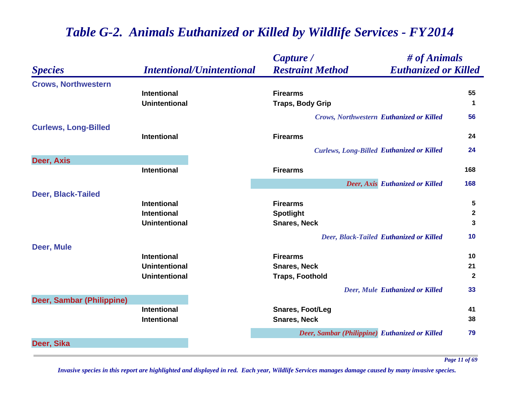|                             |                                  | Capture /                                        | # of Animals                                   |                      |
|-----------------------------|----------------------------------|--------------------------------------------------|------------------------------------------------|----------------------|
| <b>Species</b>              | <b>Intentional/Unintentional</b> | <b>Restraint Method</b>                          | <b>Euthanized or Killed</b>                    |                      |
| <b>Crows, Northwestern</b>  |                                  |                                                  |                                                |                      |
|                             | <b>Intentional</b>               | <b>Firearms</b>                                  |                                                | 55                   |
|                             | <b>Unintentional</b>             | <b>Traps, Body Grip</b>                          |                                                | $\blacktriangleleft$ |
|                             |                                  | <b>Crows, Northwestern Euthanized or Killed</b>  |                                                | 56                   |
| <b>Curlews, Long-Billed</b> |                                  |                                                  |                                                |                      |
|                             | <b>Intentional</b>               | <b>Firearms</b>                                  |                                                | 24                   |
|                             |                                  | <b>Curlews, Long-Billed Euthanized or Killed</b> |                                                | 24                   |
| Deer, Axis                  |                                  |                                                  |                                                |                      |
|                             | <b>Intentional</b>               | <b>Firearms</b>                                  |                                                | 168                  |
|                             |                                  |                                                  | Deer, Axis Euthanized or Killed                | 168                  |
| <b>Deer, Black-Tailed</b>   |                                  |                                                  |                                                |                      |
|                             | <b>Intentional</b>               | <b>Firearms</b>                                  |                                                | 5                    |
|                             | <b>Intentional</b>               | <b>Spotlight</b>                                 |                                                | $\mathbf{2}$         |
|                             | <b>Unintentional</b>             | <b>Snares, Neck</b>                              |                                                | 3                    |
|                             |                                  |                                                  | <b>Deer, Black-Tailed Euthanized or Killed</b> | 10                   |
| Deer, Mule                  |                                  |                                                  |                                                |                      |
|                             | <b>Intentional</b>               | <b>Firearms</b>                                  |                                                | 10                   |
|                             | <b>Unintentional</b>             | <b>Snares, Neck</b>                              |                                                | 21                   |
|                             | <b>Unintentional</b>             | <b>Traps, Foothold</b>                           |                                                | $\mathbf{2}$         |
|                             |                                  |                                                  | <b>Deer, Mule Euthanized or Killed</b>         | 33                   |
| Deer, Sambar (Philippine)   |                                  |                                                  |                                                |                      |
|                             | <b>Intentional</b>               | <b>Snares, Foot/Leg</b>                          |                                                | 41                   |
|                             | <b>Intentional</b>               | <b>Snares, Neck</b>                              |                                                | 38                   |
|                             |                                  | Deer, Sambar (Philippine) Euthanized or Killed   |                                                | 79                   |
| Deer, Sika                  |                                  |                                                  |                                                |                      |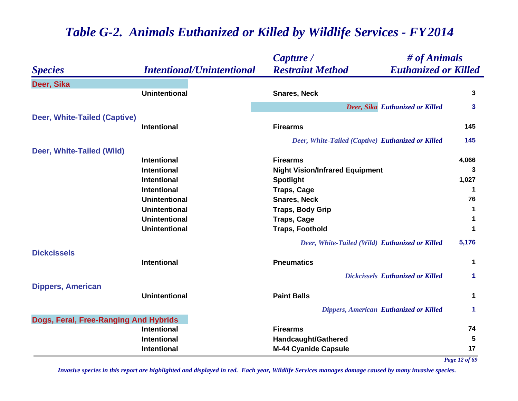|                                       |                                  | Capture /                                         | # of Animals                                  |                             |
|---------------------------------------|----------------------------------|---------------------------------------------------|-----------------------------------------------|-----------------------------|
| <b>Species</b>                        | <b>Intentional/Unintentional</b> | <b>Restraint Method</b>                           | <b>Euthanized or Killed</b>                   |                             |
| Deer, Sika                            |                                  |                                                   |                                               |                             |
|                                       | <b>Unintentional</b>             | <b>Snares, Neck</b>                               |                                               | 3                           |
|                                       |                                  |                                                   | Deer, Sika Euthanized or Killed               | 3                           |
| Deer, White-Tailed (Captive)          |                                  |                                                   |                                               |                             |
|                                       | <b>Intentional</b>               | <b>Firearms</b>                                   |                                               | 145                         |
|                                       |                                  | Deer, White-Tailed (Captive) Euthanized or Killed |                                               | 145                         |
| Deer, White-Tailed (Wild)             |                                  |                                                   |                                               |                             |
|                                       | <b>Intentional</b>               | <b>Firearms</b>                                   |                                               | 4,066                       |
|                                       | <b>Intentional</b>               | <b>Night Vision/Infrared Equipment</b>            |                                               | 3                           |
|                                       | Intentional                      | <b>Spotlight</b>                                  |                                               | 1,027                       |
|                                       | Intentional                      | <b>Traps, Cage</b>                                |                                               | 1                           |
|                                       | <b>Unintentional</b>             | <b>Snares, Neck</b>                               |                                               | 76                          |
|                                       | <b>Unintentional</b>             | <b>Traps, Body Grip</b>                           |                                               | 1                           |
|                                       | <b>Unintentional</b>             | <b>Traps, Cage</b>                                |                                               |                             |
|                                       | <b>Unintentional</b>             | <b>Traps, Foothold</b>                            |                                               |                             |
|                                       |                                  | Deer, White-Tailed (Wild) Euthanized or Killed    |                                               | 5,176                       |
| <b>Dickcissels</b>                    |                                  |                                                   |                                               |                             |
|                                       | Intentional                      | <b>Pneumatics</b>                                 |                                               | 1                           |
|                                       |                                  |                                                   | <b>Dickcissels Euthanized or Killed</b>       | 1                           |
| <b>Dippers, American</b>              |                                  |                                                   |                                               |                             |
|                                       | <b>Unintentional</b>             | <b>Paint Balls</b>                                |                                               | 1                           |
|                                       |                                  |                                                   |                                               | 1                           |
|                                       |                                  |                                                   |                                               |                             |
|                                       | Intentional                      | <b>Firearms</b>                                   |                                               | 74                          |
|                                       | Intentional                      | <b>Handcaught/Gathered</b>                        |                                               | 5                           |
|                                       | <b>Intentional</b>               | <b>M-44 Cyanide Capsule</b>                       |                                               | 17                          |
| Dogs, Feral, Free-Ranging And Hybrids |                                  |                                                   | <b>Dippers, American Euthanized or Killed</b> | $\mathbf{12}$ $\mathbf{12}$ |

*Page 12 of 69*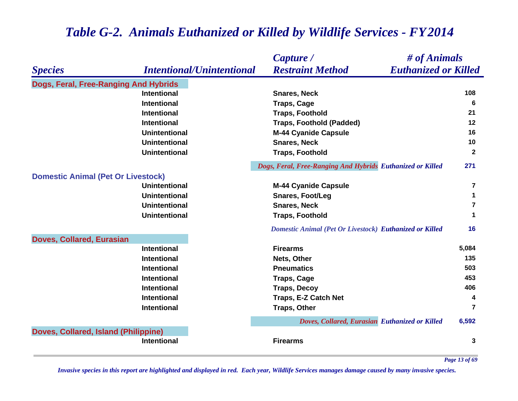|                                           |                                  | # of Animals<br>Capture /                                      |                      |
|-------------------------------------------|----------------------------------|----------------------------------------------------------------|----------------------|
| <b>Species</b>                            | <b>Intentional/Unintentional</b> | <b>Euthanized or Killed</b><br><b>Restraint Method</b>         |                      |
| Dogs, Feral, Free-Ranging And Hybrids     |                                  |                                                                |                      |
|                                           | <b>Intentional</b>               | <b>Snares, Neck</b>                                            | 108                  |
|                                           | <b>Intentional</b>               | <b>Traps, Cage</b>                                             | 6                    |
|                                           | <b>Intentional</b>               | <b>Traps, Foothold</b>                                         | 21                   |
|                                           | <b>Intentional</b>               | <b>Traps, Foothold (Padded)</b>                                | 12                   |
|                                           | <b>Unintentional</b>             | <b>M-44 Cyanide Capsule</b>                                    | 16                   |
|                                           | <b>Unintentional</b>             | <b>Snares, Neck</b>                                            | 10                   |
|                                           | <b>Unintentional</b>             | <b>Traps, Foothold</b>                                         | $\mathbf{2}$         |
|                                           |                                  | Dogs, Feral, Free-Ranging And Hybrids Euthanized or Killed     | 271                  |
| <b>Domestic Animal (Pet Or Livestock)</b> |                                  |                                                                |                      |
|                                           | <b>Unintentional</b>             | <b>M-44 Cyanide Capsule</b>                                    | $\overline{7}$       |
|                                           | <b>Unintentional</b>             | <b>Snares, Foot/Leg</b>                                        | 1                    |
|                                           | <b>Unintentional</b>             | <b>Snares, Neck</b>                                            | $\overline{7}$       |
|                                           | <b>Unintentional</b>             | <b>Traps, Foothold</b>                                         | $\blacktriangleleft$ |
|                                           |                                  | <b>Domestic Animal (Pet Or Livestock) Euthanized or Killed</b> | 16                   |
| <b>Doves, Collared, Eurasian</b>          |                                  |                                                                |                      |
|                                           | <b>Intentional</b>               | <b>Firearms</b>                                                | 5,084                |
|                                           | <b>Intentional</b>               | Nets, Other                                                    | 135                  |
|                                           | <b>Intentional</b>               | <b>Pneumatics</b>                                              | 503                  |
|                                           | <b>Intentional</b>               | <b>Traps, Cage</b>                                             | 453                  |
|                                           | <b>Intentional</b>               | <b>Traps, Decoy</b>                                            | 406                  |
|                                           | <b>Intentional</b>               | Traps, E-Z Catch Net                                           | 4                    |
|                                           | <b>Intentional</b>               | <b>Traps, Other</b>                                            | $\overline{7}$       |
|                                           |                                  | Doves, Collared, Eurasian Euthanized or Killed                 | 6,592                |
| Doves, Collared, Island (Philippine)      |                                  |                                                                |                      |
|                                           | <b>Intentional</b>               | <b>Firearms</b>                                                | 3                    |

*Invasive species in this report are highlighted and displayed in red. Each year, Wildlife Services manages damage caused by many invasive species.* 

*Page 13 of 69*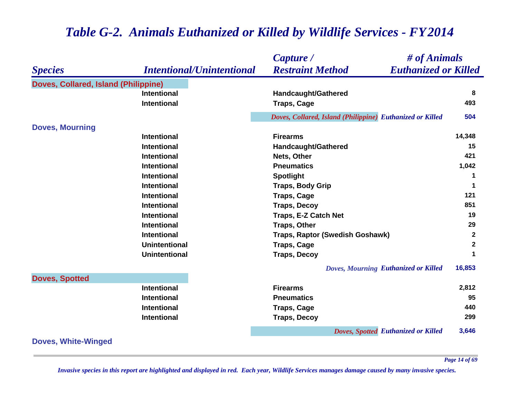|                                      |                                          | # of Animals<br>Capture /                                 |              |
|--------------------------------------|------------------------------------------|-----------------------------------------------------------|--------------|
| <b>Species</b>                       | <b>Intentional/Unintentional</b>         | <b>Restraint Method</b><br><b>Euthanized or Killed</b>    |              |
| Doves, Collared, Island (Philippine) |                                          |                                                           |              |
|                                      | <b>Intentional</b>                       | <b>Handcaught/Gathered</b>                                | 8            |
|                                      | <b>Intentional</b>                       | <b>Traps, Cage</b>                                        | 493          |
|                                      |                                          | Doves, Collared, Island (Philippine) Euthanized or Killed | 504          |
| <b>Doves, Mourning</b>               |                                          |                                                           |              |
|                                      | <b>Intentional</b>                       | <b>Firearms</b>                                           | 14,348       |
|                                      | <b>Intentional</b>                       | <b>Handcaught/Gathered</b>                                | 15           |
|                                      | <b>Intentional</b>                       | Nets, Other                                               | 421          |
|                                      | <b>Intentional</b>                       | <b>Pneumatics</b>                                         | 1,042        |
|                                      | <b>Intentional</b>                       | <b>Spotlight</b>                                          | 1            |
|                                      | <b>Intentional</b>                       | <b>Traps, Body Grip</b>                                   | $\mathbf 1$  |
|                                      | <b>Intentional</b>                       | <b>Traps, Cage</b>                                        | 121          |
|                                      | <b>Intentional</b>                       | <b>Traps, Decoy</b>                                       | 851          |
|                                      | <b>Intentional</b>                       | Traps, E-Z Catch Net                                      | 19           |
|                                      | <b>Intentional</b>                       | <b>Traps, Other</b>                                       | 29           |
|                                      | <b>Intentional</b>                       | Traps, Raptor (Swedish Goshawk)                           | $\mathbf{2}$ |
|                                      | <b>Unintentional</b>                     | <b>Traps, Cage</b>                                        | $\mathbf{2}$ |
|                                      | <b>Unintentional</b>                     | <b>Traps, Decoy</b>                                       | 1            |
|                                      |                                          | Doves, Mourning Euthanized or Killed                      | 16,853       |
| <b>Doves, Spotted</b>                | <b>Intentional</b>                       | <b>Firearms</b>                                           | 2,812        |
|                                      |                                          |                                                           | 95           |
|                                      | <b>Intentional</b><br><b>Intentional</b> | <b>Pneumatics</b>                                         | 440          |
|                                      |                                          | <b>Traps, Cage</b>                                        | 299          |
|                                      | Intentional                              | <b>Traps, Decoy</b>                                       |              |
|                                      |                                          | Doves, Spotted Euthanized or Killed                       | 3,646        |
| <b>Doves, White-Winged</b>           |                                          |                                                           |              |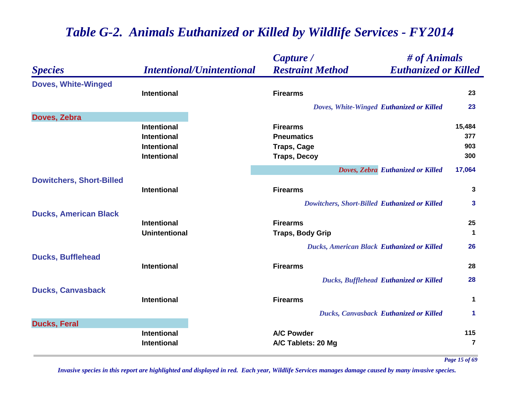|                                 |                                  | # of Animals<br>Capture /                              |                      |
|---------------------------------|----------------------------------|--------------------------------------------------------|----------------------|
| <b>Species</b>                  | <b>Intentional/Unintentional</b> | <b>Restraint Method</b><br><b>Euthanized or Killed</b> |                      |
| <b>Doves, White-Winged</b>      |                                  |                                                        |                      |
|                                 | <b>Intentional</b>               | <b>Firearms</b>                                        | 23                   |
|                                 |                                  | Doves, White-Winged Euthanized or Killed               | 23                   |
| Doves, Zebra                    |                                  |                                                        |                      |
|                                 | <b>Intentional</b>               | <b>Firearms</b>                                        | 15,484               |
|                                 | <b>Intentional</b>               | <b>Pneumatics</b>                                      | 377                  |
|                                 | <b>Intentional</b>               | <b>Traps, Cage</b>                                     | 903                  |
|                                 | <b>Intentional</b>               | <b>Traps, Decoy</b>                                    | 300                  |
|                                 |                                  | Doves, Zebra Euthanized or Killed                      | 17,064               |
| <b>Dowitchers, Short-Billed</b> |                                  |                                                        |                      |
|                                 | <b>Intentional</b>               | <b>Firearms</b>                                        | 3                    |
|                                 |                                  | Dowitchers, Short-Billed Euthanized or Killed          | 3                    |
| <b>Ducks, American Black</b>    |                                  |                                                        |                      |
|                                 | <b>Intentional</b>               | <b>Firearms</b>                                        | 25                   |
|                                 | <b>Unintentional</b>             | <b>Traps, Body Grip</b>                                | $\mathbf 1$          |
|                                 |                                  | <b>Ducks, American Black Euthanized or Killed</b>      | 26                   |
| <b>Ducks, Bufflehead</b>        |                                  |                                                        |                      |
|                                 | <b>Intentional</b>               | <b>Firearms</b>                                        | 28                   |
|                                 |                                  | <b>Ducks, Bufflehead Euthanized or Killed</b>          | 28                   |
| <b>Ducks, Canvasback</b>        |                                  |                                                        |                      |
|                                 | <b>Intentional</b>               | <b>Firearms</b>                                        | $\mathbf 1$          |
|                                 |                                  | <b>Ducks, Canvasback Euthanized or Killed</b>          | $\blacktriangleleft$ |
| <b>Ducks, Feral</b>             |                                  |                                                        |                      |
|                                 | <b>Intentional</b>               | <b>A/C Powder</b>                                      | 115                  |
|                                 | <b>Intentional</b>               | A/C Tablets: 20 Mg                                     | $\overline{7}$       |
|                                 |                                  |                                                        |                      |

*Page 15 of 69*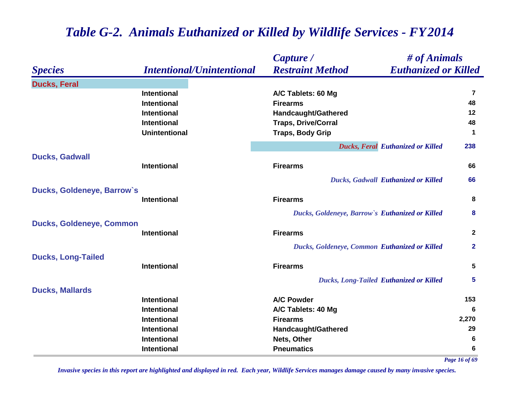|                                 |                                  | Capture /                                       | # of Animals                               |                |
|---------------------------------|----------------------------------|-------------------------------------------------|--------------------------------------------|----------------|
| <b>Species</b>                  | <b>Intentional/Unintentional</b> | <b>Restraint Method</b>                         | <b>Euthanized or Killed</b>                |                |
| <b>Ducks, Feral</b>             |                                  |                                                 |                                            |                |
|                                 | <b>Intentional</b>               | A/C Tablets: 60 Mg                              |                                            | $\overline{7}$ |
|                                 | <b>Intentional</b>               | <b>Firearms</b>                                 |                                            | 48             |
|                                 | <b>Intentional</b>               | <b>Handcaught/Gathered</b>                      |                                            | 12             |
|                                 | <b>Intentional</b>               | <b>Traps, Drive/Corral</b>                      |                                            | 48             |
|                                 | <b>Unintentional</b>             | <b>Traps, Body Grip</b>                         |                                            | $\mathbf 1$    |
|                                 |                                  |                                                 | <b>Ducks, Feral Euthanized or Killed</b>   | 238            |
| <b>Ducks, Gadwall</b>           | <b>Intentional</b>               | <b>Firearms</b>                                 |                                            | 66             |
|                                 |                                  |                                                 |                                            |                |
|                                 |                                  |                                                 | <b>Ducks, Gadwall Euthanized or Killed</b> | 66             |
| Ducks, Goldeneye, Barrow's      | <b>Intentional</b>               | <b>Firearms</b>                                 |                                            | 8              |
|                                 |                                  | Ducks, Goldeneye, Barrow's Euthanized or Killed |                                            | 8              |
| <b>Ducks, Goldeneye, Common</b> |                                  |                                                 |                                            |                |
|                                 | <b>Intentional</b>               | <b>Firearms</b>                                 |                                            | $\mathbf{2}$   |
|                                 |                                  | Ducks, Goldeneye, Common Euthanized or Killed   |                                            | $\mathbf{2}$   |
| <b>Ducks, Long-Tailed</b>       |                                  |                                                 |                                            |                |
|                                 | <b>Intentional</b>               | <b>Firearms</b>                                 |                                            | 5              |
|                                 |                                  | <b>Ducks, Long-Tailed Euthanized or Killed</b>  |                                            | 5              |
| <b>Ducks, Mallards</b>          |                                  |                                                 |                                            |                |
|                                 | <b>Intentional</b>               | <b>A/C Powder</b>                               |                                            | 153            |
|                                 | <b>Intentional</b>               | A/C Tablets: 40 Mg                              |                                            | 6              |
|                                 | <b>Intentional</b>               | <b>Firearms</b>                                 |                                            | 2,270          |
|                                 | <b>Intentional</b>               | Handcaught/Gathered                             |                                            | 29             |
|                                 | <b>Intentional</b>               | Nets, Other                                     |                                            | 6              |
|                                 | <b>Intentional</b>               | <b>Pneumatics</b>                               |                                            | 6              |

*Page 16 of 69*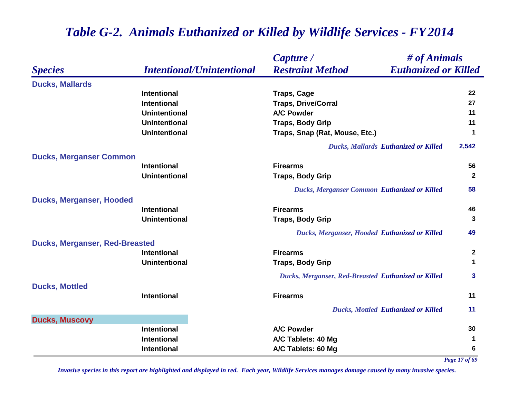|                                       |                                  | Capture /                                           | # of Animals                |
|---------------------------------------|----------------------------------|-----------------------------------------------------|-----------------------------|
| <b>Species</b>                        | <b>Intentional/Unintentional</b> | <b>Restraint Method</b>                             | <b>Euthanized or Killed</b> |
| <b>Ducks, Mallards</b>                |                                  |                                                     |                             |
|                                       | <b>Intentional</b>               | <b>Traps, Cage</b>                                  | 22                          |
|                                       | <b>Intentional</b>               | <b>Traps, Drive/Corral</b>                          | 27                          |
|                                       | <b>Unintentional</b>             | <b>A/C Powder</b>                                   | 11                          |
|                                       | <b>Unintentional</b>             | <b>Traps, Body Grip</b>                             | 11                          |
|                                       | <b>Unintentional</b>             | Traps, Snap (Rat, Mouse, Etc.)                      | 1                           |
|                                       |                                  | <b>Ducks, Mallards Euthanized or Killed</b>         | 2,542                       |
| <b>Ducks, Merganser Common</b>        |                                  |                                                     |                             |
|                                       | <b>Intentional</b>               | <b>Firearms</b>                                     | 56                          |
|                                       | <b>Unintentional</b>             | <b>Traps, Body Grip</b>                             | $\mathbf{2}$                |
|                                       |                                  | <b>Ducks, Merganser Common Euthanized or Killed</b> | 58                          |
| <b>Ducks, Merganser, Hooded</b>       |                                  |                                                     |                             |
|                                       | <b>Intentional</b>               | <b>Firearms</b>                                     | 46                          |
|                                       | <b>Unintentional</b>             | <b>Traps, Body Grip</b>                             | 3                           |
|                                       |                                  | Ducks, Merganser, Hooded Euthanized or Killed       | 49                          |
| <b>Ducks, Merganser, Red-Breasted</b> |                                  |                                                     |                             |
|                                       | <b>Intentional</b>               | <b>Firearms</b>                                     | $\mathbf{2}$                |
|                                       | <b>Unintentional</b>             | <b>Traps, Body Grip</b>                             | 1                           |
|                                       |                                  | Ducks, Merganser, Red-Breasted Euthanized or Killed | 3                           |
| <b>Ducks, Mottled</b>                 |                                  |                                                     |                             |
|                                       | <b>Intentional</b>               | <b>Firearms</b>                                     | 11                          |
|                                       |                                  | <b>Ducks, Mottled Euthanized or Killed</b>          | 11                          |
| <b>Ducks, Muscovy</b>                 |                                  |                                                     |                             |
|                                       | <b>Intentional</b>               | <b>A/C Powder</b>                                   | 30                          |
|                                       | Intentional                      | A/C Tablets: 40 Mg                                  | 1                           |
|                                       | Intentional                      | A/C Tablets: 60 Mg                                  | 6                           |

*Page 17 of 69*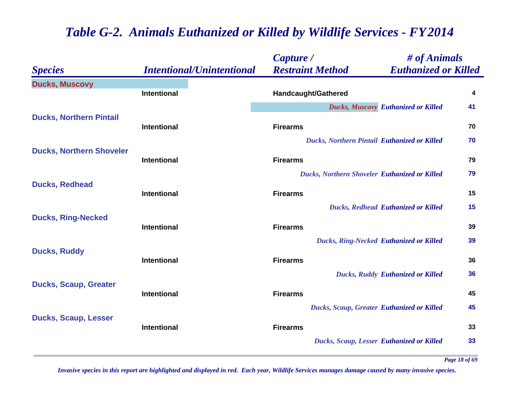|                                 |                                  | Capture /                                        | # of Animals                               |    |
|---------------------------------|----------------------------------|--------------------------------------------------|--------------------------------------------|----|
| <b>Species</b>                  | <b>Intentional/Unintentional</b> | <b>Restraint Method</b>                          | <b>Euthanized or Killed</b>                |    |
| <b>Ducks, Muscovy</b>           | <b>Intentional</b>               |                                                  |                                            | 4  |
|                                 |                                  | <b>Handcaught/Gathered</b>                       |                                            |    |
|                                 |                                  |                                                  | <b>Ducks, Muscovy Euthanized or Killed</b> | 41 |
| <b>Ducks, Northern Pintail</b>  | <b>Intentional</b>               | <b>Firearms</b>                                  |                                            | 70 |
|                                 |                                  | Ducks, Northern Pintail Euthanized or Killed     |                                            | 70 |
| <b>Ducks, Northern Shoveler</b> | <b>Intentional</b>               | <b>Firearms</b>                                  |                                            | 79 |
|                                 |                                  | Ducks, Northern Shoveler Euthanized or Killed    |                                            | 79 |
| <b>Ducks, Redhead</b>           |                                  |                                                  |                                            |    |
|                                 | <b>Intentional</b>               | <b>Firearms</b>                                  |                                            | 15 |
|                                 |                                  |                                                  | <b>Ducks, Redhead Euthanized or Killed</b> | 15 |
| <b>Ducks, Ring-Necked</b>       |                                  |                                                  |                                            |    |
|                                 | <b>Intentional</b>               | <b>Firearms</b>                                  |                                            | 39 |
|                                 |                                  | <b>Ducks, Ring-Necked Euthanized or Killed</b>   |                                            | 39 |
| <b>Ducks, Ruddy</b>             | <b>Intentional</b>               | <b>Firearms</b>                                  |                                            | 36 |
|                                 |                                  |                                                  | <b>Ducks, Ruddy Euthanized or Killed</b>   | 36 |
| <b>Ducks, Scaup, Greater</b>    |                                  |                                                  |                                            |    |
|                                 | <b>Intentional</b>               | <b>Firearms</b>                                  |                                            | 45 |
|                                 |                                  | Ducks, Scaup, Greater Euthanized or Killed       |                                            | 45 |
| <b>Ducks, Scaup, Lesser</b>     |                                  |                                                  |                                            |    |
|                                 | <b>Intentional</b>               | <b>Firearms</b>                                  |                                            | 33 |
|                                 |                                  | <b>Ducks, Scaup, Lesser Euthanized or Killed</b> |                                            | 33 |
|                                 |                                  |                                                  |                                            |    |

*Page 18 of 69*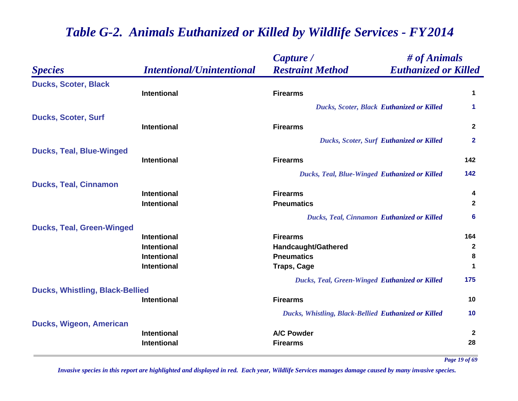|                                        |                                          | Capture /                                             | # of Animals                |
|----------------------------------------|------------------------------------------|-------------------------------------------------------|-----------------------------|
| <b>Species</b>                         | <b>Intentional/Unintentional</b>         | <b>Restraint Method</b>                               | <b>Euthanized or Killed</b> |
| <b>Ducks, Scoter, Black</b>            |                                          |                                                       |                             |
|                                        | <b>Intentional</b>                       | <b>Firearms</b>                                       | 1                           |
|                                        |                                          | <b>Ducks, Scoter, Black Euthanized or Killed</b>      | 1                           |
| <b>Ducks, Scoter, Surf</b>             |                                          |                                                       |                             |
|                                        | <b>Intentional</b>                       | <b>Firearms</b>                                       | $\mathbf{2}$                |
|                                        |                                          | <b>Ducks, Scoter, Surf Euthanized or Killed</b>       | $\mathbf{2}$                |
| <b>Ducks, Teal, Blue-Winged</b>        |                                          |                                                       |                             |
|                                        | <b>Intentional</b>                       | <b>Firearms</b>                                       | 142                         |
|                                        |                                          | Ducks, Teal, Blue-Winged Euthanized or Killed         | 142                         |
| <b>Ducks, Teal, Cinnamon</b>           |                                          |                                                       |                             |
|                                        | <b>Intentional</b><br><b>Intentional</b> | <b>Firearms</b><br><b>Pneumatics</b>                  | 4<br>$\mathbf{2}$           |
|                                        |                                          |                                                       |                             |
|                                        |                                          | <b>Ducks, Teal, Cinnamon Euthanized or Killed</b>     | 6                           |
| <b>Ducks, Teal, Green-Winged</b>       | <b>Intentional</b>                       | <b>Firearms</b>                                       | 164                         |
|                                        | <b>Intentional</b>                       | <b>Handcaught/Gathered</b>                            | $\mathbf{2}$                |
|                                        | <b>Intentional</b>                       | <b>Pneumatics</b>                                     | 8                           |
|                                        | <b>Intentional</b>                       | <b>Traps, Cage</b>                                    | 1                           |
|                                        |                                          | <b>Ducks, Teal, Green-Winged Euthanized or Killed</b> | 175                         |
| <b>Ducks, Whistling, Black-Bellied</b> |                                          |                                                       |                             |
|                                        | <b>Intentional</b>                       | <b>Firearms</b>                                       | 10                          |
|                                        |                                          | Ducks, Whistling, Black-Bellied Euthanized or Killed  | 10                          |
| Ducks, Wigeon, American                |                                          |                                                       |                             |
|                                        | <b>Intentional</b>                       | <b>A/C Powder</b>                                     | 2                           |
|                                        | <b>Intentional</b>                       | <b>Firearms</b>                                       | 28                          |

*Page 19 of 69*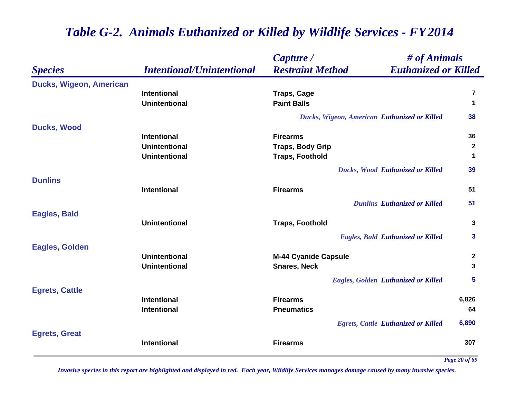|                                |                                  | Capture /                                    | # of Animals                               |              |
|--------------------------------|----------------------------------|----------------------------------------------|--------------------------------------------|--------------|
| <b>Species</b>                 | <b>Intentional/Unintentional</b> | <b>Restraint Method</b>                      | <b>Euthanized or Killed</b>                |              |
| <b>Ducks, Wigeon, American</b> |                                  |                                              |                                            |              |
|                                | <b>Intentional</b>               | <b>Traps, Cage</b>                           |                                            | 7            |
|                                | <b>Unintentional</b>             | <b>Paint Balls</b>                           |                                            | 1            |
|                                |                                  | Ducks, Wigeon, American Euthanized or Killed |                                            | 38           |
| <b>Ducks, Wood</b>             |                                  |                                              |                                            |              |
|                                | <b>Intentional</b>               | <b>Firearms</b>                              |                                            | 36           |
|                                | <b>Unintentional</b>             | <b>Traps, Body Grip</b>                      |                                            | $\mathbf{2}$ |
|                                | <b>Unintentional</b>             | <b>Traps, Foothold</b>                       |                                            | 1            |
|                                |                                  |                                              | <b>Ducks, Wood Euthanized or Killed</b>    | 39           |
| <b>Dunlins</b>                 |                                  |                                              |                                            |              |
|                                | <b>Intentional</b>               | <b>Firearms</b>                              |                                            | 51           |
|                                |                                  |                                              | <b>Dunlins Euthanized or Killed</b>        | 51           |
| <b>Eagles, Bald</b>            |                                  |                                              |                                            |              |
|                                | <b>Unintentional</b>             | <b>Traps, Foothold</b>                       |                                            | 3            |
|                                |                                  |                                              | <b>Eagles, Bald Euthanized or Killed</b>   | 3            |
| <b>Eagles, Golden</b>          |                                  |                                              |                                            |              |
|                                | <b>Unintentional</b>             | <b>M-44 Cyanide Capsule</b>                  |                                            | $\mathbf{2}$ |
|                                | <b>Unintentional</b>             | <b>Snares, Neck</b>                          |                                            | 3            |
|                                |                                  |                                              | <b>Eagles, Golden Euthanized or Killed</b> | 5            |
| <b>Egrets, Cattle</b>          |                                  |                                              |                                            |              |
|                                | <b>Intentional</b>               | <b>Firearms</b>                              |                                            | 6,826        |
|                                | <b>Intentional</b>               | <b>Pneumatics</b>                            |                                            | 64           |
|                                |                                  |                                              | <b>Egrets, Cattle Euthanized or Killed</b> | 6,890        |
| <b>Egrets, Great</b>           | <b>Intentional</b>               | <b>Firearms</b>                              |                                            | 307          |
|                                |                                  |                                              |                                            |              |

*Page 20 of 69*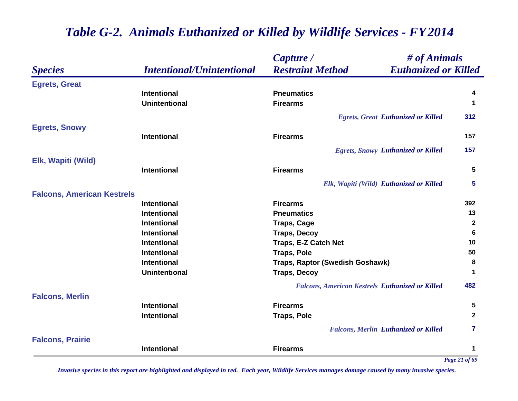|                                   |                                  | # of Animals<br>Capture /                              |               |
|-----------------------------------|----------------------------------|--------------------------------------------------------|---------------|
| <b>Species</b>                    | <b>Intentional/Unintentional</b> | <b>Euthanized or Killed</b><br><b>Restraint Method</b> |               |
| <b>Egrets, Great</b>              |                                  |                                                        |               |
|                                   | <b>Intentional</b>               | <b>Pneumatics</b>                                      | 4             |
|                                   | <b>Unintentional</b>             | <b>Firearms</b>                                        | 1             |
|                                   |                                  | <b>Egrets, Great Euthanized or Killed</b>              | 312           |
| <b>Egrets, Snowy</b>              |                                  |                                                        |               |
|                                   | <b>Intentional</b>               | <b>Firearms</b>                                        | 157           |
|                                   |                                  | <b>Egrets, Snowy Euthanized or Killed</b>              | 157           |
| Elk, Wapiti (Wild)                |                                  |                                                        |               |
|                                   | <b>Intentional</b>               | <b>Firearms</b>                                        | 5             |
|                                   |                                  | Elk, Wapiti (Wild) Euthanized or Killed                | 5             |
| <b>Falcons, American Kestrels</b> |                                  |                                                        |               |
|                                   | <b>Intentional</b>               | <b>Firearms</b>                                        | 392           |
|                                   | <b>Intentional</b>               | <b>Pneumatics</b>                                      | 13            |
|                                   | <b>Intentional</b>               | <b>Traps, Cage</b>                                     | 2             |
|                                   | <b>Intentional</b>               | <b>Traps, Decoy</b>                                    | 6             |
|                                   | <b>Intentional</b>               | Traps, E-Z Catch Net                                   | 10            |
|                                   | <b>Intentional</b>               | <b>Traps, Pole</b>                                     | 50            |
|                                   | <b>Intentional</b>               | Traps, Raptor (Swedish Goshawk)                        | 8             |
|                                   | <b>Unintentional</b>             | <b>Traps, Decoy</b>                                    | 1             |
|                                   |                                  | <b>Falcons, American Kestrels Euthanized or Killed</b> | 482           |
| <b>Falcons, Merlin</b>            |                                  |                                                        |               |
|                                   | <b>Intentional</b>               | <b>Firearms</b>                                        | 5             |
|                                   | <b>Intentional</b>               | <b>Traps, Pole</b>                                     | $\mathbf{2}$  |
|                                   |                                  | <b>Falcons, Merlin Euthanized or Killed</b>            | 7             |
| <b>Falcons, Prairie</b>           |                                  |                                                        |               |
|                                   | <b>Intentional</b>               | <b>Firearms</b>                                        | 1             |
|                                   |                                  |                                                        | Page 21 of 69 |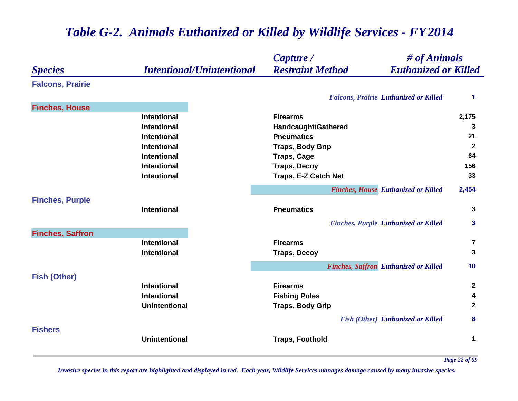|                         |                                  | Capture /<br># of Animals                              |                         |
|-------------------------|----------------------------------|--------------------------------------------------------|-------------------------|
| <b>Species</b>          | <b>Intentional/Unintentional</b> | <b>Restraint Method</b><br><b>Euthanized or Killed</b> |                         |
| <b>Falcons, Prairie</b> |                                  |                                                        |                         |
|                         |                                  | <b>Falcons, Prairie Euthanized or Killed</b>           | 1                       |
| <b>Finches, House</b>   |                                  |                                                        |                         |
|                         | <b>Intentional</b>               | <b>Firearms</b>                                        | 2,175                   |
|                         | <b>Intentional</b>               | Handcaught/Gathered                                    | 3                       |
|                         | <b>Intentional</b>               | <b>Pneumatics</b>                                      | 21                      |
|                         | <b>Intentional</b>               | <b>Traps, Body Grip</b>                                | $\mathbf{2}$            |
|                         | <b>Intentional</b>               | <b>Traps, Cage</b>                                     | 64                      |
|                         | <b>Intentional</b>               | <b>Traps, Decoy</b>                                    | 156                     |
|                         | <b>Intentional</b>               | Traps, E-Z Catch Net                                   | 33                      |
|                         |                                  | <b>Finches, House Euthanized or Killed</b>             | 2,454                   |
| <b>Finches, Purple</b>  |                                  |                                                        |                         |
|                         | <b>Intentional</b>               | <b>Pneumatics</b>                                      | 3                       |
|                         |                                  | <b>Finches, Purple Euthanized or Killed</b>            | 3                       |
| <b>Finches, Saffron</b> |                                  |                                                        |                         |
|                         | <b>Intentional</b>               | <b>Firearms</b>                                        | $\overline{\mathbf{7}}$ |
|                         | <b>Intentional</b>               | <b>Traps, Decoy</b>                                    | 3                       |
|                         |                                  | <b>Finches, Saffron Euthanized or Killed</b>           | 10                      |
| <b>Fish (Other)</b>     |                                  |                                                        |                         |
|                         | <b>Intentional</b>               | <b>Firearms</b>                                        | $\mathbf{2}$            |
|                         | <b>Intentional</b>               | <b>Fishing Poles</b>                                   | 4                       |
|                         | <b>Unintentional</b>             | <b>Traps, Body Grip</b>                                | $\mathbf{2}$            |
|                         |                                  | <b>Fish (Other) Euthanized or Killed</b>               | 8                       |
| <b>Fishers</b>          |                                  |                                                        |                         |
|                         | <b>Unintentional</b>             | <b>Traps, Foothold</b>                                 | 1                       |
|                         |                                  |                                                        |                         |

*Page 22 of 69*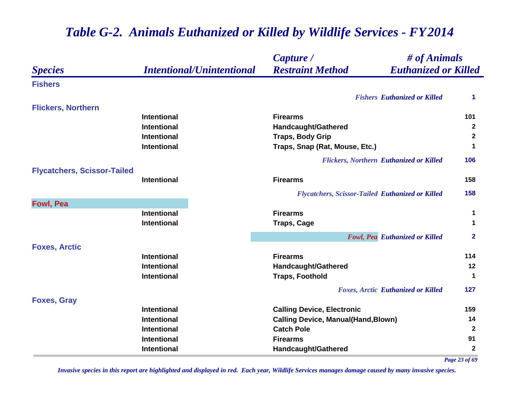#### *Species Capture / Restraint Method # of Animals Intentional/Unintentional Euthanized or Killed* **Fishers***Fishers Euthanized or Killed* **1 Flickers, Northern Intentional Firearms 101 Intentional Handcaught/Gathered <sup>2</sup> Intentional Traps, Body Grip <sup>2</sup> Intentional Traps, Snap (Rat, Mouse, Etc.) <sup>1</sup>** *Flickers, Northern Euthanized or Killed* **106 Flycatchers, Scissor-Tailed Intentional Firearms 158** *Flycatchers, Scissor-Tailed Euthanized or Killed* **158 Fowl, Pea Intentional Firearms 1 Intentional Traps, Cage <sup>1</sup>** *Fowl, Pea Euthanized or Killed* **2 Foxes, Arctic Intentional Firearms 114 Intentional Handcaught/Gathered <sup>12</sup> Intentional Traps, Foothold <sup>1</sup>** *Foxes, Arctic Euthanized or Killed* **127 Foxes, Gray Intentional Calling Device, Electronic <sup>159</sup> Intentional Calling Device, Manual(Hand,Blown) <sup>14</sup> Intentional Catch Pole 2 Intentional Firearms 91 Intentional Handcaught/Gathered <sup>2</sup>** *Page 23 of 69*

## *Table G-2. Animals Euthanized or Killed by Wildlife Services - FY 2014*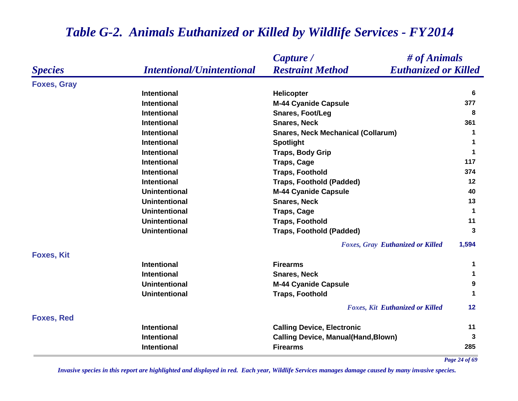|                    |                                  | # of Animals<br>Capture /                              |               |
|--------------------|----------------------------------|--------------------------------------------------------|---------------|
| <b>Species</b>     | <b>Intentional/Unintentional</b> | <b>Euthanized or Killed</b><br><b>Restraint Method</b> |               |
| <b>Foxes, Gray</b> |                                  |                                                        |               |
|                    | <b>Intentional</b>               | <b>Helicopter</b>                                      | 6             |
|                    | <b>Intentional</b>               | <b>M-44 Cyanide Capsule</b>                            | 377           |
|                    | Intentional                      | <b>Snares, Foot/Leg</b>                                | 8             |
|                    | <b>Intentional</b>               | <b>Snares, Neck</b>                                    | 361           |
|                    | <b>Intentional</b>               | <b>Snares, Neck Mechanical (Collarum)</b>              | 1             |
|                    | <b>Intentional</b>               | <b>Spotlight</b>                                       | 1             |
|                    | <b>Intentional</b>               | <b>Traps, Body Grip</b>                                | 1             |
|                    | <b>Intentional</b>               | <b>Traps, Cage</b>                                     | 117           |
|                    | <b>Intentional</b>               | <b>Traps, Foothold</b>                                 | 374           |
|                    | <b>Intentional</b>               | <b>Traps, Foothold (Padded)</b>                        | 12            |
|                    | <b>Unintentional</b>             | <b>M-44 Cyanide Capsule</b>                            | 40            |
|                    | <b>Unintentional</b>             | <b>Snares, Neck</b>                                    | 13            |
|                    | <b>Unintentional</b>             | <b>Traps, Cage</b>                                     | 1             |
|                    | <b>Unintentional</b>             | <b>Traps, Foothold</b>                                 | 11            |
|                    | <b>Unintentional</b>             | <b>Traps, Foothold (Padded)</b>                        | 3             |
|                    |                                  | <b>Foxes, Gray Euthanized or Killed</b>                | 1,594         |
| <b>Foxes, Kit</b>  |                                  |                                                        |               |
|                    | <b>Intentional</b>               | <b>Firearms</b>                                        | 1             |
|                    | Intentional                      | <b>Snares, Neck</b>                                    | 1             |
|                    | <b>Unintentional</b>             | <b>M-44 Cyanide Capsule</b>                            | 9             |
|                    | <b>Unintentional</b>             | <b>Traps, Foothold</b>                                 | 1             |
|                    |                                  | <b>Foxes, Kit Euthanized or Killed</b>                 | 12            |
| <b>Foxes, Red</b>  |                                  |                                                        |               |
|                    | <b>Intentional</b>               | <b>Calling Device, Electronic</b>                      | 11            |
|                    | <b>Intentional</b>               | <b>Calling Device, Manual(Hand, Blown)</b>             | 3             |
|                    | Intentional                      | <b>Firearms</b>                                        | 285           |
|                    |                                  |                                                        | Page 24 of 69 |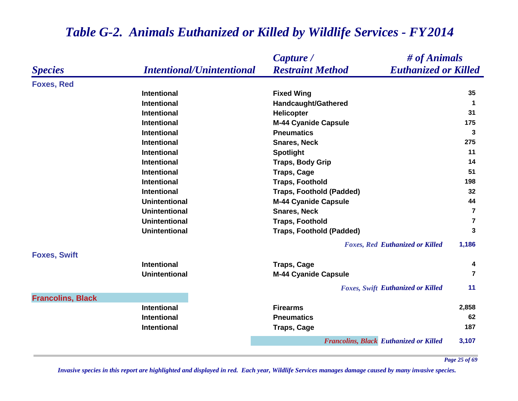|                          |                                  | Capture /<br># of Animals                              |                         |
|--------------------------|----------------------------------|--------------------------------------------------------|-------------------------|
| <b>Species</b>           | <b>Intentional/Unintentional</b> | <b>Restraint Method</b><br><b>Euthanized or Killed</b> |                         |
| <b>Foxes, Red</b>        |                                  |                                                        |                         |
|                          | <b>Intentional</b>               | <b>Fixed Wing</b>                                      | 35                      |
|                          | <b>Intentional</b>               | <b>Handcaught/Gathered</b>                             | $\blacktriangleleft$    |
|                          | <b>Intentional</b>               | Helicopter                                             | 31                      |
|                          | <b>Intentional</b>               | <b>M-44 Cyanide Capsule</b>                            | 175                     |
|                          | <b>Intentional</b>               | <b>Pneumatics</b>                                      | 3                       |
|                          | <b>Intentional</b>               | <b>Snares, Neck</b>                                    | 275                     |
|                          | <b>Intentional</b>               | <b>Spotlight</b>                                       | 11                      |
|                          | Intentional                      | <b>Traps, Body Grip</b>                                | 14                      |
|                          | <b>Intentional</b>               | <b>Traps, Cage</b>                                     | 51                      |
|                          | <b>Intentional</b>               | <b>Traps, Foothold</b>                                 | 198                     |
|                          | <b>Intentional</b>               | <b>Traps, Foothold (Padded)</b>                        | 32                      |
|                          | <b>Unintentional</b>             | <b>M-44 Cyanide Capsule</b>                            | 44                      |
|                          | <b>Unintentional</b>             | <b>Snares, Neck</b>                                    | $\overline{\mathbf{r}}$ |
|                          | <b>Unintentional</b>             | <b>Traps, Foothold</b>                                 | $\overline{7}$          |
|                          | <b>Unintentional</b>             | <b>Traps, Foothold (Padded)</b>                        | 3                       |
|                          |                                  | <b>Foxes, Red Euthanized or Killed</b>                 | 1,186                   |
| <b>Foxes, Swift</b>      |                                  |                                                        |                         |
|                          | <b>Intentional</b>               | <b>Traps, Cage</b>                                     | 4                       |
|                          | <b>Unintentional</b>             | <b>M-44 Cyanide Capsule</b>                            | $\overline{7}$          |
|                          |                                  | <b>Foxes, Swift Euthanized or Killed</b>               | 11                      |
| <b>Francolins, Black</b> |                                  |                                                        |                         |
|                          | <b>Intentional</b>               | <b>Firearms</b>                                        | 2,858                   |
|                          | <b>Intentional</b>               | <b>Pneumatics</b>                                      | 62                      |
|                          | <b>Intentional</b>               | <b>Traps, Cage</b>                                     | 187                     |
|                          |                                  | <b>Francolins, Black Euthanized or Killed</b>          | 3,107                   |

*Page 25 of 69*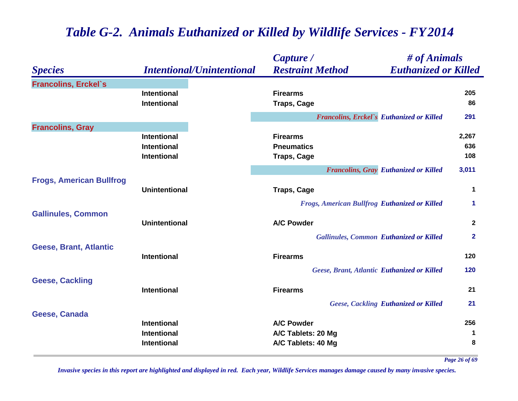|                                 |                                                                | Capture /                                                     | # of Animals                                 |                     |
|---------------------------------|----------------------------------------------------------------|---------------------------------------------------------------|----------------------------------------------|---------------------|
| <b>Species</b>                  | <b>Intentional/Unintentional</b>                               | <b>Restraint Method</b>                                       | <b>Euthanized or Killed</b>                  |                     |
| <b>Francolins, Erckel's</b>     | <b>Intentional</b><br><b>Intentional</b>                       | <b>Firearms</b><br><b>Traps, Cage</b>                         |                                              | 205<br>86           |
|                                 |                                                                | <b>Francolins, Erckel's Euthanized or Killed</b>              |                                              | 291                 |
| <b>Francolins, Gray</b>         |                                                                |                                                               |                                              |                     |
|                                 | <b>Intentional</b><br><b>Intentional</b><br><b>Intentional</b> | <b>Firearms</b><br><b>Pneumatics</b><br><b>Traps, Cage</b>    |                                              | 2,267<br>636<br>108 |
|                                 |                                                                |                                                               | <b>Francolins, Gray Euthanized or Killed</b> | 3,011               |
| <b>Frogs, American Bullfrog</b> | <b>Unintentional</b>                                           | <b>Traps, Cage</b>                                            |                                              | 1                   |
| <b>Gallinules, Common</b>       |                                                                | <b>Frogs, American Bullfrog Euthanized or Killed</b>          |                                              | 1                   |
|                                 | <b>Unintentional</b>                                           | <b>A/C Powder</b>                                             |                                              | $\mathbf{2}$        |
|                                 |                                                                | <b>Gallinules, Common Euthanized or Killed</b>                |                                              | $\overline{2}$      |
| <b>Geese, Brant, Atlantic</b>   | <b>Intentional</b>                                             | <b>Firearms</b>                                               |                                              | 120                 |
|                                 |                                                                | Geese, Brant, Atlantic Euthanized or Killed                   |                                              | 120                 |
| <b>Geese, Cackling</b>          | <b>Intentional</b>                                             | <b>Firearms</b>                                               |                                              | 21                  |
|                                 |                                                                |                                                               | <b>Geese, Cackling Euthanized or Killed</b>  | 21                  |
| Geese, Canada                   | <b>Intentional</b><br><b>Intentional</b><br>Intentional        | <b>A/C Powder</b><br>A/C Tablets: 20 Mg<br>A/C Tablets: 40 Mg |                                              | 256<br>1<br>8       |

*Page 26 of 69*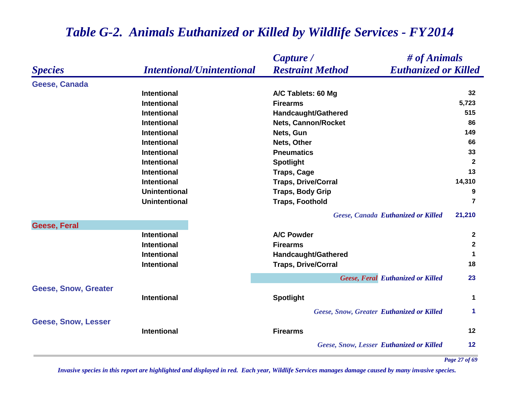|                             |                                  | Capture /<br># of Animals                              |                      |
|-----------------------------|----------------------------------|--------------------------------------------------------|----------------------|
| <b>Species</b>              | <b>Intentional/Unintentional</b> | <b>Restraint Method</b><br><b>Euthanized or Killed</b> |                      |
| Geese, Canada               |                                  |                                                        |                      |
|                             | <b>Intentional</b>               | A/C Tablets: 60 Mg                                     | 32                   |
|                             | <b>Intentional</b>               | <b>Firearms</b>                                        | 5,723                |
|                             | <b>Intentional</b>               | <b>Handcaught/Gathered</b>                             | 515                  |
|                             | <b>Intentional</b>               | Nets, Cannon/Rocket                                    | 86                   |
|                             | <b>Intentional</b>               | Nets, Gun                                              | 149                  |
|                             | <b>Intentional</b>               | Nets, Other                                            | 66                   |
|                             | <b>Intentional</b>               | <b>Pneumatics</b>                                      | 33                   |
|                             | <b>Intentional</b>               | <b>Spotlight</b>                                       | $\overline{2}$       |
|                             | <b>Intentional</b>               | <b>Traps, Cage</b>                                     | 13                   |
|                             | Intentional                      | <b>Traps, Drive/Corral</b>                             | 14,310               |
|                             | <b>Unintentional</b>             | <b>Traps, Body Grip</b>                                | 9                    |
|                             | <b>Unintentional</b>             | <b>Traps, Foothold</b>                                 | $\overline{7}$       |
|                             |                                  | Geese, Canada Euthanized or Killed                     | 21,210               |
| <b>Geese, Feral</b>         |                                  |                                                        |                      |
|                             | <b>Intentional</b>               | <b>A/C Powder</b>                                      | $\mathbf{2}$         |
|                             | <b>Intentional</b>               | <b>Firearms</b>                                        | $\mathbf{2}$         |
|                             | <b>Intentional</b>               | <b>Handcaught/Gathered</b>                             | $\mathbf 1$          |
|                             | <b>Intentional</b>               | <b>Traps, Drive/Corral</b>                             | 18                   |
|                             |                                  | <b>Geese, Feral Euthanized or Killed</b>               | 23                   |
| <b>Geese, Snow, Greater</b> |                                  |                                                        |                      |
|                             | <b>Intentional</b>               | <b>Spotlight</b>                                       | $\blacktriangleleft$ |
|                             |                                  | <b>Geese, Snow, Greater Euthanized or Killed</b>       | $\blacktriangleleft$ |
| <b>Geese, Snow, Lesser</b>  |                                  |                                                        |                      |
|                             | <b>Intentional</b>               | <b>Firearms</b>                                        | $12 \overline{ }$    |
|                             |                                  | <b>Geese, Snow, Lesser Euthanized or Killed</b>        | 12                   |

*Page 27 of 69*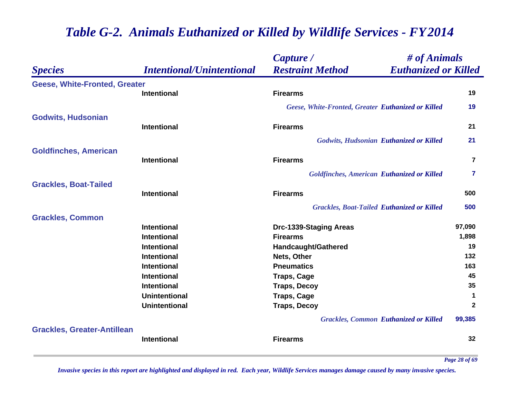|                                      |                                  | Capture /                                          | # of Animals                |
|--------------------------------------|----------------------------------|----------------------------------------------------|-----------------------------|
| <b>Species</b>                       | <b>Intentional/Unintentional</b> | <b>Restraint Method</b>                            | <b>Euthanized or Killed</b> |
| <b>Geese, White-Fronted, Greater</b> |                                  |                                                    |                             |
|                                      | <b>Intentional</b>               | <b>Firearms</b>                                    | 19                          |
|                                      |                                  | Geese, White-Fronted, Greater Euthanized or Killed | 19                          |
| <b>Godwits, Hudsonian</b>            |                                  |                                                    |                             |
|                                      | <b>Intentional</b>               | <b>Firearms</b>                                    | 21                          |
|                                      |                                  | <b>Godwits, Hudsonian Euthanized or Killed</b>     | 21                          |
| <b>Goldfinches, American</b>         |                                  |                                                    |                             |
|                                      | <b>Intentional</b>               | <b>Firearms</b>                                    | 7                           |
|                                      |                                  | <b>Goldfinches, American Euthanized or Killed</b>  | 7                           |
| <b>Grackles, Boat-Tailed</b>         |                                  |                                                    |                             |
|                                      | <b>Intentional</b>               | <b>Firearms</b>                                    | 500                         |
|                                      |                                  | <b>Grackles, Boat-Tailed Euthanized or Killed</b>  | 500                         |
| <b>Grackles, Common</b>              |                                  |                                                    |                             |
|                                      | <b>Intentional</b>               | <b>Drc-1339-Staging Areas</b>                      | 97,090                      |
|                                      | <b>Intentional</b>               | <b>Firearms</b>                                    | 1,898                       |
|                                      | <b>Intentional</b>               | Handcaught/Gathered                                | 19                          |
|                                      | <b>Intentional</b>               | Nets, Other                                        | 132                         |
|                                      | <b>Intentional</b>               | <b>Pneumatics</b>                                  | 163                         |
|                                      | <b>Intentional</b>               | <b>Traps, Cage</b>                                 | 45                          |
|                                      | <b>Intentional</b>               | <b>Traps, Decoy</b>                                | 35                          |
|                                      | <b>Unintentional</b>             | <b>Traps, Cage</b>                                 | $\mathbf 1$                 |
|                                      | <b>Unintentional</b>             | <b>Traps, Decoy</b>                                | $\mathbf{2}$                |
|                                      |                                  | <b>Grackles, Common Euthanized or Killed</b>       | 99,385                      |
| <b>Grackles, Greater-Antillean</b>   | <b>Intentional</b>               | <b>Firearms</b>                                    | 32                          |
|                                      |                                  |                                                    |                             |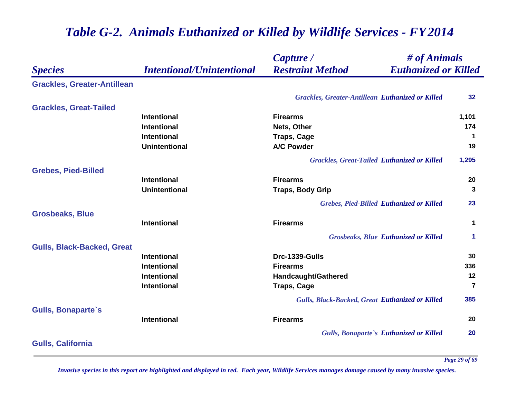#### *Species Capture / Restraint Method # of Animals Intentional/Unintentional Euthanized or Killed* **Grackles, Greater-Antillean** *Grackles, Greater-Antillean Euthanized or Killed* **32 Grackles, Great-Tailed Intentional Firearms 1,101 Intentional Nets, Other 174 Intentional Traps, Cage <sup>1</sup> Unintentional A/C Powder 19** *Grackles, Great-Tailed Euthanized or Killed* **1,295 Grebes, Pied-Billed Intentional Firearms 20 Unintentional Traps, Body Grip <sup>3</sup>** *Grebes, Pied-Billed Euthanized or Killed* **23 Grosbeaks, Blue Intentional Firearms 1** *Grosbeaks, Blue Euthanized or Killed* **1 Gulls, Black-Backed, Great Intentional Drc-1339-Gulls 30 Intentional Firearms 336 Intentional Handcaught/Gathered <sup>12</sup> Intentional CONSCRIPTION TRAPS, Cage <b>7 7** *Gulls, Black-Backed, Great Euthanized or Killed* **385 Gulls, Bonaparte`s Intentional Firearms 20** *Gulls, Bonaparte`s Euthanized or Killed* **20 Gulls, California**

# *Table G-2. Animals Euthanized or Killed by Wildlife Services - FY 2014*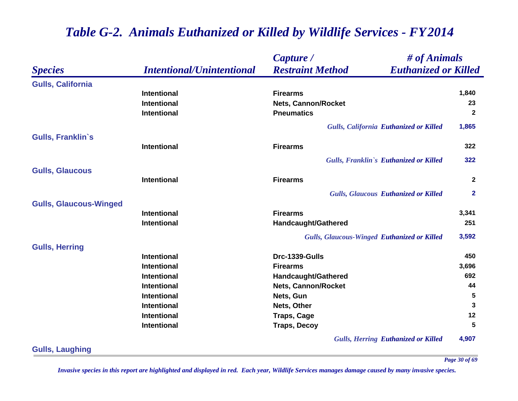|                               |                                  | # of Animals<br>Capture /                              |                         |
|-------------------------------|----------------------------------|--------------------------------------------------------|-------------------------|
| <b>Species</b>                | <b>Intentional/Unintentional</b> | <b>Restraint Method</b><br><b>Euthanized or Killed</b> |                         |
| <b>Gulls, California</b>      |                                  |                                                        |                         |
|                               | <b>Intentional</b>               | <b>Firearms</b>                                        | 1,840                   |
|                               | <b>Intentional</b>               | <b>Nets, Cannon/Rocket</b>                             | 23                      |
|                               | <b>Intentional</b>               | <b>Pneumatics</b>                                      | $\mathbf{2}$            |
|                               |                                  | Gulls, California Euthanized or Killed                 | 1,865                   |
| <b>Gulls, Franklin's</b>      |                                  |                                                        |                         |
|                               | <b>Intentional</b>               | <b>Firearms</b>                                        | 322                     |
|                               |                                  | Gulls, Franklin's Euthanized or Killed                 | 322                     |
| <b>Gulls, Glaucous</b>        |                                  |                                                        |                         |
|                               | <b>Intentional</b>               | <b>Firearms</b>                                        | $\mathbf{2}$            |
|                               |                                  | <b>Gulls, Glaucous Euthanized or Killed</b>            | $\mathbf{2}$            |
| <b>Gulls, Glaucous-Winged</b> |                                  |                                                        |                         |
|                               | <b>Intentional</b>               | <b>Firearms</b>                                        | 3,341                   |
|                               | <b>Intentional</b>               | <b>Handcaught/Gathered</b>                             | 251                     |
|                               |                                  | <b>Gulls, Glaucous-Winged Euthanized or Killed</b>     | 3,592                   |
| <b>Gulls, Herring</b>         |                                  |                                                        |                         |
|                               | <b>Intentional</b>               | Drc-1339-Gulls                                         | 450                     |
|                               | <b>Intentional</b>               | <b>Firearms</b>                                        | 3,696                   |
|                               | <b>Intentional</b>               | Handcaught/Gathered                                    | 692                     |
|                               | <b>Intentional</b>               | <b>Nets, Cannon/Rocket</b>                             | 44                      |
|                               | <b>Intentional</b>               | Nets, Gun                                              | $\overline{\mathbf{5}}$ |
|                               | <b>Intentional</b>               | Nets, Other                                            | 3                       |
|                               | <b>Intentional</b>               | <b>Traps, Cage</b>                                     | 12                      |
|                               | <b>Intentional</b>               | <b>Traps, Decoy</b>                                    | 5                       |
|                               |                                  | <b>Gulls, Herring Euthanized or Killed</b>             | 4,907                   |

**Gulls, Laughing**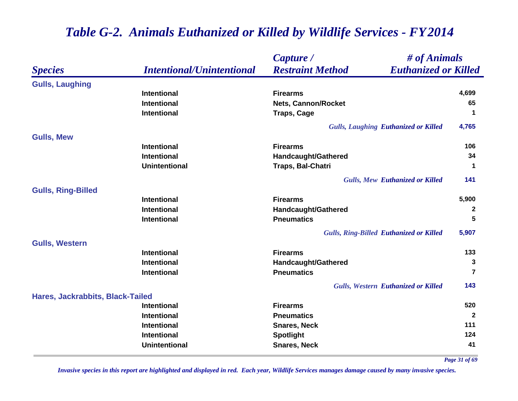|                                  |                                  | # of Animals<br>Capture /                              |                |
|----------------------------------|----------------------------------|--------------------------------------------------------|----------------|
| <b>Species</b>                   | <b>Intentional/Unintentional</b> | <b>Restraint Method</b><br><b>Euthanized or Killed</b> |                |
| <b>Gulls, Laughing</b>           |                                  |                                                        |                |
|                                  | <b>Intentional</b>               | <b>Firearms</b>                                        | 4,699          |
|                                  | <b>Intentional</b>               | <b>Nets, Cannon/Rocket</b>                             | 65             |
|                                  | Intentional                      | <b>Traps, Cage</b>                                     | 1              |
|                                  |                                  | <b>Gulls, Laughing Euthanized or Killed</b>            | 4,765          |
| <b>Gulls, Mew</b>                |                                  |                                                        |                |
|                                  | <b>Intentional</b>               | <b>Firearms</b>                                        | 106            |
|                                  | Intentional                      | Handcaught/Gathered                                    | 34             |
|                                  | <b>Unintentional</b>             | Traps, Bal-Chatri                                      | $\mathbf 1$    |
|                                  |                                  | <b>Gulls, Mew Euthanized or Killed</b>                 | 141            |
| <b>Gulls, Ring-Billed</b>        |                                  |                                                        |                |
|                                  | <b>Intentional</b>               | <b>Firearms</b>                                        | 5,900          |
|                                  | <b>Intentional</b>               | Handcaught/Gathered                                    | 2              |
|                                  | <b>Intentional</b>               | <b>Pneumatics</b>                                      | 5              |
|                                  |                                  | <b>Gulls, Ring-Billed Euthanized or Killed</b>         | 5,907          |
| <b>Gulls, Western</b>            |                                  |                                                        |                |
|                                  | <b>Intentional</b>               | <b>Firearms</b>                                        | 133            |
|                                  | Intentional                      | Handcaught/Gathered                                    | $\mathbf{3}$   |
|                                  | <b>Intentional</b>               | <b>Pneumatics</b>                                      | $\overline{7}$ |
|                                  |                                  | <b>Gulls, Western Euthanized or Killed</b>             | 143            |
| Hares, Jackrabbits, Black-Tailed |                                  |                                                        |                |
|                                  | <b>Intentional</b>               | <b>Firearms</b>                                        | 520            |
|                                  | Intentional                      | <b>Pneumatics</b>                                      | $\mathbf{2}$   |
|                                  | Intentional                      | <b>Snares, Neck</b>                                    | 111            |
|                                  | Intentional                      | <b>Spotlight</b>                                       | 124            |
|                                  | <b>Unintentional</b>             | <b>Snares, Neck</b>                                    | 41             |

*Page 31 of 69*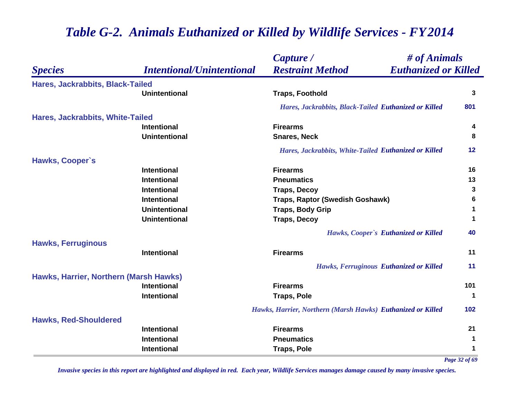|                                        |                                  | # of Animals<br>Capture /                                   |     |
|----------------------------------------|----------------------------------|-------------------------------------------------------------|-----|
| <b>Species</b>                         | <b>Intentional/Unintentional</b> | <b>Restraint Method</b><br><b>Euthanized or Killed</b>      |     |
| Hares, Jackrabbits, Black-Tailed       |                                  |                                                             |     |
|                                        | <b>Unintentional</b>             | <b>Traps, Foothold</b>                                      | 3   |
|                                        |                                  | Hares, Jackrabbits, Black-Tailed Euthanized or Killed       | 801 |
| Hares, Jackrabbits, White-Tailed       |                                  |                                                             |     |
|                                        | <b>Intentional</b>               | <b>Firearms</b>                                             | 4   |
|                                        | <b>Unintentional</b>             | <b>Snares, Neck</b>                                         | 8   |
|                                        |                                  | Hares, Jackrabbits, White-Tailed Euthanized or Killed       | 12  |
| <b>Hawks, Cooper's</b>                 |                                  |                                                             |     |
|                                        | <b>Intentional</b>               | <b>Firearms</b>                                             | 16  |
|                                        | <b>Intentional</b>               | <b>Pneumatics</b>                                           | 13  |
|                                        | <b>Intentional</b>               | <b>Traps, Decoy</b>                                         | 3   |
|                                        | <b>Intentional</b>               | Traps, Raptor (Swedish Goshawk)                             | 6   |
|                                        | <b>Unintentional</b>             | <b>Traps, Body Grip</b>                                     | 1   |
|                                        | <b>Unintentional</b>             | <b>Traps, Decoy</b>                                         | 1   |
|                                        |                                  | Hawks, Cooper's Euthanized or Killed                        | 40  |
| <b>Hawks, Ferruginous</b>              |                                  |                                                             |     |
|                                        | <b>Intentional</b>               | <b>Firearms</b>                                             | 11  |
|                                        |                                  | Hawks, Ferruginous Euthanized or Killed                     | 11  |
| Hawks, Harrier, Northern (Marsh Hawks) |                                  |                                                             |     |
|                                        | <b>Intentional</b>               | <b>Firearms</b>                                             | 101 |
|                                        | <b>Intentional</b>               | <b>Traps, Pole</b>                                          | 1   |
|                                        |                                  | Hawks, Harrier, Northern (Marsh Hawks) Euthanized or Killed | 102 |
| <b>Hawks, Red-Shouldered</b>           |                                  |                                                             |     |
|                                        | <b>Intentional</b>               | <b>Firearms</b>                                             | 21  |
|                                        | <b>Intentional</b>               | <b>Pneumatics</b>                                           | 1   |
|                                        | <b>Intentional</b>               | <b>Traps, Pole</b>                                          | 1   |

*Page 32 of 69*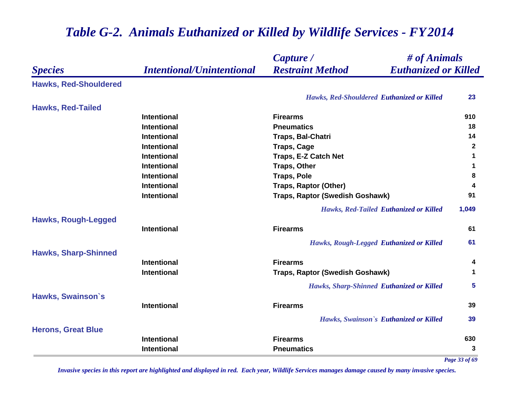|                              |                                  | # of Animals<br>Capture /                              |       |
|------------------------------|----------------------------------|--------------------------------------------------------|-------|
| <b>Species</b>               | <b>Intentional/Unintentional</b> | <b>Restraint Method</b><br><b>Euthanized or Killed</b> |       |
| <b>Hawks, Red-Shouldered</b> |                                  |                                                        |       |
|                              |                                  | Hawks, Red-Shouldered Euthanized or Killed             | 23    |
| <b>Hawks, Red-Tailed</b>     |                                  |                                                        |       |
|                              | <b>Intentional</b>               | <b>Firearms</b>                                        | 910   |
|                              | <b>Intentional</b>               | <b>Pneumatics</b>                                      | 18    |
|                              | <b>Intentional</b>               | Traps, Bal-Chatri                                      | 14    |
|                              | <b>Intentional</b>               | <b>Traps, Cage</b>                                     | 2     |
|                              | Intentional                      | <b>Traps, E-Z Catch Net</b>                            | 1     |
|                              | <b>Intentional</b>               | <b>Traps, Other</b>                                    | 1     |
|                              | <b>Intentional</b>               | <b>Traps, Pole</b>                                     | 8     |
|                              | <b>Intentional</b>               | <b>Traps, Raptor (Other)</b>                           | 4     |
|                              | <b>Intentional</b>               | Traps, Raptor (Swedish Goshawk)                        | 91    |
|                              |                                  | <b>Hawks, Red-Tailed Euthanized or Killed</b>          | 1,049 |
| <b>Hawks, Rough-Legged</b>   |                                  |                                                        |       |
|                              | <b>Intentional</b>               | <b>Firearms</b>                                        | 61    |
|                              |                                  | Hawks, Rough-Legged Euthanized or Killed               | 61    |
| <b>Hawks, Sharp-Shinned</b>  |                                  |                                                        |       |
|                              | <b>Intentional</b>               | <b>Firearms</b>                                        | 4     |
|                              | <b>Intentional</b>               | Traps, Raptor (Swedish Goshawk)                        | 1     |
|                              |                                  | Hawks, Sharp-Shinned Euthanized or Killed              | 5     |
| <b>Hawks, Swainson's</b>     |                                  |                                                        |       |
|                              | <b>Intentional</b>               | <b>Firearms</b>                                        | 39    |
|                              |                                  | Hawks, Swainson's Euthanized or Killed                 | 39    |
| <b>Herons, Great Blue</b>    |                                  |                                                        |       |
|                              | <b>Intentional</b>               | <b>Firearms</b>                                        | 630   |
|                              | Intentional                      | <b>Pneumatics</b>                                      | 3     |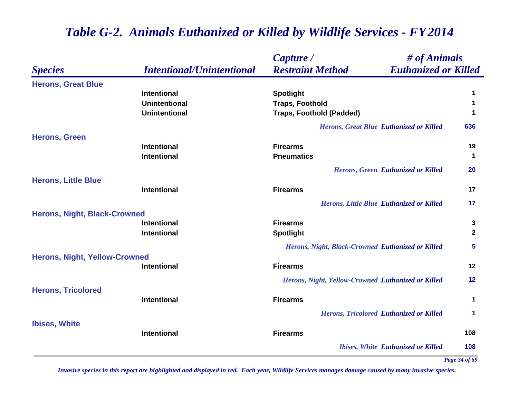|                                      |                                  | # of Animals<br>Capture /                              |              |
|--------------------------------------|----------------------------------|--------------------------------------------------------|--------------|
| <b>Species</b>                       | <b>Intentional/Unintentional</b> | <b>Restraint Method</b><br><b>Euthanized or Killed</b> |              |
| <b>Herons, Great Blue</b>            |                                  |                                                        |              |
|                                      | <b>Intentional</b>               | <b>Spotlight</b>                                       | 1            |
|                                      | <b>Unintentional</b>             | <b>Traps, Foothold</b>                                 | 1            |
|                                      | <b>Unintentional</b>             | <b>Traps, Foothold (Padded)</b>                        | 1            |
|                                      |                                  | <b>Herons, Great Blue Euthanized or Killed</b>         | 636          |
| <b>Herons, Green</b>                 |                                  |                                                        |              |
|                                      | <b>Intentional</b>               | <b>Firearms</b>                                        | 19           |
|                                      | <b>Intentional</b>               | <b>Pneumatics</b>                                      | $\mathbf{1}$ |
|                                      |                                  | <b>Herons, Green Euthanized or Killed</b>              | 20           |
| <b>Herons, Little Blue</b>           |                                  |                                                        |              |
|                                      | <b>Intentional</b>               | <b>Firearms</b>                                        | 17           |
|                                      |                                  | Herons, Little Blue Euthanized or Killed               | 17           |
| <b>Herons, Night, Black-Crowned</b>  |                                  |                                                        |              |
|                                      | <b>Intentional</b>               | <b>Firearms</b>                                        | 3            |
|                                      | <b>Intentional</b>               | <b>Spotlight</b>                                       | $\mathbf{2}$ |
|                                      |                                  | Herons, Night, Black-Crowned Euthanized or Killed      | 5            |
| <b>Herons, Night, Yellow-Crowned</b> |                                  |                                                        |              |
|                                      | <b>Intentional</b>               | <b>Firearms</b>                                        | 12           |
|                                      |                                  | Herons, Night, Yellow-Crowned Euthanized or Killed     | 12           |
| <b>Herons, Tricolored</b>            |                                  |                                                        |              |
|                                      | <b>Intentional</b>               | <b>Firearms</b>                                        | 1            |
|                                      |                                  | <b>Herons, Tricolored Euthanized or Killed</b>         | 1            |
| <b>Ibises, White</b>                 |                                  |                                                        |              |
|                                      | <b>Intentional</b>               | <b>Firearms</b>                                        | 108          |
|                                      |                                  | <b>Ibises, White Euthanized or Killed</b>              | 108          |

*Page 34 of 69*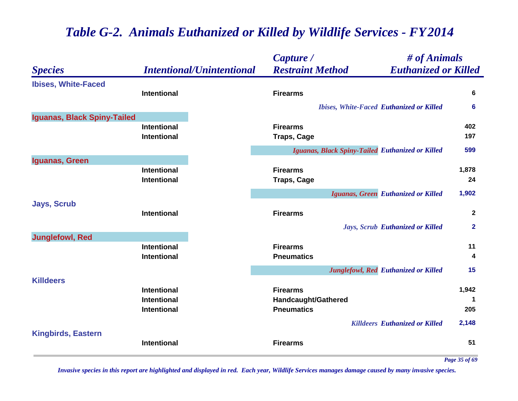|                             |                                  | Capture /                                        | # of Animals                                    |              |
|-----------------------------|----------------------------------|--------------------------------------------------|-------------------------------------------------|--------------|
| <b>Species</b>              | <b>Intentional/Unintentional</b> | <b>Restraint Method</b>                          | <b>Euthanized or Killed</b>                     |              |
| <b>Ibises, White-Faced</b>  | <b>Intentional</b>               | <b>Firearms</b>                                  |                                                 | 6            |
|                             |                                  |                                                  | <b>Ibises, White-Faced Euthanized or Killed</b> | 6            |
| Iguanas, Black Spiny-Tailed |                                  |                                                  |                                                 |              |
|                             | Intentional                      | <b>Firearms</b>                                  |                                                 | 402          |
|                             | <b>Intentional</b>               | <b>Traps, Cage</b>                               |                                                 | 197          |
|                             |                                  | Iguanas, Black Spiny-Tailed Euthanized or Killed |                                                 | 599          |
| Iguanas, Green              |                                  |                                                  |                                                 |              |
|                             | Intentional                      | <b>Firearms</b>                                  |                                                 | 1,878        |
|                             | <b>Intentional</b>               | <b>Traps, Cage</b>                               |                                                 | 24           |
|                             |                                  |                                                  | Iguanas, Green Euthanized or Killed             | 1,902        |
| <b>Jays, Scrub</b>          |                                  |                                                  |                                                 |              |
|                             | Intentional                      | <b>Firearms</b>                                  |                                                 | $\mathbf{2}$ |
|                             |                                  |                                                  | Jays, Scrub Euthanized or Killed                | $\mathbf{2}$ |
| <b>Junglefowl, Red</b>      |                                  |                                                  |                                                 |              |
|                             | <b>Intentional</b>               | <b>Firearms</b>                                  |                                                 | 11           |
|                             | Intentional                      | <b>Pneumatics</b>                                |                                                 | 4            |
|                             |                                  |                                                  | Junglefowl, Red Euthanized or Killed            | 15           |
| <b>Killdeers</b>            |                                  |                                                  |                                                 |              |
|                             | <b>Intentional</b>               | <b>Firearms</b>                                  |                                                 | 1,942        |
|                             | <b>Intentional</b>               | <b>Handcaught/Gathered</b>                       |                                                 |              |
|                             | <b>Intentional</b>               | <b>Pneumatics</b>                                |                                                 | 205          |
|                             |                                  |                                                  | <b>Killdeers Euthanized or Killed</b>           | 2,148        |
| <b>Kingbirds, Eastern</b>   |                                  |                                                  |                                                 |              |
|                             | Intentional                      | <b>Firearms</b>                                  |                                                 | 51           |

*Page 35 of 69*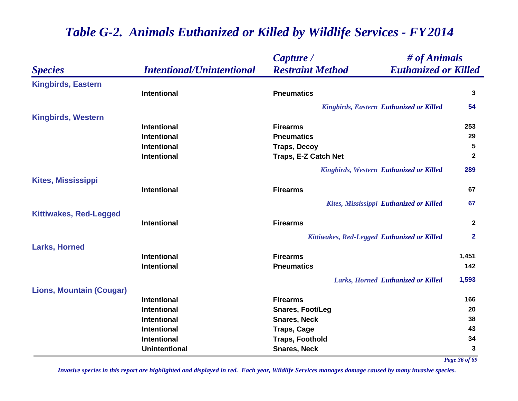|                                 |                                  | # of Animals<br>Capture /                              |              |
|---------------------------------|----------------------------------|--------------------------------------------------------|--------------|
| <b>Species</b>                  | <b>Intentional/Unintentional</b> | <b>Restraint Method</b><br><b>Euthanized or Killed</b> |              |
| <b>Kingbirds, Eastern</b>       |                                  |                                                        |              |
|                                 | <b>Intentional</b>               | <b>Pneumatics</b>                                      | 3            |
|                                 |                                  | <b>Kingbirds, Eastern Euthanized or Killed</b>         | 54           |
| <b>Kingbirds, Western</b>       |                                  |                                                        |              |
|                                 | <b>Intentional</b>               | <b>Firearms</b>                                        | 253          |
|                                 | <b>Intentional</b>               | <b>Pneumatics</b>                                      | 29           |
|                                 | <b>Intentional</b>               | <b>Traps, Decoy</b>                                    | 5            |
|                                 | <b>Intentional</b>               | Traps, E-Z Catch Net                                   | $\mathbf{2}$ |
|                                 |                                  | Kingbirds, Western Euthanized or Killed                | 289          |
| <b>Kites, Mississippi</b>       |                                  |                                                        |              |
|                                 | <b>Intentional</b>               | <b>Firearms</b>                                        | 67           |
|                                 |                                  | Kites, Mississippi Euthanized or Killed                | 67           |
| <b>Kittiwakes, Red-Legged</b>   |                                  |                                                        |              |
|                                 | <b>Intentional</b>               | <b>Firearms</b>                                        | $\mathbf{2}$ |
|                                 |                                  | Kittiwakes, Red-Legged Euthanized or Killed            | $\mathbf{2}$ |
| <b>Larks, Horned</b>            |                                  |                                                        |              |
|                                 | <b>Intentional</b>               | <b>Firearms</b>                                        | 1,451        |
|                                 | Intentional                      | <b>Pneumatics</b>                                      | 142          |
|                                 |                                  | Larks, Horned Euthanized or Killed                     | 1,593        |
| <b>Lions, Mountain (Cougar)</b> |                                  |                                                        |              |
|                                 | <b>Intentional</b>               | <b>Firearms</b>                                        | 166          |
|                                 | <b>Intentional</b>               | Snares, Foot/Leg                                       | 20           |
|                                 | <b>Intentional</b>               | <b>Snares, Neck</b>                                    | 38           |
|                                 | <b>Intentional</b>               | <b>Traps, Cage</b>                                     | 43           |
|                                 | Intentional                      | <b>Traps, Foothold</b>                                 | 34           |
|                                 | <b>Unintentional</b>             | <b>Snares, Neck</b>                                    | 3            |

*Page 36 of 69*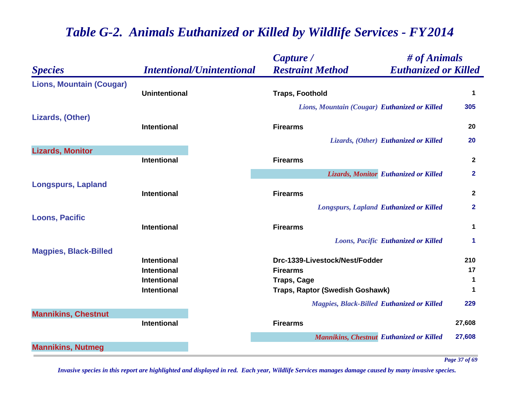|                                 |                                  | Capture /                                     | $\#$ of Animals                                   |                |
|---------------------------------|----------------------------------|-----------------------------------------------|---------------------------------------------------|----------------|
| <b>Species</b>                  | <b>Intentional/Unintentional</b> | <b>Restraint Method</b>                       | <b>Euthanized or Killed</b>                       |                |
| <b>Lions, Mountain (Cougar)</b> | <b>Unintentional</b>             | <b>Traps, Foothold</b>                        |                                                   | $\mathbf 1$    |
|                                 |                                  | Lions, Mountain (Cougar) Euthanized or Killed |                                                   | 305            |
| Lizards, (Other)                | <b>Intentional</b>               | <b>Firearms</b>                               |                                                   | 20             |
|                                 |                                  |                                               | Lizards, (Other) Euthanized or Killed             | 20             |
| <b>Lizards, Monitor</b>         | <b>Intentional</b>               | <b>Firearms</b>                               |                                                   | $\overline{2}$ |
|                                 |                                  |                                               | Lizards, Monitor Euthanized or Killed             | $\mathbf{2}$   |
| <b>Longspurs, Lapland</b>       | <b>Intentional</b>               | <b>Firearms</b>                               |                                                   | $\overline{2}$ |
|                                 |                                  |                                               | <b>Longspurs, Lapland Euthanized or Killed</b>    | $\mathbf{2}$   |
| <b>Loons, Pacific</b>           | <b>Intentional</b>               | <b>Firearms</b>                               |                                                   | $\mathbf 1$    |
|                                 |                                  |                                               | <b>Loons, Pacific Euthanized or Killed</b>        | 1              |
| <b>Magpies, Black-Billed</b>    |                                  |                                               |                                                   |                |
|                                 | <b>Intentional</b>               | Drc-1339-Livestock/Nest/Fodder                |                                                   | 210            |
|                                 | <b>Intentional</b>               | <b>Firearms</b>                               |                                                   | 17             |
|                                 | <b>Intentional</b>               | <b>Traps, Cage</b>                            |                                                   | $\mathbf 1$    |
|                                 | <b>Intentional</b>               | Traps, Raptor (Swedish Goshawk)               |                                                   | 1              |
|                                 |                                  |                                               | <b>Magpies, Black-Billed Euthanized or Killed</b> | 229            |
| <b>Mannikins, Chestnut</b>      | <b>Intentional</b>               | <b>Firearms</b>                               |                                                   | 27,608         |
|                                 |                                  |                                               | <b>Mannikins, Chestnut Euthanized or Killed</b>   | 27,608         |
| <b>Mannikins, Nutmeg</b>        |                                  |                                               |                                                   |                |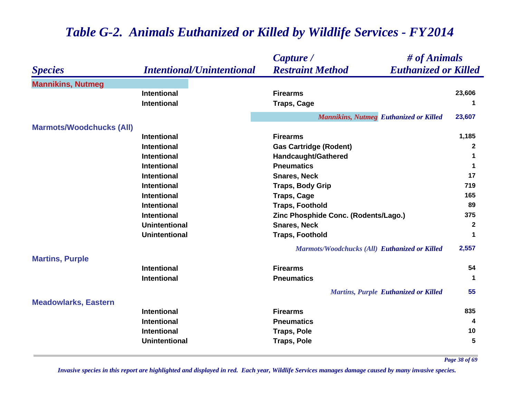#### *Species Capture / Restraint Method # of Animals Intentional/Unintentional Euthanized or Killed* **Mannikins, Nutmeg Intentional Firearms 23,606 Intentional Traps, Cage <sup>1</sup>** *Mannikins, Nutmeg Euthanized or Killed* **23,607 Marmots/Woodchucks (All) Intentional Firearms 1,185 Intentional Gas Cartridge (Rodent) <sup>2</sup> Intentional Handcaught/Gathered <sup>1</sup> Intentional Pneumatics 1 Intentional Snares, Neck 17 Intentional Traps, Body Grip <sup>719</sup> Intentional Traps, Cage <sup>165</sup> Intentional Traps, Foothold 89 Intentional Zinc Phosphide Conc. (Rodents/Lago.) <sup>375</sup> Unintentional Snares, Neck 2 Unintentional Traps, Foothold <sup>1</sup>** *Marmots/Woodchucks (All) Euthanized or Killed* **2,557 Martins, Purple Intentional Firearms 54 Intentional Pneumatics 1** *Martins, Purple Euthanized or Killed* **55 Meadowlarks, Eastern Intentional Firearms 835 Intentional Pneumatics 4 Intentional Traps, Pole 10 Unintentional Traps, Pole 5**

# *Table G-2. Animals Euthanized or Killed by Wildlife Services - FY 2014*

*Page 38 of 69*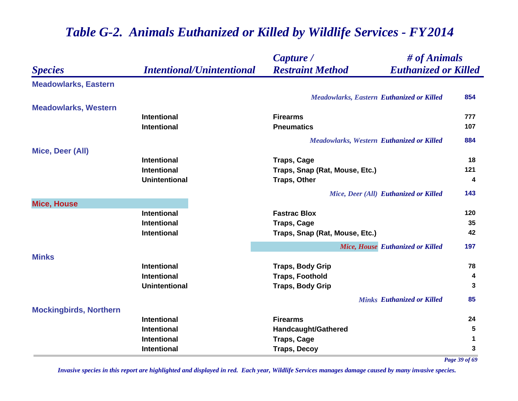|                               |                                  | Capture /                                        | # of Animals                      |             |
|-------------------------------|----------------------------------|--------------------------------------------------|-----------------------------------|-------------|
| <b>Species</b>                | <b>Intentional/Unintentional</b> | <b>Restraint Method</b>                          | <b>Euthanized or Killed</b>       |             |
| <b>Meadowlarks, Eastern</b>   |                                  |                                                  |                                   |             |
|                               |                                  | <b>Meadowlarks, Eastern Euthanized or Killed</b> |                                   | 854         |
| <b>Meadowlarks, Western</b>   |                                  |                                                  |                                   |             |
|                               | <b>Intentional</b>               | <b>Firearms</b>                                  |                                   | 777         |
|                               | <b>Intentional</b>               | <b>Pneumatics</b>                                |                                   | 107         |
|                               |                                  | <b>Meadowlarks, Western Euthanized or Killed</b> |                                   | 884         |
| Mice, Deer (All)              |                                  |                                                  |                                   |             |
|                               | <b>Intentional</b>               | <b>Traps, Cage</b>                               |                                   | 18          |
|                               | <b>Intentional</b>               | Traps, Snap (Rat, Mouse, Etc.)                   |                                   | 121         |
|                               | <b>Unintentional</b>             | <b>Traps, Other</b>                              |                                   | 4           |
|                               |                                  | Mice, Deer (All) Euthanized or Killed            |                                   | 143         |
| <b>Mice, House</b>            |                                  |                                                  |                                   |             |
|                               | <b>Intentional</b>               | <b>Fastrac Blox</b>                              |                                   | 120         |
|                               | <b>Intentional</b>               | <b>Traps, Cage</b>                               |                                   | 35          |
|                               | <b>Intentional</b>               | Traps, Snap (Rat, Mouse, Etc.)                   |                                   | 42          |
|                               |                                  |                                                  | Mice, House Euthanized or Killed  | 197         |
| <b>Minks</b>                  |                                  |                                                  |                                   |             |
|                               | <b>Intentional</b>               | <b>Traps, Body Grip</b>                          |                                   | 78          |
|                               | <b>Intentional</b>               | <b>Traps, Foothold</b>                           |                                   | 4           |
|                               | <b>Unintentional</b>             | <b>Traps, Body Grip</b>                          |                                   | 3           |
|                               |                                  |                                                  | <b>Minks Euthanized or Killed</b> | 85          |
| <b>Mockingbirds, Northern</b> |                                  |                                                  |                                   |             |
|                               | <b>Intentional</b>               | <b>Firearms</b>                                  |                                   | 24          |
|                               | <b>Intentional</b>               | Handcaught/Gathered                              |                                   | $\sqrt{5}$  |
|                               | <b>Intentional</b>               | <b>Traps, Cage</b>                               |                                   | $\mathbf 1$ |
|                               | <b>Intentional</b>               | <b>Traps, Decoy</b>                              |                                   | 3           |

*Page 39 of 69*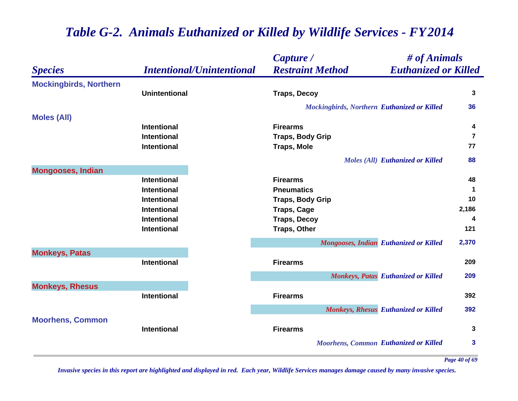|                               |                                  | Capture /                                          | # of Animals                               |              |
|-------------------------------|----------------------------------|----------------------------------------------------|--------------------------------------------|--------------|
| <b>Species</b>                | <b>Intentional/Unintentional</b> | <b>Restraint Method</b>                            | <b>Euthanized or Killed</b>                |              |
| <b>Mockingbirds, Northern</b> |                                  |                                                    |                                            |              |
|                               | <b>Unintentional</b>             | <b>Traps, Decoy</b>                                |                                            | 3            |
|                               |                                  | <b>Mockingbirds, Northern Euthanized or Killed</b> |                                            | 36           |
| <b>Moles (All)</b>            |                                  |                                                    |                                            |              |
|                               | <b>Intentional</b>               | <b>Firearms</b>                                    |                                            | 4            |
|                               | <b>Intentional</b>               | <b>Traps, Body Grip</b>                            |                                            | 7            |
|                               | Intentional                      | <b>Traps, Mole</b>                                 |                                            | 77           |
|                               |                                  |                                                    | <b>Moles (All) Euthanized or Killed</b>    | 88           |
| <b>Mongooses, Indian</b>      |                                  |                                                    |                                            |              |
|                               | Intentional                      | <b>Firearms</b>                                    |                                            | 48           |
|                               | <b>Intentional</b>               | <b>Pneumatics</b>                                  |                                            | 1            |
|                               | <b>Intentional</b>               | <b>Traps, Body Grip</b>                            |                                            | 10           |
|                               | <b>Intentional</b>               | <b>Traps, Cage</b>                                 |                                            | 2,186        |
|                               | <b>Intentional</b>               | <b>Traps, Decoy</b>                                |                                            | 4            |
|                               | <b>Intentional</b>               | <b>Traps, Other</b>                                |                                            | 121          |
|                               |                                  | <b>Mongooses, Indian Euthanized or Killed</b>      |                                            | 2,370        |
| <b>Monkeys, Patas</b>         |                                  |                                                    |                                            |              |
|                               | <b>Intentional</b>               | <b>Firearms</b>                                    |                                            | 209          |
|                               |                                  |                                                    | <b>Monkeys, Patas Euthanized or Killed</b> | 209          |
| <b>Monkeys, Rhesus</b>        |                                  |                                                    |                                            |              |
|                               | <b>Intentional</b>               | <b>Firearms</b>                                    |                                            | 392          |
|                               |                                  |                                                    | Monkeys, Rhesus Euthanized or Killed       | 392          |
| <b>Moorhens, Common</b>       |                                  |                                                    |                                            |              |
|                               | <b>Intentional</b>               | <b>Firearms</b>                                    |                                            | 3            |
|                               |                                  | <b>Moorhens, Common Euthanized or Killed</b>       |                                            | $\mathbf{3}$ |

*Page 40 of 69*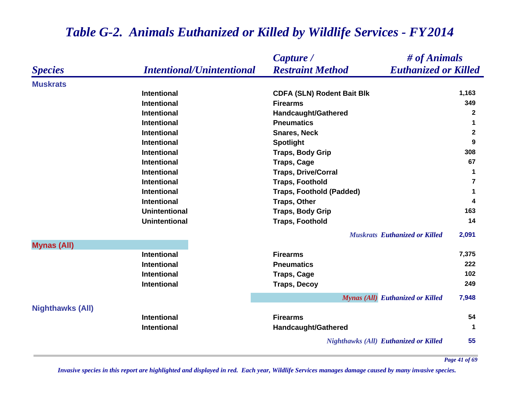|                         |                                  | Capture /                                    | # of Animals                                     |
|-------------------------|----------------------------------|----------------------------------------------|--------------------------------------------------|
| <b>Species</b>          | <b>Intentional/Unintentional</b> | <b>Restraint Method</b>                      | <b>Euthanized or Killed</b>                      |
| <b>Muskrats</b>         |                                  |                                              |                                                  |
|                         | <b>Intentional</b>               | <b>CDFA (SLN) Rodent Bait Blk</b>            | 1,163                                            |
|                         | <b>Intentional</b>               | <b>Firearms</b>                              | 349                                              |
|                         | <b>Intentional</b>               | <b>Handcaught/Gathered</b>                   | $\mathbf{2}$                                     |
|                         | <b>Intentional</b>               | <b>Pneumatics</b>                            | 1                                                |
|                         | <b>Intentional</b>               | <b>Snares, Neck</b>                          | $\mathbf{2}$                                     |
|                         | <b>Intentional</b>               | <b>Spotlight</b>                             | 9                                                |
|                         | <b>Intentional</b>               | <b>Traps, Body Grip</b>                      | 308                                              |
|                         | <b>Intentional</b>               | <b>Traps, Cage</b>                           | 67                                               |
|                         | <b>Intentional</b>               | <b>Traps, Drive/Corral</b>                   | $\mathbf 1$                                      |
|                         | <b>Intentional</b>               | <b>Traps, Foothold</b>                       | 7                                                |
|                         | <b>Intentional</b>               | <b>Traps, Foothold (Padded)</b>              | 1                                                |
|                         | <b>Intentional</b>               | <b>Traps, Other</b>                          | 4                                                |
|                         | <b>Unintentional</b>             | <b>Traps, Body Grip</b>                      | 163                                              |
|                         | <b>Unintentional</b>             | <b>Traps, Foothold</b>                       | 14                                               |
|                         |                                  |                                              | <b>Muskrats</b> Euthanized or Killed<br>2,091    |
| <b>Mynas (All)</b>      |                                  |                                              |                                                  |
|                         | <b>Intentional</b>               | <b>Firearms</b>                              | 7,375                                            |
|                         | Intentional                      | <b>Pneumatics</b>                            | 222                                              |
|                         | <b>Intentional</b>               | <b>Traps, Cage</b>                           | 102                                              |
|                         | <b>Intentional</b>               | <b>Traps, Decoy</b>                          | 249                                              |
|                         |                                  |                                              | <b>Mynas (All)</b> Euthanized or Killed<br>7,948 |
| <b>Nighthawks (All)</b> |                                  |                                              |                                                  |
|                         | <b>Intentional</b>               | <b>Firearms</b>                              | 54                                               |
|                         | <b>Intentional</b>               | Handcaught/Gathered                          | $\mathbf 1$                                      |
|                         |                                  | <b>Nighthawks (All) Euthanized or Killed</b> | 55                                               |

*Invasive species in this report are highlighted and displayed in red. Each year, Wildlife Services manages damage caused by many invasive species.* 

*Page 41 of 69*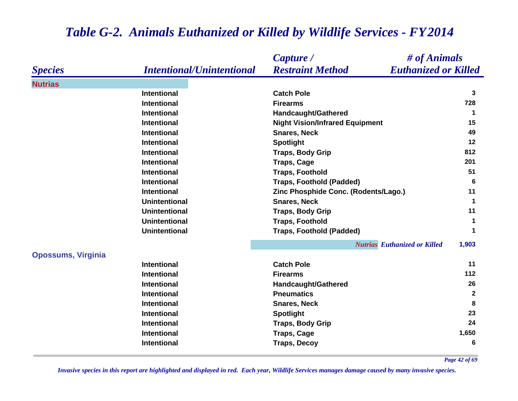|                           |                                  | Capture /                              | $\#$ of Animals                              |
|---------------------------|----------------------------------|----------------------------------------|----------------------------------------------|
| <b>Species</b>            | <b>Intentional/Unintentional</b> | <b>Restraint Method</b>                | <b>Euthanized or Killed</b>                  |
| <b>Nutrias</b>            |                                  |                                        |                                              |
|                           | <b>Intentional</b>               | <b>Catch Pole</b>                      | 3                                            |
|                           | <b>Intentional</b>               | <b>Firearms</b>                        | 728                                          |
|                           | <b>Intentional</b>               | Handcaught/Gathered                    | 1                                            |
|                           | <b>Intentional</b>               | <b>Night Vision/Infrared Equipment</b> | 15                                           |
|                           | <b>Intentional</b>               | <b>Snares, Neck</b>                    | 49                                           |
|                           | <b>Intentional</b>               | <b>Spotlight</b>                       | 12                                           |
|                           | <b>Intentional</b>               | <b>Traps, Body Grip</b>                | 812                                          |
|                           | <b>Intentional</b>               | <b>Traps, Cage</b>                     | 201                                          |
|                           | <b>Intentional</b>               | <b>Traps, Foothold</b>                 | 51                                           |
|                           | <b>Intentional</b>               | <b>Traps, Foothold (Padded)</b>        | 6                                            |
|                           | <b>Intentional</b>               | Zinc Phosphide Conc. (Rodents/Lago.)   | 11                                           |
|                           | <b>Unintentional</b>             | <b>Snares, Neck</b>                    | $\mathbf 1$                                  |
|                           | <b>Unintentional</b>             | <b>Traps, Body Grip</b>                | 11                                           |
|                           | <b>Unintentional</b>             | <b>Traps, Foothold</b>                 | $\blacktriangleleft$                         |
|                           | <b>Unintentional</b>             | <b>Traps, Foothold (Padded)</b>        | 1                                            |
|                           |                                  |                                        | <b>Nutrias</b> Euthanized or Killed<br>1,903 |
| <b>Opossums, Virginia</b> |                                  |                                        |                                              |
|                           | <b>Intentional</b>               | <b>Catch Pole</b>                      | 11                                           |
|                           | <b>Intentional</b>               | <b>Firearms</b>                        | 112                                          |
|                           | <b>Intentional</b>               | Handcaught/Gathered                    | 26                                           |
|                           | <b>Intentional</b>               | <b>Pneumatics</b>                      | $\overline{2}$                               |
|                           | <b>Intentional</b>               | <b>Snares, Neck</b>                    | 8                                            |
|                           | <b>Intentional</b>               | <b>Spotlight</b>                       | 23                                           |
|                           | <b>Intentional</b>               | <b>Traps, Body Grip</b>                | 24                                           |
|                           | Intentional                      | <b>Traps, Cage</b>                     | 1,650                                        |
|                           | Intentional                      | <b>Traps, Decoy</b>                    | 6                                            |

*Page 42 of 69*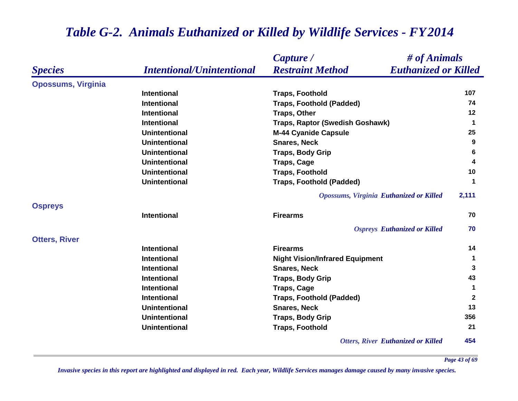|                           |                                  | # of Animals<br>Capture /                              |              |
|---------------------------|----------------------------------|--------------------------------------------------------|--------------|
| <b>Species</b>            | <b>Intentional/Unintentional</b> | <b>Restraint Method</b><br><b>Euthanized or Killed</b> |              |
| <b>Opossums, Virginia</b> |                                  |                                                        |              |
|                           | <b>Intentional</b>               | <b>Traps, Foothold</b>                                 | 107          |
|                           | <b>Intentional</b>               | <b>Traps, Foothold (Padded)</b>                        | 74           |
|                           | <b>Intentional</b>               | <b>Traps, Other</b>                                    | 12           |
|                           | <b>Intentional</b>               | Traps, Raptor (Swedish Goshawk)                        | $\mathbf 1$  |
|                           | <b>Unintentional</b>             | <b>M-44 Cyanide Capsule</b>                            | 25           |
|                           | <b>Unintentional</b>             | <b>Snares, Neck</b>                                    | 9            |
|                           | <b>Unintentional</b>             | <b>Traps, Body Grip</b>                                | 6            |
|                           | <b>Unintentional</b>             | <b>Traps, Cage</b>                                     | 4            |
|                           | <b>Unintentional</b>             | <b>Traps, Foothold</b>                                 | 10           |
|                           | <b>Unintentional</b>             | <b>Traps, Foothold (Padded)</b>                        | 1            |
|                           |                                  | <b>Opossums, Virginia Euthanized or Killed</b>         | 2,111        |
| <b>Ospreys</b>            |                                  |                                                        |              |
|                           | <b>Intentional</b>               | <b>Firearms</b>                                        | 70           |
|                           |                                  | <b>Ospreys Euthanized or Killed</b>                    | 70           |
| <b>Otters, River</b>      |                                  |                                                        |              |
|                           | <b>Intentional</b>               | <b>Firearms</b>                                        | 14           |
|                           | <b>Intentional</b>               | <b>Night Vision/Infrared Equipment</b>                 | $\mathbf 1$  |
|                           | Intentional                      | <b>Snares, Neck</b>                                    | 3            |
|                           | Intentional                      | <b>Traps, Body Grip</b>                                | 43           |
|                           | Intentional                      | <b>Traps, Cage</b>                                     | $\mathbf 1$  |
|                           | <b>Intentional</b>               | <b>Traps, Foothold (Padded)</b>                        | $\mathbf{2}$ |
|                           | <b>Unintentional</b>             | <b>Snares, Neck</b>                                    | 13           |
|                           | <b>Unintentional</b>             | <b>Traps, Body Grip</b>                                | 356          |
|                           | <b>Unintentional</b>             | <b>Traps, Foothold</b>                                 | 21           |
|                           |                                  | <b>Otters, River Euthanized or Killed</b>              | 454          |

*Invasive species in this report are highlighted and displayed in red. Each year, Wildlife Services manages damage caused by many invasive species.* 

*Page 43 of 69*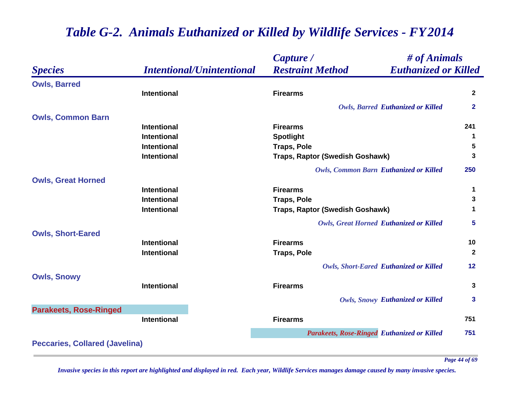|                                       |                                  | $\#$ of Animals<br>Capture /                           |              |
|---------------------------------------|----------------------------------|--------------------------------------------------------|--------------|
| <b>Species</b>                        | <b>Intentional/Unintentional</b> | <b>Restraint Method</b><br><b>Euthanized or Killed</b> |              |
| <b>Owls, Barred</b>                   |                                  |                                                        |              |
|                                       | <b>Intentional</b>               | <b>Firearms</b>                                        | $\mathbf{2}$ |
|                                       |                                  | <b>Owls, Barred Euthanized or Killed</b>               | $\mathbf{2}$ |
| <b>Owls, Common Barn</b>              |                                  |                                                        |              |
|                                       | <b>Intentional</b>               | <b>Firearms</b>                                        | 241          |
|                                       | <b>Intentional</b>               | <b>Spotlight</b>                                       | 1            |
|                                       | <b>Intentional</b>               | <b>Traps, Pole</b>                                     | 5            |
|                                       | <b>Intentional</b>               | Traps, Raptor (Swedish Goshawk)                        | 3            |
|                                       |                                  | <b>Owls, Common Barn Euthanized or Killed</b>          | 250          |
| <b>Owls, Great Horned</b>             |                                  |                                                        |              |
|                                       | <b>Intentional</b>               | <b>Firearms</b>                                        | 1            |
|                                       | <b>Intentional</b>               | <b>Traps, Pole</b>                                     | 3            |
|                                       | <b>Intentional</b>               | Traps, Raptor (Swedish Goshawk)                        | 1            |
|                                       |                                  | <b>Owls, Great Horned Euthanized or Killed</b>         | 5            |
| <b>Owls, Short-Eared</b>              |                                  |                                                        |              |
|                                       | <b>Intentional</b>               | <b>Firearms</b>                                        | 10           |
|                                       | <b>Intentional</b>               | <b>Traps, Pole</b>                                     | $\mathbf{2}$ |
|                                       |                                  | <b>Owls, Short-Eared Euthanized or Killed</b>          | 12           |
| <b>Owls, Snowy</b>                    |                                  |                                                        |              |
|                                       | <b>Intentional</b>               | <b>Firearms</b>                                        | 3            |
|                                       |                                  | <b>Owls, Snowy Euthanized or Killed</b>                | $\mathbf{3}$ |
| <b>Parakeets, Rose-Ringed</b>         |                                  |                                                        |              |
|                                       | <b>Intentional</b>               | <b>Firearms</b>                                        | 751          |
|                                       |                                  | <b>Parakeets, Rose-Ringed Euthanized or Killed</b>     | 751          |
| <b>Peccaries, Collared (Javelina)</b> |                                  |                                                        |              |

*Invasive species in this report are highlighted and displayed in red. Each year, Wildlife Services manages damage caused by many invasive species.* 

*Page 44 of 69*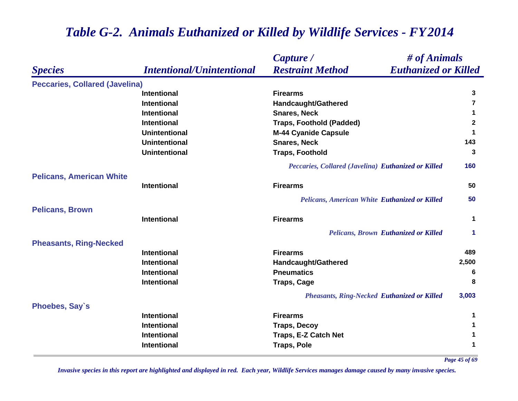#### *Species Capture / Restraint Method # of Animals Intentional/Unintentional Euthanized or Killed* **Peccaries, Collared (Javelina) Intentional Firearms 3 Intentional Handcaught/Gathered <sup>7</sup> Intentional Snares, Neck 1 Intentional Traps, Foothold (Padded) <sup>2</sup> Unintentional M-44 Cyanide Capsule <sup>1</sup> Unintentional Snares, Neck 143 Unintentional Traps, Foothold 3** *Peccaries, Collared (Javelina) Euthanized or Killed* **160 Pelicans, American White Intentional Firearms 50** *Pelicans, American White Euthanized or Killed* **50 Pelicans, Brown Intentional Firearms 1** *Pelicans, Brown Euthanized or Killed* **1 Pheasants, Ring-Necked Intentional Firearms 489 Intentional Handcaught/Gathered 2,500 Intentional Pneumatics 6 Intentional Traps, Cage <sup>8</sup>** *Pheasants, Ring-Necked Euthanized or Killed* **3,003 Phoebes, Say`s Intentional Firearms 1 Intentional Traps, Decoy <sup>1</sup> Intentional Traps, E-Z Catch Net <sup>1</sup> Intentional Traps, Pole <sup>1</sup>**

#### *Table G-2. Animals Euthanized or Killed by Wildlife Services - FY 2014*

*Page 45 of 69*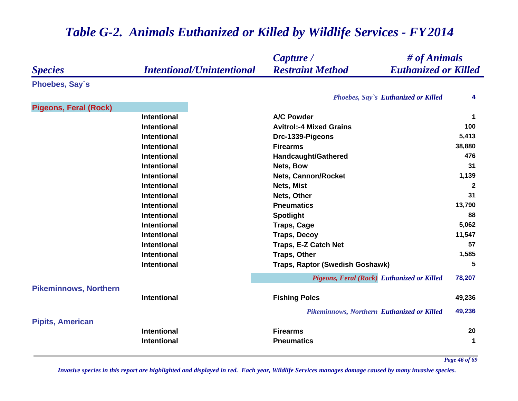|                              |                                  | # of Animals<br>Capture /                              |              |
|------------------------------|----------------------------------|--------------------------------------------------------|--------------|
| <b>Species</b>               | <b>Intentional/Unintentional</b> | <b>Restraint Method</b><br><b>Euthanized or Killed</b> |              |
| Phoebes, Say's               |                                  |                                                        |              |
|                              |                                  | Phoebes, Say's Euthanized or Killed                    | 4            |
| <b>Pigeons, Feral (Rock)</b> |                                  |                                                        |              |
|                              | <b>Intentional</b>               | <b>A/C Powder</b>                                      | $\mathbf 1$  |
|                              | <b>Intentional</b>               | <b>Avitrol:-4 Mixed Grains</b>                         | 100          |
|                              | <b>Intentional</b>               | Drc-1339-Pigeons                                       | 5,413        |
|                              | <b>Intentional</b>               | <b>Firearms</b>                                        | 38,880       |
|                              | <b>Intentional</b>               | Handcaught/Gathered                                    | 476          |
|                              | <b>Intentional</b>               | Nets, Bow                                              | 31           |
|                              | <b>Intentional</b>               | <b>Nets, Cannon/Rocket</b>                             | 1,139        |
|                              | <b>Intentional</b>               | Nets, Mist                                             | $\mathbf{2}$ |
|                              | <b>Intentional</b>               | Nets, Other                                            | 31           |
|                              | <b>Intentional</b>               | <b>Pneumatics</b>                                      | 13,790       |
|                              | <b>Intentional</b>               | <b>Spotlight</b>                                       | 88           |
|                              | <b>Intentional</b>               | <b>Traps, Cage</b>                                     | 5,062        |
|                              | <b>Intentional</b>               | <b>Traps, Decoy</b>                                    | 11,547       |
|                              | <b>Intentional</b>               | Traps, E-Z Catch Net                                   | 57           |
|                              | <b>Intentional</b>               | <b>Traps, Other</b>                                    | 1,585        |
|                              | <b>Intentional</b>               | Traps, Raptor (Swedish Goshawk)                        | 5            |
|                              |                                  | Pigeons, Feral (Rock) Euthanized or Killed             | 78,207       |
| <b>Pikeminnows, Northern</b> |                                  |                                                        |              |
|                              | <b>Intentional</b>               | <b>Fishing Poles</b>                                   | 49,236       |
|                              |                                  | <b>Pikeminnows, Northern Euthanized or Killed</b>      | 49,236       |
| <b>Pipits, American</b>      |                                  |                                                        |              |
|                              | <b>Intentional</b>               | <b>Firearms</b>                                        | 20           |
|                              | Intentional                      | <b>Pneumatics</b>                                      | $\mathbf 1$  |

*Page 46 of 69*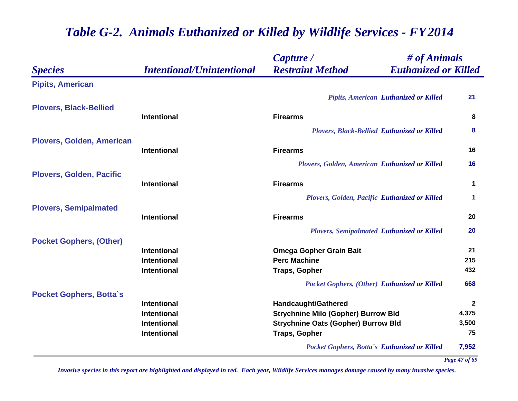|                                  |                                  | Capture /                                          | # of Animals                |
|----------------------------------|----------------------------------|----------------------------------------------------|-----------------------------|
| <b>Species</b>                   | <b>Intentional/Unintentional</b> | <b>Restraint Method</b>                            | <b>Euthanized or Killed</b> |
| <b>Pipits, American</b>          |                                  |                                                    |                             |
|                                  |                                  | <b>Pipits, American Euthanized or Killed</b>       | 21                          |
| <b>Plovers, Black-Bellied</b>    |                                  |                                                    |                             |
|                                  | <b>Intentional</b>               | <b>Firearms</b>                                    | 8                           |
|                                  |                                  | <b>Plovers, Black-Bellied Euthanized or Killed</b> | 8                           |
| <b>Plovers, Golden, American</b> |                                  |                                                    |                             |
|                                  | <b>Intentional</b>               | <b>Firearms</b>                                    | 16                          |
|                                  |                                  | Plovers, Golden, American Euthanized or Killed     | 16                          |
| <b>Plovers, Golden, Pacific</b>  |                                  |                                                    |                             |
|                                  | <b>Intentional</b>               | <b>Firearms</b>                                    | $\mathbf 1$                 |
|                                  |                                  | Plovers, Golden, Pacific Euthanized or Killed      | $\blacktriangleleft$        |
| <b>Plovers, Semipalmated</b>     |                                  |                                                    |                             |
|                                  | <b>Intentional</b>               | <b>Firearms</b>                                    | 20                          |
|                                  |                                  | <b>Plovers, Semipalmated Euthanized or Killed</b>  | 20                          |
| <b>Pocket Gophers, (Other)</b>   |                                  |                                                    |                             |
|                                  | <b>Intentional</b>               | <b>Omega Gopher Grain Bait</b>                     | 21                          |
|                                  | <b>Intentional</b>               | <b>Perc Machine</b>                                | 215                         |
|                                  | <b>Intentional</b>               | <b>Traps, Gopher</b>                               | 432                         |
|                                  |                                  | Pocket Gophers, (Other) Euthanized or Killed       | 668                         |
| <b>Pocket Gophers, Botta's</b>   |                                  |                                                    |                             |
|                                  | <b>Intentional</b>               | Handcaught/Gathered                                | $\mathbf{2}$                |
|                                  | <b>Intentional</b>               | <b>Strychnine Milo (Gopher) Burrow Bld</b>         | 4,375                       |
|                                  | <b>Intentional</b>               | <b>Strychnine Oats (Gopher) Burrow Bld</b>         | 3,500                       |
|                                  | <b>Intentional</b>               | <b>Traps, Gopher</b>                               | 75                          |
|                                  |                                  | Pocket Gophers, Botta's Euthanized or Killed       | 7,952                       |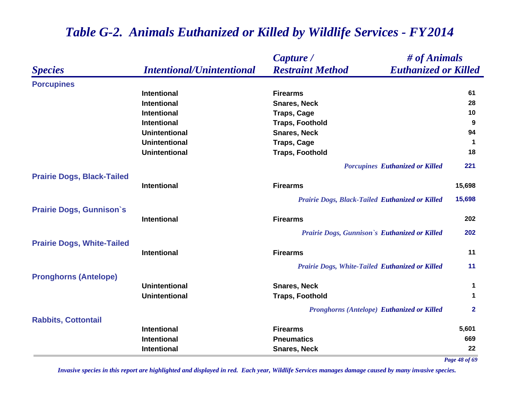|                                   |                                  | # of Animals<br>Capture /                              |                     |
|-----------------------------------|----------------------------------|--------------------------------------------------------|---------------------|
| <b>Species</b>                    | <b>Intentional/Unintentional</b> | <b>Restraint Method</b><br><b>Euthanized or Killed</b> |                     |
| <b>Porcupines</b>                 |                                  |                                                        |                     |
|                                   | <b>Intentional</b>               | <b>Firearms</b>                                        | 61                  |
|                                   | <b>Intentional</b>               | <b>Snares, Neck</b>                                    | 28                  |
|                                   | <b>Intentional</b>               | <b>Traps, Cage</b>                                     | 10                  |
|                                   | <b>Intentional</b>               | <b>Traps, Foothold</b>                                 | 9                   |
|                                   | <b>Unintentional</b>             | <b>Snares, Neck</b>                                    | 94                  |
|                                   | <b>Unintentional</b>             | <b>Traps, Cage</b>                                     | $\mathbf 1$         |
|                                   | <b>Unintentional</b>             | <b>Traps, Foothold</b>                                 | 18                  |
|                                   |                                  | <b>Porcupines Euthanized or Killed</b>                 | 221                 |
| <b>Prairie Dogs, Black-Tailed</b> | <b>Intentional</b>               | <b>Firearms</b>                                        | 15,698              |
|                                   |                                  |                                                        |                     |
|                                   |                                  | Prairie Dogs, Black-Tailed Euthanized or Killed        | 15,698              |
| <b>Prairie Dogs, Gunnison's</b>   | <b>Intentional</b>               | <b>Firearms</b>                                        | 202                 |
|                                   |                                  | Prairie Dogs, Gunnison's Euthanized or Killed          | 202                 |
| <b>Prairie Dogs, White-Tailed</b> |                                  |                                                        |                     |
|                                   | <b>Intentional</b>               | <b>Firearms</b>                                        | 11                  |
|                                   |                                  | <b>Prairie Dogs, White-Tailed Euthanized or Killed</b> | 11                  |
| <b>Pronghorns (Antelope)</b>      |                                  |                                                        |                     |
|                                   | <b>Unintentional</b>             | <b>Snares, Neck</b>                                    | 1                   |
|                                   | <b>Unintentional</b>             | <b>Traps, Foothold</b>                                 | $\mathbf 1$         |
|                                   |                                  | <b>Pronghorns (Antelope) Euthanized or Killed</b>      | $\mathbf{2}$        |
| <b>Rabbits, Cottontail</b>        |                                  |                                                        |                     |
|                                   | <b>Intentional</b>               | <b>Firearms</b>                                        | 5,601               |
|                                   | <b>Intentional</b>               | <b>Pneumatics</b>                                      | 669                 |
|                                   | <b>Intentional</b>               | <b>Snares, Neck</b>                                    | 22<br>Page 48 of 69 |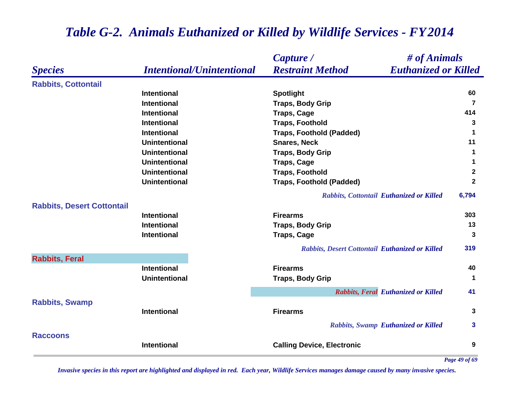|                                   |                                  | # of Animals<br>Capture /                              |                      |
|-----------------------------------|----------------------------------|--------------------------------------------------------|----------------------|
| <b>Species</b>                    | <b>Intentional/Unintentional</b> | <b>Restraint Method</b><br><b>Euthanized or Killed</b> |                      |
| <b>Rabbits, Cottontail</b>        |                                  |                                                        |                      |
|                                   | <b>Intentional</b>               | <b>Spotlight</b>                                       | 60                   |
|                                   | <b>Intentional</b>               | <b>Traps, Body Grip</b>                                | $\overline{7}$       |
|                                   | <b>Intentional</b>               | <b>Traps, Cage</b>                                     | 414                  |
|                                   | <b>Intentional</b>               | <b>Traps, Foothold</b>                                 | 3                    |
|                                   | <b>Intentional</b>               | <b>Traps, Foothold (Padded)</b>                        | $\blacktriangleleft$ |
|                                   | <b>Unintentional</b>             | <b>Snares, Neck</b>                                    | 11                   |
|                                   | <b>Unintentional</b>             | <b>Traps, Body Grip</b>                                | $\mathbf 1$          |
|                                   | <b>Unintentional</b>             | <b>Traps, Cage</b>                                     | 1                    |
|                                   | <b>Unintentional</b>             | <b>Traps, Foothold</b>                                 | $\mathbf{2}$         |
|                                   | <b>Unintentional</b>             | <b>Traps, Foothold (Padded)</b>                        | $\mathbf{2}$         |
|                                   |                                  | Rabbits, Cottontail Euthanized or Killed               | 6,794                |
| <b>Rabbits, Desert Cottontail</b> |                                  |                                                        |                      |
|                                   | <b>Intentional</b>               | <b>Firearms</b>                                        | 303                  |
|                                   | <b>Intentional</b>               | <b>Traps, Body Grip</b>                                | 13                   |
|                                   | <b>Intentional</b>               | <b>Traps, Cage</b>                                     | 3                    |
|                                   |                                  | Rabbits, Desert Cottontail Euthanized or Killed        | 319                  |
| <b>Rabbits, Feral</b>             |                                  |                                                        |                      |
|                                   | <b>Intentional</b>               | <b>Firearms</b>                                        | 40                   |
|                                   | <b>Unintentional</b>             | <b>Traps, Body Grip</b>                                | $\mathbf 1$          |
|                                   |                                  | Rabbits, Feral Euthanized or Killed                    | 41                   |
| <b>Rabbits, Swamp</b>             |                                  |                                                        |                      |
|                                   | <b>Intentional</b>               | <b>Firearms</b>                                        | 3                    |
|                                   |                                  | Rabbits, Swamp Euthanized or Killed                    | 3                    |
| <b>Raccoons</b>                   | <b>Intentional</b>               | <b>Calling Device, Electronic</b>                      | 9                    |

*Page 49 of 69*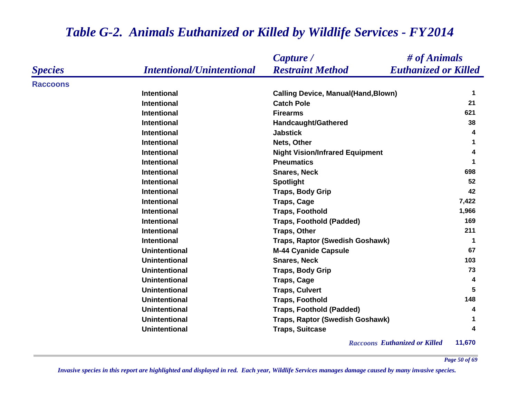|                 |                                  | Capture /                                  | # of Animals                |
|-----------------|----------------------------------|--------------------------------------------|-----------------------------|
| <b>Species</b>  | <b>Intentional/Unintentional</b> | <b>Restraint Method</b>                    | <b>Euthanized or Killed</b> |
| <b>Raccoons</b> |                                  |                                            |                             |
|                 | <b>Intentional</b>               | <b>Calling Device, Manual(Hand, Blown)</b> | 1                           |
|                 | <b>Intentional</b>               | <b>Catch Pole</b>                          | 21                          |
|                 | <b>Intentional</b>               | <b>Firearms</b>                            | 621                         |
|                 | <b>Intentional</b>               | <b>Handcaught/Gathered</b>                 | 38                          |
|                 | <b>Intentional</b>               | <b>Jabstick</b>                            | 4                           |
|                 | <b>Intentional</b>               | Nets, Other                                | 1                           |
|                 | <b>Intentional</b>               | <b>Night Vision/Infrared Equipment</b>     | 4                           |
|                 | <b>Intentional</b>               | <b>Pneumatics</b>                          |                             |
|                 | <b>Intentional</b>               | <b>Snares, Neck</b>                        | 698                         |
|                 | <b>Intentional</b>               | <b>Spotlight</b>                           | 52                          |
|                 | <b>Intentional</b>               | <b>Traps, Body Grip</b>                    | 42                          |
|                 | <b>Intentional</b>               | <b>Traps, Cage</b>                         | 7,422                       |
|                 | <b>Intentional</b>               | <b>Traps, Foothold</b>                     | 1,966                       |
|                 | <b>Intentional</b>               | <b>Traps, Foothold (Padded)</b>            | 169                         |
|                 | <b>Intentional</b>               | <b>Traps, Other</b>                        | 211                         |
|                 | <b>Intentional</b>               | Traps, Raptor (Swedish Goshawk)            | 1                           |
|                 | <b>Unintentional</b>             | <b>M-44 Cyanide Capsule</b>                | 67                          |
|                 | <b>Unintentional</b>             | <b>Snares, Neck</b>                        | 103                         |
|                 | <b>Unintentional</b>             | <b>Traps, Body Grip</b>                    | 73                          |
|                 | <b>Unintentional</b>             | <b>Traps, Cage</b>                         | 4                           |
|                 | <b>Unintentional</b>             | <b>Traps, Culvert</b>                      | 5                           |
|                 | <b>Unintentional</b>             | <b>Traps, Foothold</b>                     | 148                         |
|                 | <b>Unintentional</b>             | <b>Traps, Foothold (Padded)</b>            | 4                           |
|                 | <b>Unintentional</b>             | Traps, Raptor (Swedish Goshawk)            | 1                           |
|                 | <b>Unintentional</b>             | <b>Traps, Suitcase</b>                     | 4                           |

*Raccoons Euthanized or Killed* **11,670**

*Page 50 of 69*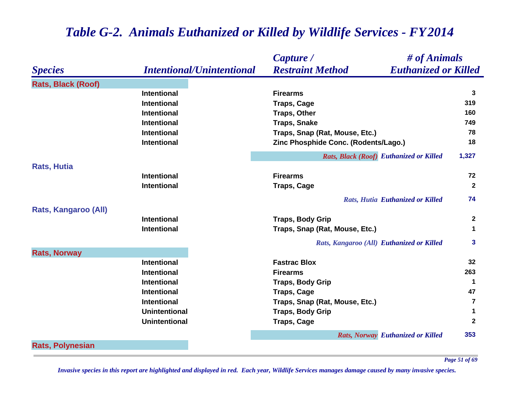|                           |                                  | # of Animals<br>Capture /                              |              |
|---------------------------|----------------------------------|--------------------------------------------------------|--------------|
| <b>Species</b>            | <b>Intentional/Unintentional</b> | <b>Restraint Method</b><br><b>Euthanized or Killed</b> |              |
| <b>Rats, Black (Roof)</b> |                                  |                                                        |              |
|                           | <b>Intentional</b>               | <b>Firearms</b>                                        | 3            |
|                           | <b>Intentional</b>               | <b>Traps, Cage</b>                                     | 319          |
|                           | <b>Intentional</b>               | <b>Traps, Other</b>                                    | 160          |
|                           | <b>Intentional</b>               | <b>Traps, Snake</b>                                    | 749          |
|                           | <b>Intentional</b>               | Traps, Snap (Rat, Mouse, Etc.)                         | 78           |
|                           | <b>Intentional</b>               | Zinc Phosphide Conc. (Rodents/Lago.)                   | 18           |
|                           |                                  | Rats, Black (Roof) Euthanized or Killed                | 1,327        |
| <b>Rats, Hutia</b>        |                                  |                                                        |              |
|                           | <b>Intentional</b>               | <b>Firearms</b>                                        | 72           |
|                           | <b>Intentional</b>               | <b>Traps, Cage</b>                                     | $\mathbf{2}$ |
|                           |                                  | <b>Rats, Hutia Euthanized or Killed</b>                | 74           |
| Rats, Kangaroo (All)      |                                  |                                                        |              |
|                           | <b>Intentional</b>               | <b>Traps, Body Grip</b>                                | $\mathbf{2}$ |
|                           | <b>Intentional</b>               | Traps, Snap (Rat, Mouse, Etc.)                         | 1            |
|                           |                                  | Rats, Kangaroo (All) Euthanized or Killed              | 3            |
| <b>Rats, Norway</b>       |                                  |                                                        |              |
|                           | <b>Intentional</b>               | <b>Fastrac Blox</b>                                    | 32           |
|                           | <b>Intentional</b>               | <b>Firearms</b>                                        | 263          |
|                           | <b>Intentional</b>               | <b>Traps, Body Grip</b>                                | 1            |
|                           | <b>Intentional</b>               | <b>Traps, Cage</b>                                     | 47           |
|                           | <b>Intentional</b>               | Traps, Snap (Rat, Mouse, Etc.)                         | 7            |
|                           | <b>Unintentional</b>             | <b>Traps, Body Grip</b>                                | 1            |
|                           | <b>Unintentional</b>             | <b>Traps, Cage</b>                                     | $\mathbf 2$  |
|                           |                                  | <b>Rats, Norway Euthanized or Killed</b>               | 353          |
| <b>Rats, Polynesian</b>   |                                  |                                                        |              |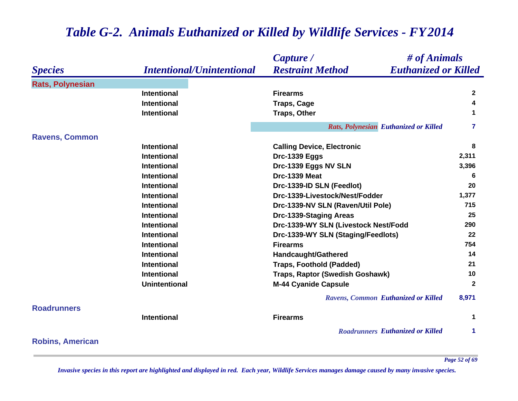#### *Species Capture / Restraint Method # of Animals Intentional/Unintentional Euthanized or Killed* **Rats, Polynesian Intentional Firearms 2 Intentional Traps, Cage <sup>4</sup> Intentional Traps, Other <sup>1</sup>** *Rats, Polynesian Euthanized or Killed* **<sup>7</sup> Ravens, Common Intentional Calling Device, Electronic <sup>8</sup> Intentional Drc-1339 Eggs 2,311 Intentional Drc-1339 Eggs NV SLN 3,396 Intentional Drc-1339 Meat 6 Intentional Drc-1339-ID SLN (Feedlot) 20 Intentional Drc-1339-Livestock/Nest/Fodder 1,377 Intentional Drc-1339-NV SLN (Raven/Util Pole) 715 Intentional Drc-1339-Staging Areas <sup>25</sup> Intentional Drc-1339-WY SLN (Livestock Nest/Fodd 290 Intentional Drc-1339-WY SLN (Staging/Feedlots) <sup>22</sup> Intentional Firearms 754 Intentional Handcaught/Gathered <sup>14</sup> Intentional Traps, Foothold (Padded) <sup>21</sup> Intentional Traps, Raptor (Swedish Goshawk) 10 Unintentional M-44 Cyanide Capsule <sup>2</sup>** *Ravens, Common Euthanized or Killed* **8,971 RoadrunnersIntentional Firearms 1** *Roadrunners Euthanized or Killed* **1 Robins, American**

## *Table G-2. Animals Euthanized or Killed by Wildlife Services - FY 2014*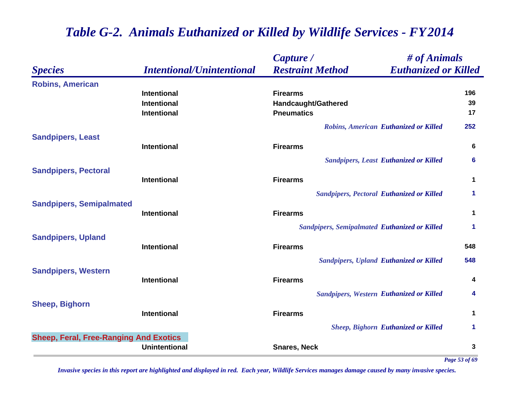|                                                                        |                                  | # of Animals<br>Capture /                                     |               |
|------------------------------------------------------------------------|----------------------------------|---------------------------------------------------------------|---------------|
| <b>Species</b>                                                         | <b>Intentional/Unintentional</b> | <b>Restraint Method</b><br><b>Euthanized or Killed</b>        |               |
| <b>Robins, American</b>                                                |                                  |                                                               |               |
|                                                                        | <b>Intentional</b>               | <b>Firearms</b>                                               | 196           |
|                                                                        | <b>Intentional</b>               | Handcaught/Gathered                                           | 39            |
|                                                                        | <b>Intentional</b>               | <b>Pneumatics</b>                                             | 17            |
|                                                                        |                                  | Robins, American Euthanized or Killed                         | 252           |
| <b>Sandpipers, Least</b>                                               |                                  |                                                               |               |
|                                                                        | <b>Intentional</b>               | <b>Firearms</b>                                               | 6             |
|                                                                        |                                  | <b>Sandpipers, Least Euthanized or Killed</b>                 | 6             |
| <b>Sandpipers, Pectoral</b>                                            | <b>Intentional</b>               | <b>Firearms</b>                                               | $\mathbf 1$   |
|                                                                        |                                  |                                                               |               |
|                                                                        |                                  | <b>Sandpipers, Pectoral Euthanized or Killed</b>              | 1             |
| <b>Sandpipers, Semipalmated</b>                                        | <b>Intentional</b>               | <b>Firearms</b>                                               | $\mathbf{1}$  |
|                                                                        |                                  | <b>Sandpipers, Semipalmated Euthanized or Killed</b>          | 1             |
| <b>Sandpipers, Upland</b>                                              |                                  |                                                               |               |
|                                                                        | <b>Intentional</b>               | <b>Firearms</b>                                               | 548           |
|                                                                        |                                  | <b>Sandpipers, Upland Euthanized or Killed</b>                | 548           |
| <b>Sandpipers, Western</b>                                             |                                  |                                                               |               |
|                                                                        | <b>Intentional</b>               | <b>Firearms</b>                                               | 4             |
|                                                                        |                                  | <b>Sandpipers, Western Euthanized or Killed</b>               | 4             |
|                                                                        |                                  |                                                               | 1             |
|                                                                        |                                  |                                                               | 1             |
|                                                                        |                                  |                                                               |               |
|                                                                        | <b>Unintentional</b>             | <b>Snares, Neck</b>                                           | 3             |
| <b>Sheep, Bighorn</b><br><b>Sheep, Feral, Free-Ranging And Exotics</b> | <b>Intentional</b>               | <b>Firearms</b><br><b>Sheep, Bighorn Euthanized or Killed</b> | $\sim$ $\sim$ |

*Page 53 of 69*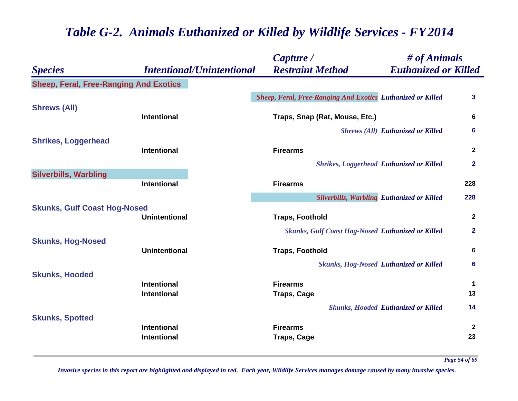|                                               |                                  | Capture /                                                          | $\#$ of Animals                                   |                  |
|-----------------------------------------------|----------------------------------|--------------------------------------------------------------------|---------------------------------------------------|------------------|
| <b>Species</b>                                | <b>Intentional/Unintentional</b> | <b>Restraint Method</b>                                            | <b>Euthanized or Killed</b>                       |                  |
| <b>Sheep, Feral, Free-Ranging And Exotics</b> |                                  |                                                                    |                                                   |                  |
|                                               |                                  | <b>Sheep, Feral, Free-Ranging And Exotics Euthanized or Killed</b> |                                                   | 3                |
| <b>Shrews (All)</b>                           | <b>Intentional</b>               | Traps, Snap (Rat, Mouse, Etc.)                                     |                                                   | 6                |
|                                               |                                  |                                                                    | <b>Shrews (All) Euthanized or Killed</b>          | 6                |
| <b>Shrikes, Loggerhead</b>                    | Intentional                      | <b>Firearms</b>                                                    |                                                   | $\boldsymbol{2}$ |
|                                               |                                  |                                                                    | <b>Shrikes, Loggerhead Euthanized or Killed</b>   | $\mathbf{2}$     |
| <b>Silverbills, Warbling</b>                  | Intentional                      | <b>Firearms</b>                                                    |                                                   | 228              |
|                                               |                                  |                                                                    | <b>Silverbills, Warbling Euthanized or Killed</b> | 228              |
| <b>Skunks, Gulf Coast Hog-Nosed</b>           | <b>Unintentional</b>             | <b>Traps, Foothold</b>                                             |                                                   | $\mathbf{2}$     |
| <b>Skunks, Hog-Nosed</b>                      |                                  | <b>Skunks, Gulf Coast Hog-Nosed Euthanized or Killed</b>           |                                                   | $\mathbf{2}$     |
|                                               | <b>Unintentional</b>             | <b>Traps, Foothold</b>                                             |                                                   | 6                |
| <b>Skunks, Hooded</b>                         |                                  |                                                                    | <b>Skunks, Hog-Nosed Euthanized or Killed</b>     | 6                |
|                                               | <b>Intentional</b>               | <b>Firearms</b>                                                    |                                                   | $\mathbf 1$      |
|                                               | <b>Intentional</b>               | <b>Traps, Cage</b>                                                 |                                                   | 13               |
|                                               |                                  |                                                                    | <b>Skunks, Hooded Euthanized or Killed</b>        | 14               |
| <b>Skunks, Spotted</b>                        | <b>Intentional</b>               | <b>Firearms</b>                                                    |                                                   | $\mathbf{2}$     |
|                                               | <b>Intentional</b>               | <b>Traps, Cage</b>                                                 |                                                   | 23               |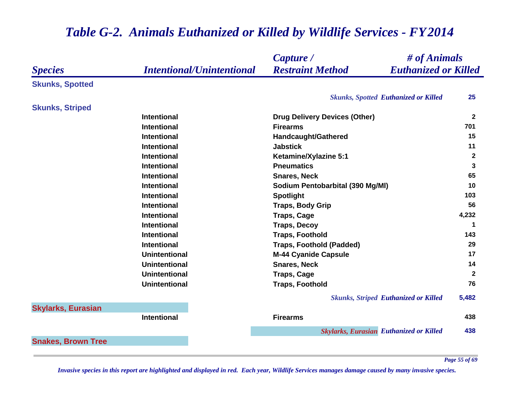#### *Species Capture / Restraint Method # of Animals Intentional/Unintentional Euthanized or Killed* **Skunks, Spotted** *Skunks, Spotted Euthanized or Killed* **25 Skunks, Striped Intentional Drug Delivery Devices (Other) <sup>2</sup> Intentional Firearms 701 Intentional Handcaught/Gathered <sup>15</sup> Intentional Jabstick 11 Intentional Ketamine/Xylazine 5:1 <sup>2</sup> Intentional Pneumatics 3 Intentional Snares, Neck 65 Intentional Sodium Pentobarbital (390 Mg/Ml) <sup>10</sup> Intentional Spotlight <sup>103</sup> Intentional Traps, Body Grip 56 Intentional Traps, Cage 4,232 Intentional Traps, Decoy <sup>1</sup> Intentional Traps, Foothold 143 Intentional Traps, Foothold (Padded) 29 Unintentional M-44 Cyanide Capsule <sup>17</sup> Unintentional Snares, Neck 14 Unintentional Traps, Cage <sup>2</sup> Unintentional Traps, Foothold 76** *Skunks, Striped Euthanized or Killed* **5,482 Skylarks, Eurasian Intentional Firearms 438** *Skylarks, Eurasian Euthanized or Killed* **438 Snakes, Brown Tree**

#### *Table G-2. Animals Euthanized or Killed by Wildlife Services - FY 2014*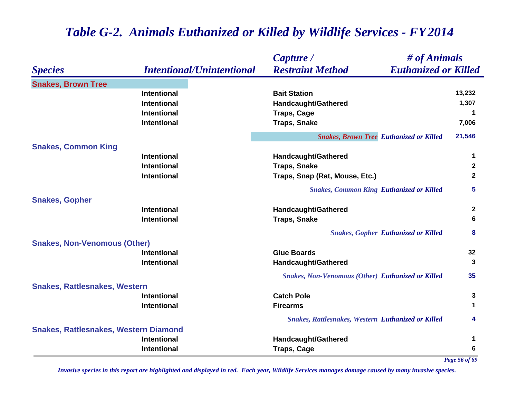|                                              |                                  | # of Animals<br>Capture /                                 |              |
|----------------------------------------------|----------------------------------|-----------------------------------------------------------|--------------|
| <b>Species</b>                               | <b>Intentional/Unintentional</b> | <b>Euthanized or Killed</b><br><b>Restraint Method</b>    |              |
| <b>Snakes, Brown Tree</b>                    |                                  |                                                           |              |
|                                              | <b>Intentional</b>               | <b>Bait Station</b>                                       | 13,232       |
|                                              | Intentional                      | Handcaught/Gathered                                       | 1,307        |
|                                              | <b>Intentional</b>               | <b>Traps, Cage</b>                                        | 1            |
|                                              | <b>Intentional</b>               | <b>Traps, Snake</b>                                       | 7,006        |
|                                              |                                  | <b>Snakes, Brown Tree Euthanized or Killed</b>            | 21,546       |
| <b>Snakes, Common King</b>                   |                                  |                                                           |              |
|                                              | <b>Intentional</b>               | <b>Handcaught/Gathered</b>                                | 1            |
|                                              | <b>Intentional</b>               | <b>Traps, Snake</b>                                       | $\mathbf{2}$ |
|                                              | <b>Intentional</b>               | Traps, Snap (Rat, Mouse, Etc.)                            | 2            |
|                                              |                                  | <b>Snakes, Common King Euthanized or Killed</b>           | 5            |
| <b>Snakes, Gopher</b>                        |                                  |                                                           |              |
|                                              | <b>Intentional</b>               | <b>Handcaught/Gathered</b>                                | $\mathbf{2}$ |
|                                              | <b>Intentional</b>               | <b>Traps, Snake</b>                                       | 6            |
|                                              |                                  | <b>Snakes, Gopher Euthanized or Killed</b>                | 8            |
| <b>Snakes, Non-Venomous (Other)</b>          |                                  |                                                           |              |
|                                              | <b>Intentional</b>               | <b>Glue Boards</b>                                        | 32           |
|                                              | <b>Intentional</b>               | Handcaught/Gathered                                       | 3            |
|                                              |                                  | <b>Snakes, Non-Venomous (Other) Euthanized or Killed</b>  | 35           |
| <b>Snakes, Rattlesnakes, Western</b>         |                                  |                                                           |              |
|                                              | <b>Intentional</b>               | <b>Catch Pole</b>                                         | 3            |
|                                              | <b>Intentional</b>               | <b>Firearms</b>                                           | 1            |
|                                              |                                  | <b>Snakes, Rattlesnakes, Western Euthanized or Killed</b> | 4            |
| <b>Snakes, Rattlesnakes, Western Diamond</b> |                                  |                                                           |              |
|                                              | Intentional                      | <b>Handcaught/Gathered</b>                                | 1            |
|                                              | <b>Intentional</b>               | <b>Traps, Cage</b>                                        | 6            |

*Page 56 of 69*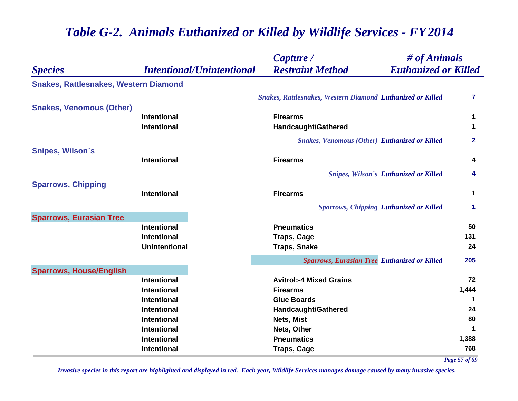|                                              |                                  | $\#$ of Animals<br>Capture /                               |                      |
|----------------------------------------------|----------------------------------|------------------------------------------------------------|----------------------|
| <b>Species</b>                               | <b>Intentional/Unintentional</b> | <b>Restraint Method</b><br><b>Euthanized or Killed</b>     |                      |
| <b>Snakes, Rattlesnakes, Western Diamond</b> |                                  |                                                            |                      |
|                                              |                                  | Snakes, Rattlesnakes, Western Diamond Euthanized or Killed | 7                    |
| <b>Snakes, Venomous (Other)</b>              |                                  |                                                            |                      |
|                                              | <b>Intentional</b>               | <b>Firearms</b>                                            | 1                    |
|                                              | <b>Intentional</b>               | Handcaught/Gathered                                        | 1                    |
|                                              |                                  | <b>Snakes, Venomous (Other) Euthanized or Killed</b>       | $\mathbf{2}$         |
| <b>Snipes, Wilson's</b>                      |                                  |                                                            |                      |
|                                              | <b>Intentional</b>               | <b>Firearms</b>                                            | 4                    |
|                                              |                                  | <b>Snipes, Wilson's Euthanized or Killed</b>               | 4                    |
| <b>Sparrows, Chipping</b>                    |                                  |                                                            |                      |
|                                              | <b>Intentional</b>               | <b>Firearms</b>                                            | 1                    |
|                                              |                                  | <b>Sparrows, Chipping Euthanized or Killed</b>             | $\blacktriangleleft$ |
| <b>Sparrows, Eurasian Tree</b>               |                                  |                                                            |                      |
|                                              | <b>Intentional</b>               | <b>Pneumatics</b>                                          | 50                   |
|                                              | <b>Intentional</b>               | <b>Traps, Cage</b>                                         | 131                  |
|                                              | <b>Unintentional</b>             | <b>Traps, Snake</b>                                        | 24                   |
|                                              |                                  | <b>Sparrows, Eurasian Tree Euthanized or Killed</b>        | 205                  |
| <b>Sparrows, House/English</b>               |                                  |                                                            |                      |
|                                              | <b>Intentional</b>               | <b>Avitrol:-4 Mixed Grains</b>                             | 72                   |
|                                              | <b>Intentional</b>               | <b>Firearms</b>                                            | 1,444                |
|                                              | <b>Intentional</b>               | <b>Glue Boards</b>                                         | $\mathbf 1$          |
|                                              | <b>Intentional</b>               | Handcaught/Gathered                                        | 24                   |
|                                              | <b>Intentional</b>               | Nets, Mist                                                 | 80                   |
|                                              | <b>Intentional</b>               | Nets, Other                                                | $\mathbf 1$          |
|                                              | <b>Intentional</b>               | <b>Pneumatics</b>                                          | 1,388                |
|                                              | <b>Intentional</b>               | <b>Traps, Cage</b>                                         | 768                  |

*Page 57 of 69*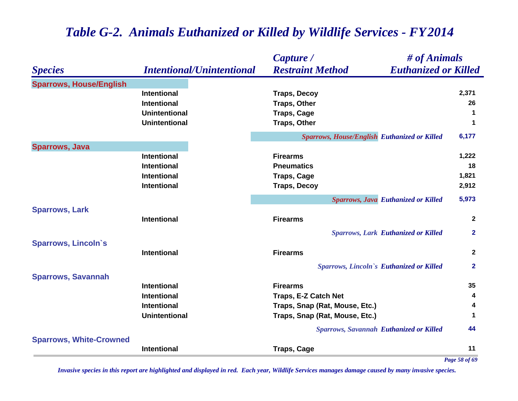#### *Species Capture / Restraint Method # of Animals Intentional/Unintentional Euthanized or Killed* **Sparrows, House/English Intentional Traps, Decoy 2,371 Intentional Traps, Other 26 Unintentional Traps, Cage <sup>1</sup> Unintentional Traps, Other <sup>1</sup>** *Sparrows, House/English Euthanized or Killed* **6,177 Sparrows, Java Intentional Firearms 1,222 Intentional Pneumatics 18 Intentional Traps, Cage 1,821 Intentional Traps, Decoy 2,912** *Sparrows, Java Euthanized or Killed* **5,973 Sparrows, Lark Intentional Firearms 2** *Sparrows, Lark Euthanized or Killed* **2 Sparrows, Lincoln`s Intentional Firearms 2** *Sparrows, Lincoln`s Euthanized or Killed* **2 Sparrows, Savannah Intentional Firearms 35 Intentional Traps, E-Z Catch Net <sup>4</sup> Intentional Traps, Snap (Rat, Mouse, Etc.) <sup>4</sup> Unintentional Traps, Snap (Rat, Mouse, Etc.) <sup>1</sup>** *Sparrows, Savannah Euthanized or Killed* **44 Sparrows, White-Crowned Intentional Traps, Cage <sup>11</sup>** *Page 58 of 69*

# *Table G-2. Animals Euthanized or Killed by Wildlife Services - FY 2014*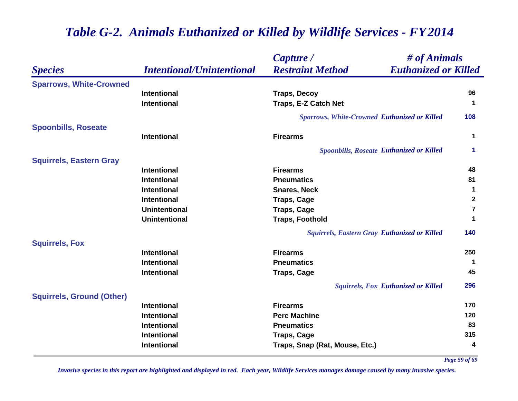|                                  |                                  | Capture /                                           | # of Animals                |  |
|----------------------------------|----------------------------------|-----------------------------------------------------|-----------------------------|--|
| <b>Species</b>                   | <b>Intentional/Unintentional</b> | <b>Restraint Method</b>                             | <b>Euthanized or Killed</b> |  |
| <b>Sparrows, White-Crowned</b>   |                                  |                                                     |                             |  |
|                                  | <b>Intentional</b>               | <b>Traps, Decoy</b>                                 | 96                          |  |
|                                  | <b>Intentional</b>               | Traps, E-Z Catch Net                                | $\blacktriangleleft$        |  |
|                                  |                                  | <b>Sparrows, White-Crowned Euthanized or Killed</b> | 108                         |  |
| <b>Spoonbills, Roseate</b>       |                                  |                                                     |                             |  |
|                                  | <b>Intentional</b>               | <b>Firearms</b>                                     | $\mathbf 1$                 |  |
|                                  |                                  | <b>Spoonbills, Roseate Euthanized or Killed</b>     | 1                           |  |
| <b>Squirrels, Eastern Gray</b>   |                                  |                                                     |                             |  |
|                                  | <b>Intentional</b>               | <b>Firearms</b>                                     | 48                          |  |
|                                  | <b>Intentional</b>               | <b>Pneumatics</b>                                   | 81                          |  |
|                                  | <b>Intentional</b>               | <b>Snares, Neck</b>                                 | $\mathbf{1}$                |  |
|                                  | <b>Intentional</b>               | <b>Traps, Cage</b>                                  | $\boldsymbol{2}$            |  |
|                                  | <b>Unintentional</b>             | <b>Traps, Cage</b>                                  | $\overline{7}$              |  |
|                                  | <b>Unintentional</b>             | <b>Traps, Foothold</b>                              | 1                           |  |
|                                  |                                  | <b>Squirrels, Eastern Gray Euthanized or Killed</b> | 140                         |  |
| <b>Squirrels, Fox</b>            |                                  |                                                     |                             |  |
|                                  | <b>Intentional</b>               | <b>Firearms</b>                                     | 250                         |  |
|                                  | <b>Intentional</b>               | <b>Pneumatics</b>                                   | $\mathbf 1$                 |  |
|                                  | <b>Intentional</b>               | <b>Traps, Cage</b>                                  | 45                          |  |
|                                  |                                  | <b>Squirrels, Fox Euthanized or Killed</b>          | 296                         |  |
| <b>Squirrels, Ground (Other)</b> |                                  |                                                     |                             |  |
|                                  | <b>Intentional</b>               | <b>Firearms</b>                                     | 170                         |  |
|                                  | <b>Intentional</b>               | <b>Perc Machine</b>                                 | 120                         |  |
|                                  | <b>Intentional</b>               | <b>Pneumatics</b>                                   | 83                          |  |
|                                  | <b>Intentional</b>               | <b>Traps, Cage</b>                                  | 315                         |  |
|                                  | <b>Intentional</b>               | Traps, Snap (Rat, Mouse, Etc.)                      | 4                           |  |

*Page 59 of 69*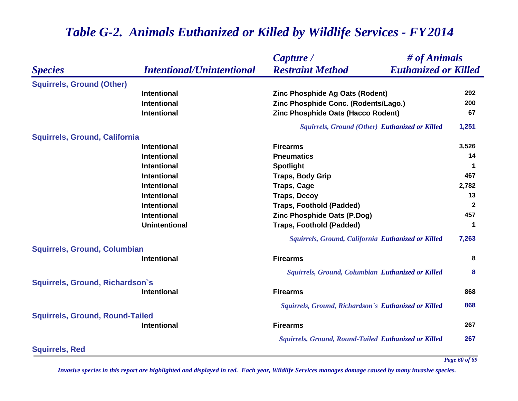|                                        |                                  | Capture /                                                   | # of Animals         |  |
|----------------------------------------|----------------------------------|-------------------------------------------------------------|----------------------|--|
| <b>Species</b>                         | <b>Intentional/Unintentional</b> | <b>Euthanized or Killed</b><br><b>Restraint Method</b>      |                      |  |
| <b>Squirrels, Ground (Other)</b>       |                                  |                                                             |                      |  |
|                                        | <b>Intentional</b>               | Zinc Phosphide Ag Oats (Rodent)                             | 292                  |  |
|                                        | <b>Intentional</b>               | Zinc Phosphide Conc. (Rodents/Lago.)                        | 200                  |  |
|                                        | <b>Intentional</b>               | Zinc Phosphide Oats (Hacco Rodent)                          | 67                   |  |
|                                        |                                  | Squirrels, Ground (Other) Euthanized or Killed              | 1,251                |  |
| <b>Squirrels, Ground, California</b>   |                                  |                                                             |                      |  |
|                                        | <b>Intentional</b>               | <b>Firearms</b>                                             | 3,526                |  |
|                                        | <b>Intentional</b>               | <b>Pneumatics</b>                                           | 14                   |  |
|                                        | <b>Intentional</b>               | <b>Spotlight</b>                                            | $\mathbf 1$          |  |
|                                        | <b>Intentional</b>               | <b>Traps, Body Grip</b>                                     | 467                  |  |
|                                        | <b>Intentional</b>               | <b>Traps, Cage</b>                                          | 2,782                |  |
|                                        | <b>Intentional</b>               | <b>Traps, Decoy</b>                                         | 13                   |  |
|                                        | <b>Intentional</b>               | <b>Traps, Foothold (Padded)</b>                             | $\mathbf{2}$         |  |
|                                        | <b>Intentional</b>               | Zinc Phosphide Oats (P.Dog)                                 | 457                  |  |
|                                        | <b>Unintentional</b>             | <b>Traps, Foothold (Padded)</b>                             | $\blacktriangleleft$ |  |
|                                        |                                  | Squirrels, Ground, California Euthanized or Killed          | 7,263                |  |
| <b>Squirrels, Ground, Columbian</b>    |                                  |                                                             |                      |  |
|                                        | <b>Intentional</b>               | <b>Firearms</b>                                             | 8                    |  |
|                                        |                                  | Squirrels, Ground, Columbian Euthanized or Killed           | 8                    |  |
| Squirrels, Ground, Richardson's        |                                  |                                                             |                      |  |
|                                        | <b>Intentional</b>               | <b>Firearms</b>                                             | 868                  |  |
|                                        |                                  | Squirrels, Ground, Richardson's Euthanized or Killed        | 868                  |  |
| <b>Squirrels, Ground, Round-Tailed</b> |                                  |                                                             |                      |  |
|                                        | Intentional                      | <b>Firearms</b>                                             | 267                  |  |
|                                        |                                  | <b>Squirrels, Ground, Round-Tailed Euthanized or Killed</b> | 267                  |  |
| <b>Squirrels, Red</b>                  |                                  |                                                             |                      |  |

*Invasive species in this report are highlighted and displayed in red. Each year, Wildlife Services manages damage caused by many invasive species.* 

*Page 60 of 69*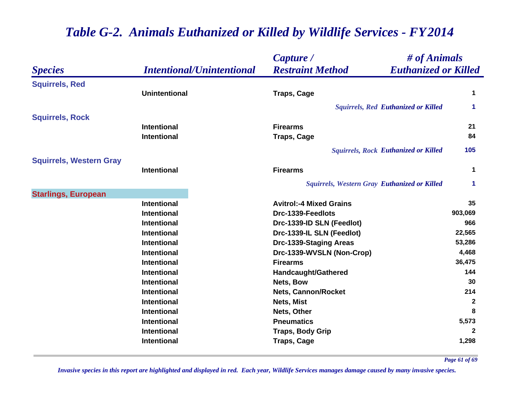|                                |                                  | # of Animals<br>Capture /                              |                      |
|--------------------------------|----------------------------------|--------------------------------------------------------|----------------------|
| <b>Species</b>                 | <b>Intentional/Unintentional</b> | <b>Restraint Method</b><br><b>Euthanized or Killed</b> |                      |
| <b>Squirrels, Red</b>          |                                  |                                                        |                      |
|                                | <b>Unintentional</b>             | <b>Traps, Cage</b>                                     | 1                    |
|                                |                                  | <b>Squirrels, Red Euthanized or Killed</b>             | $\blacktriangleleft$ |
| <b>Squirrels, Rock</b>         |                                  |                                                        |                      |
|                                | <b>Intentional</b>               | <b>Firearms</b>                                        | 21                   |
|                                | <b>Intentional</b>               | <b>Traps, Cage</b>                                     | 84                   |
|                                |                                  | <b>Squirrels, Rock Euthanized or Killed</b>            | 105                  |
| <b>Squirrels, Western Gray</b> |                                  |                                                        |                      |
|                                | <b>Intentional</b>               | <b>Firearms</b>                                        | 1                    |
|                                |                                  | <b>Squirrels, Western Gray Euthanized or Killed</b>    | 1                    |
| <b>Starlings, European</b>     |                                  |                                                        |                      |
|                                | <b>Intentional</b>               | <b>Avitrol:-4 Mixed Grains</b>                         | 35                   |
|                                | <b>Intentional</b>               | Drc-1339-Feedlots                                      | 903,069              |
|                                | <b>Intentional</b>               | Drc-1339-ID SLN (Feedlot)                              | 966                  |
|                                | <b>Intentional</b>               | Drc-1339-IL SLN (Feedlot)                              | 22,565               |
|                                | <b>Intentional</b>               | Drc-1339-Staging Areas                                 | 53,286               |
|                                | <b>Intentional</b>               | Drc-1339-WVSLN (Non-Crop)                              | 4,468                |
|                                | <b>Intentional</b>               | <b>Firearms</b>                                        | 36,475               |
|                                | <b>Intentional</b>               | Handcaught/Gathered                                    | 144                  |
|                                | <b>Intentional</b>               | Nets, Bow                                              | 30                   |
|                                | <b>Intentional</b>               | <b>Nets, Cannon/Rocket</b>                             | 214                  |
|                                | <b>Intentional</b>               | Nets, Mist                                             | $\mathbf{2}$         |
|                                | <b>Intentional</b>               | Nets, Other                                            | 8                    |
|                                | <b>Intentional</b>               | <b>Pneumatics</b>                                      | 5,573                |
|                                | <b>Intentional</b>               | <b>Traps, Body Grip</b>                                | $\mathbf{2}$         |
|                                | <b>Intentional</b>               | <b>Traps, Cage</b>                                     | 1,298                |

*Page 61 of 69*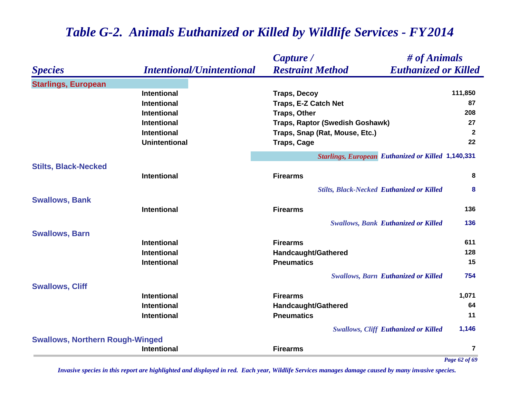|                                        |                                  | $\#$ of Animals<br>Capture /                              |               |
|----------------------------------------|----------------------------------|-----------------------------------------------------------|---------------|
| <b>Species</b>                         | <b>Intentional/Unintentional</b> | <b>Restraint Method</b><br><b>Euthanized or Killed</b>    |               |
| <b>Starlings, European</b>             |                                  |                                                           |               |
|                                        | <b>Intentional</b>               | <b>Traps, Decoy</b>                                       | 111,850       |
|                                        | <b>Intentional</b>               | Traps, E-Z Catch Net                                      | 87            |
|                                        | <b>Intentional</b>               | <b>Traps, Other</b>                                       | 208           |
|                                        | <b>Intentional</b>               | Traps, Raptor (Swedish Goshawk)                           | 27            |
|                                        | <b>Intentional</b>               | Traps, Snap (Rat, Mouse, Etc.)                            | $\mathbf{2}$  |
|                                        | <b>Unintentional</b>             | <b>Traps, Cage</b>                                        | 22            |
|                                        |                                  | <b>Starlings, European Euthanized or Killed 1,140,331</b> |               |
| <b>Stilts, Black-Necked</b>            |                                  |                                                           |               |
|                                        | Intentional                      | <b>Firearms</b>                                           | 8             |
|                                        |                                  | <b>Stilts, Black-Necked Euthanized or Killed</b>          | 8             |
| <b>Swallows, Bank</b>                  |                                  |                                                           |               |
|                                        | <b>Intentional</b>               | <b>Firearms</b>                                           | 136           |
|                                        |                                  | <b>Swallows, Bank Euthanized or Killed</b>                | 136           |
| <b>Swallows, Barn</b>                  |                                  |                                                           |               |
|                                        | <b>Intentional</b>               | <b>Firearms</b>                                           | 611           |
|                                        | <b>Intentional</b>               | Handcaught/Gathered                                       | 128           |
|                                        | <b>Intentional</b>               | <b>Pneumatics</b>                                         | 15            |
|                                        |                                  | <b>Swallows, Barn Euthanized or Killed</b>                | 754           |
| <b>Swallows, Cliff</b>                 |                                  |                                                           |               |
|                                        | <b>Intentional</b>               | <b>Firearms</b>                                           | 1,071         |
|                                        | <b>Intentional</b>               | Handcaught/Gathered                                       | 64            |
|                                        | Intentional                      | <b>Pneumatics</b>                                         | 11            |
|                                        |                                  | <b>Swallows, Cliff Euthanized or Killed</b>               | 1,146         |
| <b>Swallows, Northern Rough-Winged</b> |                                  |                                                           |               |
|                                        | <b>Intentional</b>               | <b>Firearms</b>                                           | 7             |
|                                        |                                  |                                                           | Page 62 of 69 |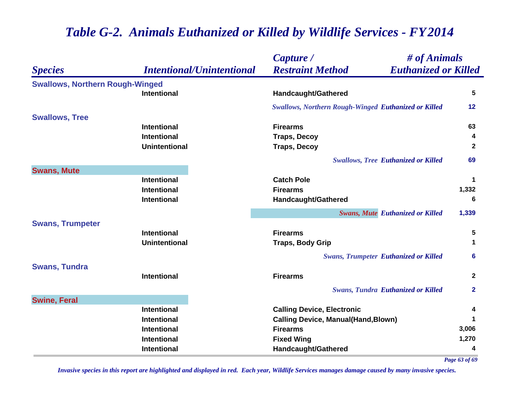|                                        |                                  | Capture /                                                   | # of Animals |  |
|----------------------------------------|----------------------------------|-------------------------------------------------------------|--------------|--|
| <b>Species</b>                         | <b>Intentional/Unintentional</b> | <b>Euthanized or Killed</b><br><b>Restraint Method</b>      |              |  |
| <b>Swallows, Northern Rough-Winged</b> |                                  |                                                             |              |  |
|                                        | <b>Intentional</b>               | <b>Handcaught/Gathered</b>                                  | 5            |  |
|                                        |                                  | <b>Swallows, Northern Rough-Winged Euthanized or Killed</b> | 12           |  |
| <b>Swallows, Tree</b>                  |                                  |                                                             |              |  |
|                                        | <b>Intentional</b>               | <b>Firearms</b>                                             | 63           |  |
|                                        | <b>Intentional</b>               | <b>Traps, Decoy</b>                                         | 4            |  |
|                                        | <b>Unintentional</b>             | <b>Traps, Decoy</b>                                         | $\mathbf{2}$ |  |
|                                        |                                  | <b>Swallows, Tree Euthanized or Killed</b>                  | 69           |  |
| <b>Swans, Mute</b>                     |                                  |                                                             |              |  |
|                                        | <b>Intentional</b>               | <b>Catch Pole</b>                                           | 1            |  |
|                                        | <b>Intentional</b>               | <b>Firearms</b>                                             | 1,332        |  |
|                                        | <b>Intentional</b>               | <b>Handcaught/Gathered</b>                                  | 6            |  |
|                                        |                                  | <b>Swans, Mute Euthanized or Killed</b>                     | 1,339        |  |
| <b>Swans, Trumpeter</b>                |                                  |                                                             |              |  |
|                                        | <b>Intentional</b>               | <b>Firearms</b>                                             | 5            |  |
|                                        | <b>Unintentional</b>             | <b>Traps, Body Grip</b>                                     | 1            |  |
|                                        |                                  | <b>Swans, Trumpeter Euthanized or Killed</b>                | 6            |  |
| <b>Swans, Tundra</b>                   |                                  |                                                             |              |  |
|                                        | <b>Intentional</b>               | <b>Firearms</b>                                             | $\mathbf{2}$ |  |
|                                        |                                  | <b>Swans, Tundra Euthanized or Killed</b>                   | $\mathbf{2}$ |  |
| <b>Swine, Feral</b>                    |                                  |                                                             |              |  |
|                                        | Intentional                      | <b>Calling Device, Electronic</b>                           | 4            |  |
|                                        | <b>Intentional</b>               | <b>Calling Device, Manual(Hand, Blown)</b>                  |              |  |
|                                        | Intentional                      | <b>Firearms</b>                                             | 3,006        |  |
|                                        | <b>Intentional</b>               | <b>Fixed Wing</b>                                           | 1,270        |  |
|                                        | Intentional                      | <b>Handcaught/Gathered</b>                                  | 4            |  |

*Page 63 of 69*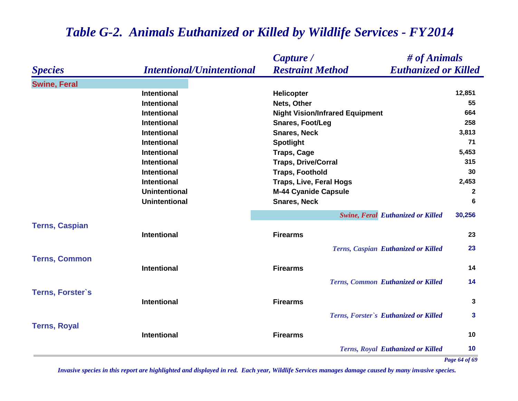|                         |                                  | # of Animals<br>Capture /                              |        |
|-------------------------|----------------------------------|--------------------------------------------------------|--------|
| <b>Species</b>          | <b>Intentional/Unintentional</b> | <b>Restraint Method</b><br><b>Euthanized or Killed</b> |        |
| <b>Swine, Feral</b>     |                                  |                                                        |        |
|                         | <b>Intentional</b>               | <b>Helicopter</b>                                      | 12,851 |
|                         | <b>Intentional</b>               | Nets, Other                                            | 55     |
|                         | <b>Intentional</b>               | <b>Night Vision/Infrared Equipment</b>                 | 664    |
|                         | <b>Intentional</b>               | <b>Snares, Foot/Leg</b>                                | 258    |
|                         | <b>Intentional</b>               | <b>Snares, Neck</b>                                    | 3,813  |
|                         | <b>Intentional</b>               | <b>Spotlight</b>                                       | 71     |
|                         | <b>Intentional</b>               | <b>Traps, Cage</b>                                     | 5,453  |
|                         | <b>Intentional</b>               | <b>Traps, Drive/Corral</b>                             | 315    |
|                         | <b>Intentional</b>               | <b>Traps, Foothold</b>                                 | 30     |
|                         | <b>Intentional</b>               | <b>Traps, Live, Feral Hogs</b>                         | 2,453  |
|                         | <b>Unintentional</b>             | <b>M-44 Cyanide Capsule</b>                            | 2      |
|                         | <b>Unintentional</b>             | <b>Snares, Neck</b>                                    | 6      |
|                         |                                  | <b>Swine, Feral Euthanized or Killed</b>               | 30,256 |
| <b>Terns, Caspian</b>   |                                  |                                                        | 23     |
|                         | <b>Intentional</b>               | <b>Firearms</b>                                        |        |
|                         |                                  | Terns, Caspian Euthanized or Killed                    | 23     |
| <b>Terns, Common</b>    | <b>Intentional</b>               | <b>Firearms</b>                                        | 14     |
|                         |                                  |                                                        |        |
|                         |                                  | Terns, Common Euthanized or Killed                     | 14     |
| <b>Terns, Forster's</b> |                                  |                                                        |        |
|                         | <b>Intentional</b>               | <b>Firearms</b>                                        | 3      |
|                         |                                  | Terns, Forster's Euthanized or Killed                  | 3      |
| <b>Terns, Royal</b>     |                                  |                                                        |        |
|                         | <b>Intentional</b>               | <b>Firearms</b>                                        | 10     |
|                         |                                  | <b>Terns, Royal Euthanized or Killed</b>               | 10     |

*Page 64 of 69*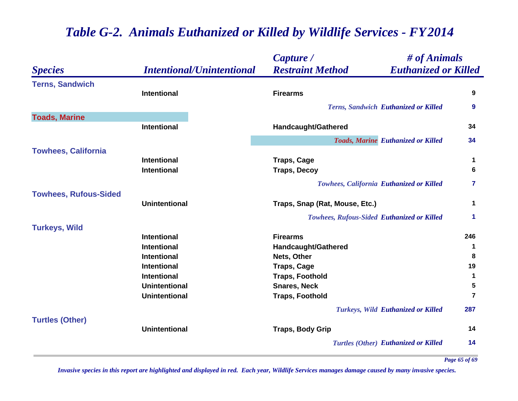|                              |                                  | # of Animals<br>Capture /                              |                |
|------------------------------|----------------------------------|--------------------------------------------------------|----------------|
| <b>Species</b>               | <b>Intentional/Unintentional</b> | <b>Restraint Method</b><br><b>Euthanized or Killed</b> |                |
| <b>Terns, Sandwich</b>       |                                  |                                                        |                |
|                              | Intentional                      | <b>Firearms</b>                                        | 9              |
|                              |                                  | <b>Terns, Sandwich Euthanized or Killed</b>            | 9              |
| <b>Toads, Marine</b>         |                                  |                                                        |                |
|                              | <b>Intentional</b>               | Handcaught/Gathered                                    | 34             |
|                              |                                  | <b>Toads, Marine Euthanized or Killed</b>              | 34             |
| <b>Towhees, California</b>   |                                  |                                                        |                |
|                              | <b>Intentional</b>               | <b>Traps, Cage</b>                                     | $\mathbf 1$    |
|                              | <b>Intentional</b>               | <b>Traps, Decoy</b>                                    | 6              |
|                              |                                  | <b>Towhees, California Euthanized or Killed</b>        | $\overline{7}$ |
| <b>Towhees, Rufous-Sided</b> |                                  |                                                        |                |
|                              | <b>Unintentional</b>             | Traps, Snap (Rat, Mouse, Etc.)                         | 1              |
|                              |                                  | <b>Towhees, Rufous-Sided Euthanized or Killed</b>      | 1              |
| <b>Turkeys, Wild</b>         |                                  |                                                        |                |
|                              | Intentional                      | <b>Firearms</b>                                        | 246            |
|                              | <b>Intentional</b>               | <b>Handcaught/Gathered</b>                             | 1              |
|                              | <b>Intentional</b>               | Nets, Other                                            | 8              |
|                              | <b>Intentional</b>               | <b>Traps, Cage</b>                                     | 19             |
|                              | Intentional                      | <b>Traps, Foothold</b>                                 | $\mathbf 1$    |
|                              | <b>Unintentional</b>             | <b>Snares, Neck</b>                                    | 5              |
|                              | <b>Unintentional</b>             | <b>Traps, Foothold</b>                                 | $\overline{7}$ |
|                              |                                  | <b>Turkeys, Wild Euthanized or Killed</b>              | 287            |
| <b>Turtles (Other)</b>       | <b>Unintentional</b>             | <b>Traps, Body Grip</b>                                | 14             |
|                              |                                  | <b>Turtles (Other) Euthanized or Killed</b>            | 14             |
|                              |                                  |                                                        |                |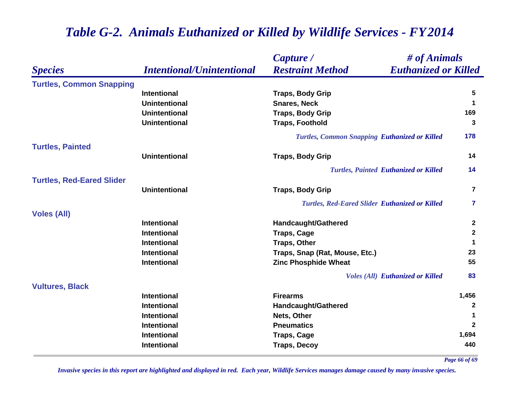|                                  |                                  | # of Animals<br>Capture /                              |                      |
|----------------------------------|----------------------------------|--------------------------------------------------------|----------------------|
| <b>Species</b>                   | <b>Intentional/Unintentional</b> | <b>Restraint Method</b><br><b>Euthanized or Killed</b> |                      |
| <b>Turtles, Common Snapping</b>  |                                  |                                                        |                      |
|                                  | <b>Intentional</b>               | <b>Traps, Body Grip</b>                                | 5                    |
|                                  | <b>Unintentional</b>             | <b>Snares, Neck</b>                                    | $\blacktriangleleft$ |
|                                  | <b>Unintentional</b>             | <b>Traps, Body Grip</b>                                | 169                  |
|                                  | <b>Unintentional</b>             | <b>Traps, Foothold</b>                                 | 3                    |
|                                  |                                  | <b>Turtles, Common Snapping Euthanized or Killed</b>   | 178                  |
| <b>Turtles, Painted</b>          |                                  |                                                        |                      |
|                                  | <b>Unintentional</b>             | <b>Traps, Body Grip</b>                                | 14                   |
|                                  |                                  | <b>Turtles, Painted Euthanized or Killed</b>           | 14                   |
| <b>Turtles, Red-Eared Slider</b> |                                  |                                                        |                      |
|                                  | <b>Unintentional</b>             | <b>Traps, Body Grip</b>                                | $\overline{7}$       |
|                                  |                                  | <b>Turtles, Red-Eared Slider Euthanized or Killed</b>  | $\overline{7}$       |
| <b>Voles (All)</b>               |                                  |                                                        |                      |
|                                  | <b>Intentional</b>               | <b>Handcaught/Gathered</b>                             | $\mathbf{2}$         |
|                                  | <b>Intentional</b>               | <b>Traps, Cage</b>                                     | $\mathbf 2$          |
|                                  | <b>Intentional</b>               | <b>Traps, Other</b>                                    | 1                    |
|                                  | <b>Intentional</b>               | Traps, Snap (Rat, Mouse, Etc.)                         | 23                   |
|                                  | <b>Intentional</b>               | <b>Zinc Phosphide Wheat</b>                            | 55                   |
|                                  |                                  | <b>Voles (All) Euthanized or Killed</b>                | 83                   |
| <b>Vultures, Black</b>           |                                  |                                                        |                      |
|                                  | <b>Intentional</b>               | <b>Firearms</b>                                        | 1,456                |
|                                  | <b>Intentional</b>               | <b>Handcaught/Gathered</b>                             | $\mathbf{2}$         |
|                                  | <b>Intentional</b>               | Nets, Other                                            | 1                    |
|                                  | <b>Intentional</b>               | <b>Pneumatics</b>                                      | $\mathbf{2}$         |
|                                  | <b>Intentional</b>               | <b>Traps, Cage</b>                                     | 1,694                |
|                                  | <b>Intentional</b>               | <b>Traps, Decoy</b>                                    | 440                  |

*Page 66 of 69*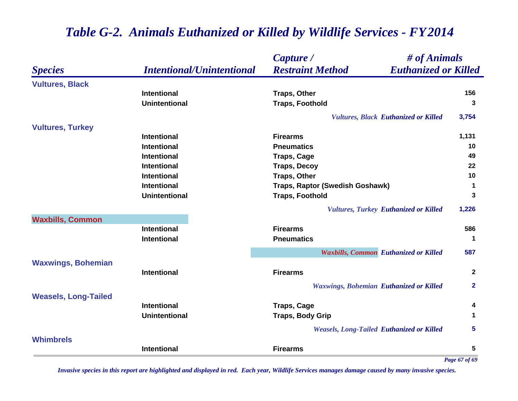|                             |                                  | $\#$ of Animals<br>Capture /                           |                |
|-----------------------------|----------------------------------|--------------------------------------------------------|----------------|
| <b>Species</b>              | <b>Intentional/Unintentional</b> | <b>Restraint Method</b><br><b>Euthanized or Killed</b> |                |
| <b>Vultures, Black</b>      |                                  |                                                        |                |
|                             | <b>Intentional</b>               | <b>Traps, Other</b>                                    | 156            |
|                             | <b>Unintentional</b>             | <b>Traps, Foothold</b>                                 | 3              |
|                             |                                  | <b>Vultures, Black Euthanized or Killed</b>            | 3,754          |
| <b>Vultures, Turkey</b>     |                                  |                                                        |                |
|                             | <b>Intentional</b>               | <b>Firearms</b>                                        | 1,131          |
|                             | <b>Intentional</b>               | <b>Pneumatics</b>                                      | 10             |
|                             | <b>Intentional</b>               | <b>Traps, Cage</b>                                     | 49             |
|                             | <b>Intentional</b>               | <b>Traps, Decoy</b>                                    | 22             |
|                             | <b>Intentional</b>               | <b>Traps, Other</b>                                    | 10             |
|                             | <b>Intentional</b>               | Traps, Raptor (Swedish Goshawk)                        | $\mathbf 1$    |
|                             | <b>Unintentional</b>             | <b>Traps, Foothold</b>                                 | 3              |
|                             |                                  | <b>Vultures, Turkey Euthanized or Killed</b>           | 1,226          |
| <b>Waxbills, Common</b>     |                                  |                                                        |                |
|                             | <b>Intentional</b>               | <b>Firearms</b>                                        | 586            |
|                             | <b>Intentional</b>               | <b>Pneumatics</b>                                      | 1              |
|                             |                                  | <b>Waxbills, Common Euthanized or Killed</b>           | 587            |
| <b>Waxwings, Bohemian</b>   |                                  |                                                        |                |
|                             | <b>Intentional</b>               | <b>Firearms</b>                                        | $\overline{2}$ |
|                             |                                  | <b>Waxwings, Bohemian Euthanized or Killed</b>         | $\overline{2}$ |
| <b>Weasels, Long-Tailed</b> |                                  |                                                        |                |
|                             | <b>Intentional</b>               | <b>Traps, Cage</b>                                     | 4              |
|                             | <b>Unintentional</b>             | <b>Traps, Body Grip</b>                                | 1              |
|                             |                                  | <b>Weasels, Long-Tailed Euthanized or Killed</b>       | 5              |
| <b>Whimbrels</b>            |                                  |                                                        |                |
|                             | <b>Intentional</b>               | <b>Firearms</b>                                        | 5              |
|                             |                                  |                                                        | Page 67 of 69  |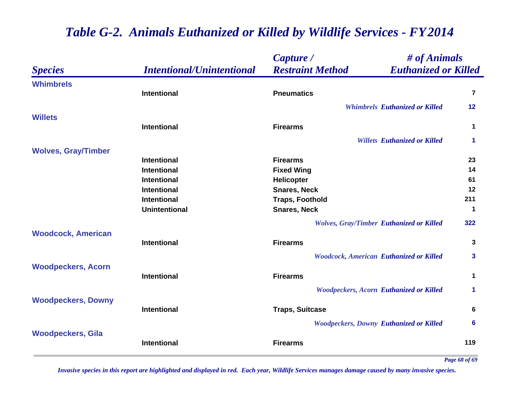|                            |                                  | Capture /               | # of Animals                                    |             |
|----------------------------|----------------------------------|-------------------------|-------------------------------------------------|-------------|
| <b>Species</b>             | <b>Intentional/Unintentional</b> | <b>Restraint Method</b> | <b>Euthanized or Killed</b>                     |             |
| <b>Whimbrels</b>           |                                  |                         |                                                 |             |
|                            | <b>Intentional</b>               | <b>Pneumatics</b>       |                                                 | 7           |
|                            |                                  |                         | <b>Whimbrels Euthanized or Killed</b>           | 12          |
| <b>Willets</b>             |                                  |                         |                                                 |             |
|                            | <b>Intentional</b>               | <b>Firearms</b>         |                                                 | 1           |
|                            |                                  |                         | <b>Willets Euthanized or Killed</b>             | 1           |
| <b>Wolves, Gray/Timber</b> |                                  |                         |                                                 |             |
|                            | <b>Intentional</b>               | <b>Firearms</b>         |                                                 | 23          |
|                            | <b>Intentional</b>               | <b>Fixed Wing</b>       |                                                 | 14          |
|                            | <b>Intentional</b>               | Helicopter              |                                                 | 61          |
|                            | <b>Intentional</b>               | <b>Snares, Neck</b>     |                                                 | 12          |
|                            | <b>Intentional</b>               | <b>Traps, Foothold</b>  |                                                 | 211         |
|                            | <b>Unintentional</b>             | <b>Snares, Neck</b>     |                                                 | 1           |
|                            |                                  |                         | <b>Wolves, Gray/Timber Euthanized or Killed</b> | 322         |
| <b>Woodcock, American</b>  |                                  |                         |                                                 |             |
|                            | <b>Intentional</b>               | <b>Firearms</b>         |                                                 | 3           |
|                            |                                  |                         | <b>Woodcock, American Euthanized or Killed</b>  | 3           |
| <b>Woodpeckers, Acorn</b>  |                                  |                         |                                                 |             |
|                            | <b>Intentional</b>               | <b>Firearms</b>         |                                                 | $\mathbf 1$ |
|                            |                                  |                         | <b>Woodpeckers, Acorn Euthanized or Killed</b>  | 1.          |
| <b>Woodpeckers, Downy</b>  |                                  |                         |                                                 |             |
|                            | <b>Intentional</b>               | <b>Traps, Suitcase</b>  |                                                 | 6           |
|                            |                                  |                         | <b>Woodpeckers, Downy Euthanized or Killed</b>  | 6           |
| <b>Woodpeckers, Gila</b>   |                                  |                         |                                                 |             |
|                            | <b>Intentional</b>               | <b>Firearms</b>         |                                                 | 119         |
|                            |                                  |                         |                                                 |             |

*Page 68 of 69*